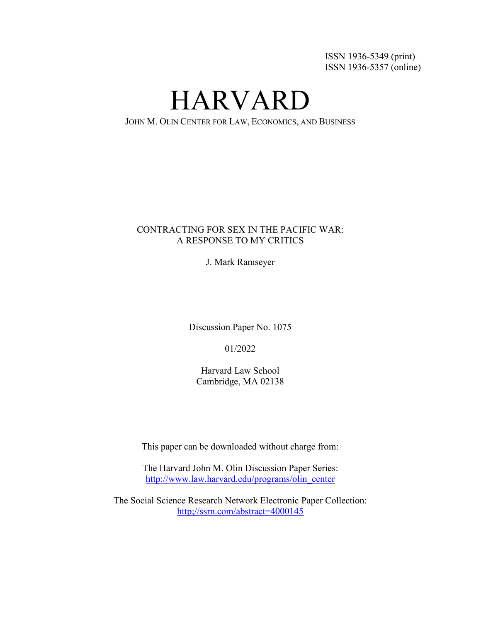ISSN 1936-5349 (print) ISSN 1936-5357 (online)

HARVARD

JOHN M. OLIN CENTER FOR LAW, ECONOMICS, AND BUSINESS

# CONTRACTING FOR SEX IN THE PACIFIC WAR: A RESPONSE TO MY CRITICS

J. Mark Ramseyer

Discussion Paper No. 1075

01/2022

Harvard Law School Cambridge, MA 02138

This paper can be downloaded without charge from:

The Harvard John M. Olin Discussion Paper Series: [http://www.law.harvard.edu/programs/olin\\_center](http://www.law.harvard.edu/programs/olin_center)

The Social Science Research Network Electronic Paper Collection: http;//ssrn.com/abstract=4000145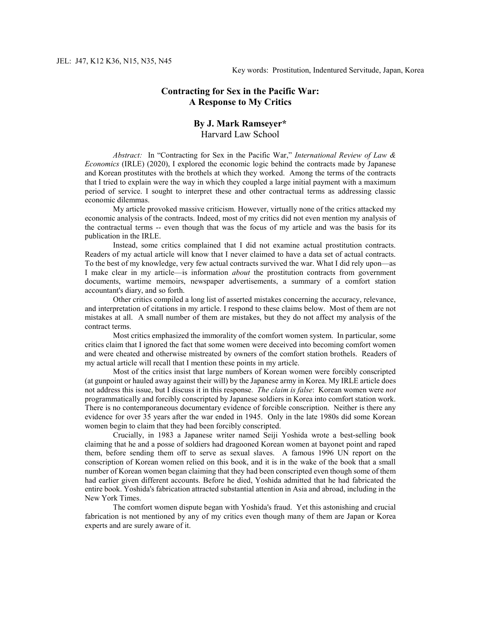#### **Contracting for Sex in the Pacific War: A Response to My Critics**

# **By J. Mark Ramseyer\***

Harvard Law School

*Abstract:* In "Contracting for Sex in the Pacific War," *International Review of Law & Economics* (IRLE) (2020), I explored the economic logic behind the contracts made by Japanese and Korean prostitutes with the brothels at which they worked. Among the terms of the contracts that I tried to explain were the way in which they coupled a large initial payment with a maximum period of service. I sought to interpret these and other contractual terms as addressing classic economic dilemmas.

My article provoked massive criticism. However, virtually none of the critics attacked my economic analysis of the contracts. Indeed, most of my critics did not even mention my analysis of the contractual terms -- even though that was the focus of my article and was the basis for its publication in the IRLE.

Instead, some critics complained that I did not examine actual prostitution contracts. Readers of my actual article will know that I never claimed to have a data set of actual contracts. To the best of my knowledge, very few actual contracts survived the war. What I did rely upon—as I make clear in my article—is information *about* the prostitution contracts from government documents, wartime memoirs, newspaper advertisements, a summary of a comfort station accountant's diary, and so forth.

Other critics compiled a long list of asserted mistakes concerning the accuracy, relevance, and interpretation of citations in my article. I respond to these claims below. Most of them are not mistakes at all. A small number of them are mistakes, but they do not affect my analysis of the contract terms.

Most critics emphasized the immorality of the comfort women system. In particular, some critics claim that I ignored the fact that some women were deceived into becoming comfort women and were cheated and otherwise mistreated by owners of the comfort station brothels. Readers of my actual article will recall that I mention these points in my article.

Most of the critics insist that large numbers of Korean women were forcibly conscripted (at gunpoint or hauled away against their will) by the Japanese army in Korea. My IRLE article does not address this issue, but I discuss it in this response. *The claim is false*: Korean women were *not* programmatically and forcibly conscripted by Japanese soldiers in Korea into comfort station work. There is no contemporaneous documentary evidence of forcible conscription. Neither is there any evidence for over 35 years after the war ended in 1945. Only in the late 1980s did some Korean women begin to claim that they had been forcibly conscripted.

Crucially, in 1983 a Japanese writer named Seiji Yoshida wrote a best-selling book claiming that he and a posse of soldiers had dragooned Korean women at bayonet point and raped them, before sending them off to serve as sexual slaves. A famous 1996 UN report on the conscription of Korean women relied on this book, and it is in the wake of the book that a small number of Korean women began claiming that they had been conscripted even though some of them had earlier given different accounts. Before he died, Yoshida admitted that he had fabricated the entire book. Yoshida's fabrication attracted substantial attention in Asia and abroad, including in the New York Times.

The comfort women dispute began with Yoshida's fraud. Yet this astonishing and crucial fabrication is not mentioned by any of my critics even though many of them are Japan or Korea experts and are surely aware of it.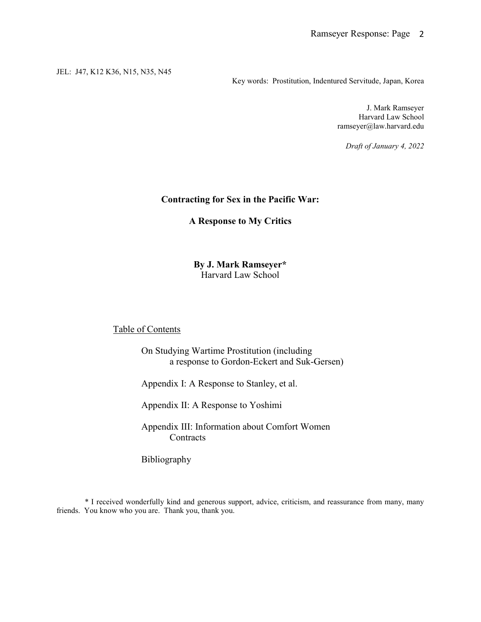Key words: Prostitution, Indentured Servitude, Japan, Korea

J. Mark Ramseyer Harvard Law School ramseyer@law.harvard.edu

*Draft of January 4, 2022*

#### **Contracting for Sex in the Pacific War:**

**A Response to My Critics**

### **By J. Mark Ramseyer\*** Harvard Law School

# Table of Contents

On Studying Wartime Prostitution (including a response to Gordon-Eckert and Suk-Gersen)

Appendix I: A Response to Stanley, et al.

Appendix II: A Response to Yoshimi

Appendix III: Information about Comfort Women **Contracts** 

Bibliography

\* I received wonderfully kind and generous support, advice, criticism, and reassurance from many, many friends. You know who you are. Thank you, thank you.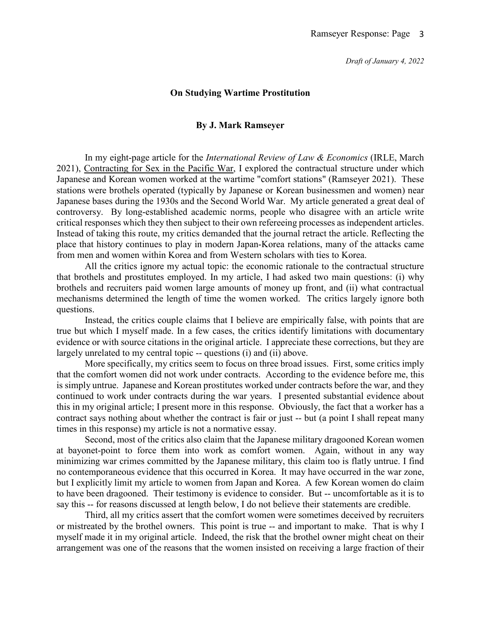# **On Studying Wartime Prostitution**

### **By J. Mark Ramseyer**

In my eight-page article for the *International Review of Law & Economics* (IRLE, March 2021), Contracting for Sex in the Pacific War, I explored the contractual structure under which Japanese and Korean women worked at the wartime "comfort stations" (Ramseyer 2021). These stations were brothels operated (typically by Japanese or Korean businessmen and women) near Japanese bases during the 1930s and the Second World War. My article generated a great deal of controversy. By long-established academic norms, people who disagree with an article write critical responses which they then subject to their own refereeing processes as independent articles. Instead of taking this route, my critics demanded that the journal retract the article. Reflecting the place that history continues to play in modern Japan-Korea relations, many of the attacks came from men and women within Korea and from Western scholars with ties to Korea.

All the critics ignore my actual topic: the economic rationale to the contractual structure that brothels and prostitutes employed. In my article, I had asked two main questions: (i) why brothels and recruiters paid women large amounts of money up front, and (ii) what contractual mechanisms determined the length of time the women worked. The critics largely ignore both questions.

Instead, the critics couple claims that I believe are empirically false, with points that are true but which I myself made. In a few cases, the critics identify limitations with documentary evidence or with source citations in the original article. I appreciate these corrections, but they are largely unrelated to my central topic -- questions (i) and (ii) above.

More specifically, my critics seem to focus on three broad issues. First, some critics imply that the comfort women did not work under contracts. According to the evidence before me, this is simply untrue. Japanese and Korean prostitutes worked under contracts before the war, and they continued to work under contracts during the war years. I presented substantial evidence about this in my original article; I present more in this response. Obviously, the fact that a worker has a contract says nothing about whether the contract is fair or just -- but (a point I shall repeat many times in this response) my article is not a normative essay.

Second, most of the critics also claim that the Japanese military dragooned Korean women at bayonet-point to force them into work as comfort women. Again, without in any way minimizing war crimes committed by the Japanese military, this claim too is flatly untrue. I find no contemporaneous evidence that this occurred in Korea. It may have occurred in the war zone, but I explicitly limit my article to women from Japan and Korea. A few Korean women do claim to have been dragooned. Their testimony is evidence to consider. But -- uncomfortable as it is to say this -- for reasons discussed at length below, I do not believe their statements are credible.

Third, all my critics assert that the comfort women were sometimes deceived by recruiters or mistreated by the brothel owners. This point is true -- and important to make. That is why I myself made it in my original article. Indeed, the risk that the brothel owner might cheat on their arrangement was one of the reasons that the women insisted on receiving a large fraction of their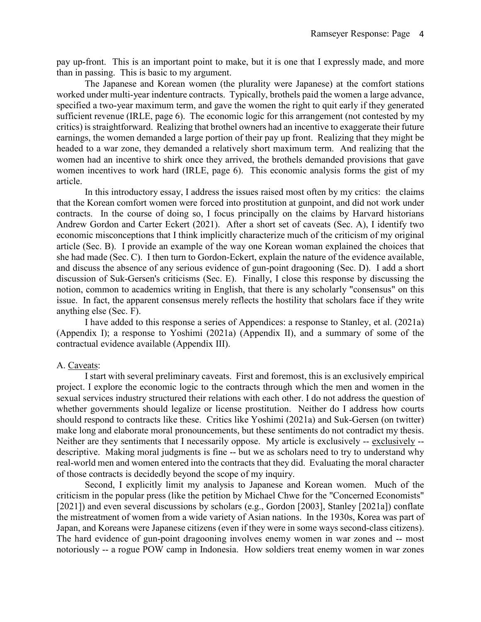pay up-front. This is an important point to make, but it is one that I expressly made, and more than in passing. This is basic to my argument.

The Japanese and Korean women (the plurality were Japanese) at the comfort stations worked under multi-year indenture contracts. Typically, brothels paid the women a large advance, specified a two-year maximum term, and gave the women the right to quit early if they generated sufficient revenue (IRLE, page 6). The economic logic for this arrangement (not contested by my critics) is straightforward. Realizing that brothel owners had an incentive to exaggerate their future earnings, the women demanded a large portion of their pay up front. Realizing that they might be headed to a war zone, they demanded a relatively short maximum term. And realizing that the women had an incentive to shirk once they arrived, the brothels demanded provisions that gave women incentives to work hard (IRLE, page 6). This economic analysis forms the gist of my article.

In this introductory essay, I address the issues raised most often by my critics: the claims that the Korean comfort women were forced into prostitution at gunpoint, and did not work under contracts. In the course of doing so, I focus principally on the claims by Harvard historians Andrew Gordon and Carter Eckert (2021). After a short set of caveats (Sec. A), I identify two economic misconceptions that I think implicitly characterize much of the criticism of my original article (Sec. B). I provide an example of the way one Korean woman explained the choices that she had made (Sec. C). I then turn to Gordon-Eckert, explain the nature of the evidence available, and discuss the absence of any serious evidence of gun-point dragooning (Sec. D). I add a short discussion of Suk-Gersen's criticisms (Sec. E). Finally, I close this response by discussing the notion, common to academics writing in English, that there is any scholarly "consensus" on this issue. In fact, the apparent consensus merely reflects the hostility that scholars face if they write anything else (Sec. F).

I have added to this response a series of Appendices: a response to Stanley, et al. (2021a) (Appendix I); a response to Yoshimi (2021a) (Appendix II), and a summary of some of the contractual evidence available (Appendix III).

### A. Caveats:

I start with several preliminary caveats. First and foremost, this is an exclusively empirical project. I explore the economic logic to the contracts through which the men and women in the sexual services industry structured their relations with each other. I do not address the question of whether governments should legalize or license prostitution. Neither do I address how courts should respond to contracts like these. Critics like Yoshimi (2021a) and Suk-Gersen (on twitter) make long and elaborate moral pronouncements, but these sentiments do not contradict my thesis. Neither are they sentiments that I necessarily oppose. My article is exclusively -- exclusively - descriptive. Making moral judgments is fine -- but we as scholars need to try to understand why real-world men and women entered into the contracts that they did. Evaluating the moral character of those contracts is decidedly beyond the scope of my inquiry.

Second, I explicitly limit my analysis to Japanese and Korean women. Much of the criticism in the popular press (like the petition by Michael Chwe for the "Concerned Economists" [2021]) and even several discussions by scholars (e.g., Gordon [2003], Stanley [2021a]) conflate the mistreatment of women from a wide variety of Asian nations. In the 1930s, Korea was part of Japan, and Koreans were Japanese citizens (even if they were in some ways second-class citizens). The hard evidence of gun-point dragooning involves enemy women in war zones and -- most notoriously -- a rogue POW camp in Indonesia. How soldiers treat enemy women in war zones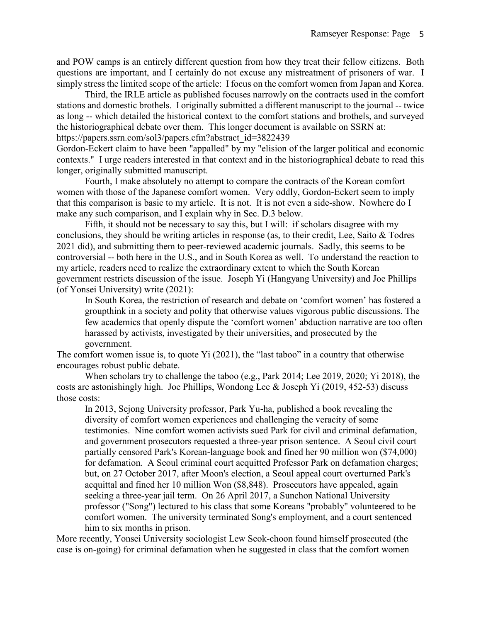and POW camps is an entirely different question from how they treat their fellow citizens. Both questions are important, and I certainly do not excuse any mistreatment of prisoners of war. I simply stress the limited scope of the article: I focus on the comfort women from Japan and Korea.

Third, the IRLE article as published focuses narrowly on the contracts used in the comfort stations and domestic brothels. I originally submitted a different manuscript to the journal -- twice as long -- which detailed the historical context to the comfort stations and brothels, and surveyed the historiographical debate over them. This longer document is available on SSRN at: https://papers.ssrn.com/sol3/papers.cfm?abstract\_id=3822439

Gordon-Eckert claim to have been "appalled" by my "elision of the larger political and economic contexts." I urge readers interested in that context and in the historiographical debate to read this longer, originally submitted manuscript.

Fourth, I make absolutely no attempt to compare the contracts of the Korean comfort women with those of the Japanese comfort women. Very oddly, Gordon-Eckert seem to imply that this comparison is basic to my article. It is not. It is not even a side-show. Nowhere do I make any such comparison, and I explain why in Sec. D.3 below.

Fifth, it should not be necessary to say this, but I will: if scholars disagree with my conclusions, they should be writing articles in response (as, to their credit, Lee, Saito & Todres 2021 did), and submitting them to peer-reviewed academic journals. Sadly, this seems to be controversial -- both here in the U.S., and in South Korea as well. To understand the reaction to my article, readers need to realize the extraordinary extent to which the South Korean government restricts discussion of the issue. Joseph Yi (Hangyang University) and Joe Phillips (of Yonsei University) write (2021):

In South Korea, the restriction of research and debate on 'comfort women' has fostered a groupthink in a society and polity that otherwise values vigorous public discussions. The few academics that openly dispute the 'comfort women' abduction narrative are too often harassed by activists, investigated by their universities, and prosecuted by the government.

The comfort women issue is, to quote Yi (2021), the "last taboo" in a country that otherwise encourages robust public debate.

When scholars try to challenge the taboo (e.g., Park 2014; Lee 2019, 2020; Yi 2018), the costs are astonishingly high. Joe Phillips, Wondong Lee & Joseph Yi (2019, 452-53) discuss those costs:

In 2013, Sejong University professor, Park Yu-ha, published a book revealing the diversity of comfort women experiences and challenging the veracity of some testimonies. Nine comfort women activists sued Park for civil and criminal defamation, and government prosecutors requested a three-year prison sentence. A Seoul civil court partially censored Park's Korean-language book and fined her 90 million won (\$74,000) for defamation. A Seoul criminal court acquitted Professor Park on defamation charges; but, on 27 October 2017, after Moon's election, a Seoul appeal court overturned Park's acquittal and fined her 10 million Won (\$8,848). Prosecutors have appealed, again seeking a three-year jail term. On 26 April 2017, a Sunchon National University professor ("Song") lectured to his class that some Koreans "probably" volunteered to be comfort women. The university terminated Song's employment, and a court sentenced him to six months in prison.

More recently, Yonsei University sociologist Lew Seok-choon found himself prosecuted (the case is on-going) for criminal defamation when he suggested in class that the comfort women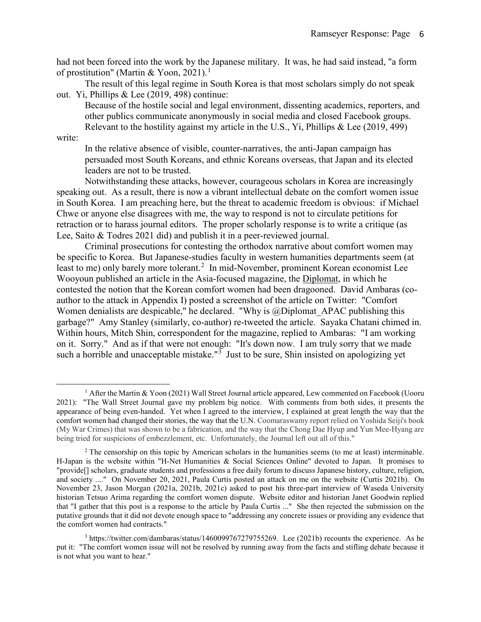had not been forced into the work by the Japanese military. It was, he had said instead, "a form of prostitution" (Martin & Yoon, 202[1](#page-6-0)).<sup>1</sup>

The result of this legal regime in South Korea is that most scholars simply do not speak out. Yi, Phillips & Lee (2019, 498) continue:

Because of the hostile social and legal environment, dissenting academics, reporters, and other publics communicate anonymously in social media and closed Facebook groups. Relevant to the hostility against my article in the U.S., Yi, Phillips & Lee (2019, 499)

write:

 $\overline{a}$ 

In the relative absence of visible, counter-narratives, the anti-Japan campaign has persuaded most South Koreans, and ethnic Koreans overseas, that Japan and its elected leaders are not to be trusted.

Notwithstanding these attacks, however, courageous scholars in Korea are increasingly speaking out. As a result, there is now a vibrant intellectual debate on the comfort women issue in South Korea. I am preaching here, but the threat to academic freedom is obvious: if Michael Chwe or anyone else disagrees with me, the way to respond is not to circulate petitions for retraction or to harass journal editors. The proper scholarly response is to write a critique (as Lee, Saito & Todres 2021 did) and publish it in a peer-reviewed journal.

Criminal prosecutions for contesting the orthodox narrative about comfort women may be specific to Korea. But Japanese-studies faculty in western humanities departments seem (at least to me) only barely more tolerant.<sup>[2](#page-6-1)</sup> In mid-November, prominent Korean economist Lee Wooyoun published an article in the Asia-focused magazine, the Diplomat, in which he contested the notion that the Korean comfort women had been dragooned. David Ambaras (coauthor to the attack in Appendix I) posted a screenshot of the article on Twitter: "Comfort Women denialists are despicable," he declared. "Why is  $\omega$ Diplomat APAC publishing this garbage?" Amy Stanley (similarly, co-author) re-tweeted the article. Sayaka Chatani chimed in. Within hours, Mitch Shin, correspondent for the magazine, replied to Ambaras: "I am working on it. Sorry." And as if that were not enough: "It's down now. I am truly sorry that we made such a horrible and unacceptable mistake."<sup>[3](#page-6-2)</sup> Just to be sure, Shin insisted on apologizing yet

<span id="page-6-0"></span><sup>&</sup>lt;sup>1</sup> After the Martin & Yoon (2021) Wall Street Journal article appeared, Lew commented on Facebook (Uooru 2021): "The Wall Street Journal gave my problem big notice. With comments from both sides, it presents the appearance of being even-handed. Yet when I agreed to the interview, I explained at great length the way that the comfort women had changed their stories, the way that the U.N. Coomaraswamy report relied on Yoshida Seiji's book (My War Crimes) that was shown to be a fabrication, and the way that the Chong Dae Hyup and Yun Mee-Hyang are being tried for suspicions of embezzlement, etc. Unfortunately, the Journal left out all of this."

<span id="page-6-1"></span> $2$  The censorship on this topic by American scholars in the humanities seems (to me at least) interminable. H-Japan is the website within "H-Net Humanities & Social Sciences Online" devoted to Japan. It promises to "provide[] scholars, graduate students and professions a free daily forum to discuss Japanese history, culture, religion, and society ...." On November 20, 2021, Paula Curtis posted an attack on me on the website (Curtis 2021b). On November 23, Jason Morgan (2021a, 2021b, 2021c) asked to post his three-part interview of Waseda University historian Tetsuo Arima regarding the comfort women dispute. Website editor and historian Janet Goodwin replied that "I gather that this post is a response to the article by Paula Curtis ..." She then rejected the submission on the putative grounds that it did not devote enough space to "addressing any concrete issues or providing any evidence that the comfort women had contracts."

<span id="page-6-2"></span><sup>3</sup> https://twitter.com/dambaras/status/1460099767279755269. Lee (2021b) recounts the experience. As he put it: "The comfort women issue will not be resolved by running away from the facts and stifling debate because it is not what you want to hear."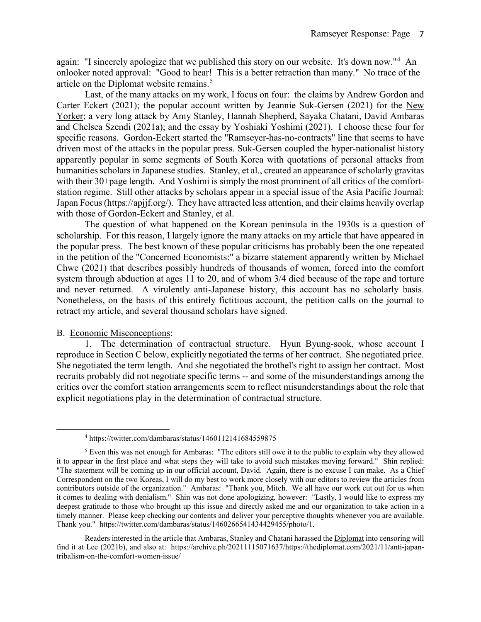again: "I sincerely apologize that we published this story on our website. It's down now."<sup>[4](#page-7-0)</sup> An onlooker noted approval: "Good to hear! This is a better retraction than many." No trace of the article on the Diplomat website remains.<sup>[5](#page-7-1)</sup>

Last, of the many attacks on my work, I focus on four: the claims by Andrew Gordon and Carter Eckert (2021); the popular account written by Jeannie Suk-Gersen (2021) for the New Yorker; a very long attack by Amy Stanley, Hannah Shepherd, Sayaka Chatani, David Ambaras and Chelsea Szendi (2021a); and the essay by Yoshiaki Yoshimi (2021). I choose these four for specific reasons. Gordon-Eckert started the "Ramseyer-has-no-contracts" line that seems to have driven most of the attacks in the popular press. Suk-Gersen coupled the hyper-nationalist history apparently popular in some segments of South Korea with quotations of personal attacks from humanities scholars in Japanese studies. Stanley, et al., created an appearance of scholarly gravitas with their 30+page length. And Yoshimi is simply the most prominent of all critics of the comfortstation regime. Still other attacks by scholars appear in a special issue of the Asia Pacific Journal: Japan Focus(https://apjjf.org/). They have attracted less attention, and their claims heavily overlap with those of Gordon-Eckert and Stanley, et al.

The question of what happened on the Korean peninsula in the 1930s is a question of scholarship. For this reason, I largely ignore the many attacks on my article that have appeared in the popular press. The best known of these popular criticisms has probably been the one repeated in the petition of the "Concerned Economists:" a bizarre statement apparently written by Michael Chwe (2021) that describes possibly hundreds of thousands of women, forced into the comfort system through abduction at ages 11 to 20, and of whom 3/4 died because of the rape and torture and never returned. A virulently anti-Japanese history, this account has no scholarly basis. Nonetheless, on the basis of this entirely fictitious account, the petition calls on the journal to retract my article, and several thousand scholars have signed.

### B. Economic Misconceptions:

 $\overline{a}$ 

1. The determination of contractual structure. Hyun Byung-sook, whose account I reproduce in Section C below, explicitly negotiated the terms of her contract. She negotiated price. She negotiated the term length. And she negotiated the brothel's right to assign her contract. Most recruits probably did not negotiate specific terms -- and some of the misunderstandings among the critics over the comfort station arrangements seem to reflect misunderstandings about the role that explicit negotiations play in the determination of contractual structure.

<sup>4</sup> https://twitter.com/dambaras/status/1460112141684559875

<span id="page-7-1"></span><span id="page-7-0"></span><sup>5</sup> Even this was not enough for Ambaras: "The editors still owe it to the public to explain why they allowed it to appear in the first place and what steps they will take to avoid such mistakes moving forward." Shin replied: "The statement will be coming up in our official account, David. Again, there is no excuse I can make. As a Chief Correspondent on the two Koreas, I will do my best to work more closely with our editors to review the articles from contributors outside of the organization." Ambaras: "Thank you, Mitch. We all have our work cut out for us when it comes to dealing with denialism." Shin was not done apologizing, however: "Lastly, I would like to express my deepest gratitude to those who brought up this issue and directly asked me and our organization to take action in a timely manner. Please keep checking our contents and deliver your perceptive thoughts whenever you are available. Thank you." https://twitter.com/dambaras/status/1460266541434429455/photo/1.

Readers interested in the article that Ambaras, Stanley and Chatani harassed the Diplomat into censoring will find it at Lee (2021b), and also at: https://archive.ph/20211115071637/https://thediplomat.com/2021/11/anti-japantribalism-on-the-comfort-women-issue/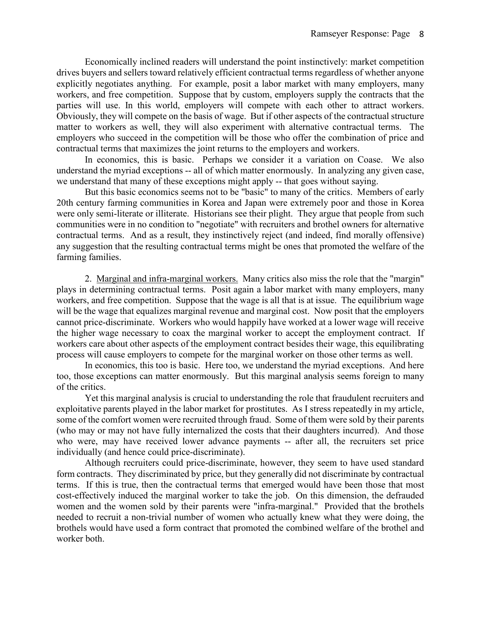Economically inclined readers will understand the point instinctively: market competition drives buyers and sellers toward relatively efficient contractual terms regardless of whether anyone explicitly negotiates anything. For example, posit a labor market with many employers, many workers, and free competition. Suppose that by custom, employers supply the contracts that the parties will use. In this world, employers will compete with each other to attract workers. Obviously, they will compete on the basis of wage. But if other aspects of the contractual structure matter to workers as well, they will also experiment with alternative contractual terms. The employers who succeed in the competition will be those who offer the combination of price and contractual terms that maximizes the joint returns to the employers and workers.

In economics, this is basic. Perhaps we consider it a variation on Coase. We also understand the myriad exceptions -- all of which matter enormously. In analyzing any given case, we understand that many of these exceptions might apply -- that goes without saying.

But this basic economics seems not to be "basic" to many of the critics. Members of early 20th century farming communities in Korea and Japan were extremely poor and those in Korea were only semi-literate or illiterate. Historians see their plight. They argue that people from such communities were in no condition to "negotiate" with recruiters and brothel owners for alternative contractual terms. And as a result, they instinctively reject (and indeed, find morally offensive) any suggestion that the resulting contractual terms might be ones that promoted the welfare of the farming families.

2. Marginal and infra-marginal workers. Many critics also miss the role that the "margin" plays in determining contractual terms. Posit again a labor market with many employers, many workers, and free competition. Suppose that the wage is all that is at issue. The equilibrium wage will be the wage that equalizes marginal revenue and marginal cost. Now posit that the employers cannot price-discriminate. Workers who would happily have worked at a lower wage will receive the higher wage necessary to coax the marginal worker to accept the employment contract. If workers care about other aspects of the employment contract besides their wage, this equilibrating process will cause employers to compete for the marginal worker on those other terms as well.

In economics, this too is basic. Here too, we understand the myriad exceptions. And here too, those exceptions can matter enormously. But this marginal analysis seems foreign to many of the critics.

Yet this marginal analysis is crucial to understanding the role that fraudulent recruiters and exploitative parents played in the labor market for prostitutes. As I stress repeatedly in my article, some of the comfort women were recruited through fraud. Some of them were sold by their parents (who may or may not have fully internalized the costs that their daughters incurred). And those who were, may have received lower advance payments -- after all, the recruiters set price individually (and hence could price-discriminate).

Although recruiters could price-discriminate, however, they seem to have used standard form contracts. They discriminated by price, but they generally did not discriminate by contractual terms. If this is true, then the contractual terms that emerged would have been those that most cost-effectively induced the marginal worker to take the job. On this dimension, the defrauded women and the women sold by their parents were "infra-marginal." Provided that the brothels needed to recruit a non-trivial number of women who actually knew what they were doing, the brothels would have used a form contract that promoted the combined welfare of the brothel and worker both.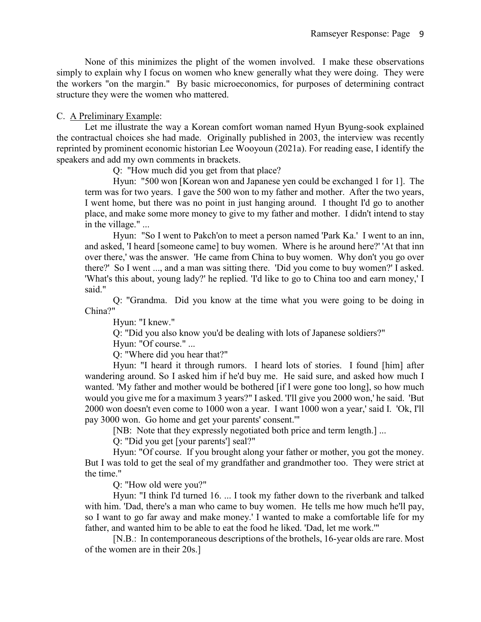None of this minimizes the plight of the women involved. I make these observations simply to explain why I focus on women who knew generally what they were doing. They were the workers "on the margin." By basic microeconomics, for purposes of determining contract structure they were the women who mattered.

# C. A Preliminary Example:

Let me illustrate the way a Korean comfort woman named Hyun Byung-sook explained the contractual choices she had made. Originally published in 2003, the interview was recently reprinted by prominent economic historian Lee Wooyoun (2021a). For reading ease, I identify the speakers and add my own comments in brackets.

Q: "How much did you get from that place?

Hyun: "500 won [Korean won and Japanese yen could be exchanged 1 for 1]. The term was for two years. I gave the 500 won to my father and mother. After the two years, I went home, but there was no point in just hanging around. I thought I'd go to another place, and make some more money to give to my father and mother. I didn't intend to stay in the village." ...

Hyun: "So I went to Pakch'on to meet a person named 'Park Ka.' I went to an inn, and asked, 'I heard [someone came] to buy women. Where is he around here?' 'At that inn over there,' was the answer. 'He came from China to buy women. Why don't you go over there?' So I went ..., and a man was sitting there. 'Did you come to buy women?' I asked. 'What's this about, young lady?' he replied. 'I'd like to go to China too and earn money,' I said."

Q: "Grandma. Did you know at the time what you were going to be doing in China?"

Hyun: "I knew."

Q: "Did you also know you'd be dealing with lots of Japanese soldiers?"

Hyun: "Of course." ...

Q: "Where did you hear that?"

Hyun: "I heard it through rumors. I heard lots of stories. I found [him] after wandering around. So I asked him if he'd buy me. He said sure, and asked how much I wanted. 'My father and mother would be bothered [if I were gone too long], so how much would you give me for a maximum 3 years?" I asked. 'I'll give you 2000 won,' he said. 'But 2000 won doesn't even come to 1000 won a year. I want 1000 won a year,' said I. 'Ok, I'll pay 3000 won. Go home and get your parents' consent.'"

[NB: Note that they expressly negotiated both price and term length.] ...

Q: "Did you get [your parents'] seal?"

Hyun: "Of course. If you brought along your father or mother, you got the money. But I was told to get the seal of my grandfather and grandmother too. They were strict at the time."

Q: "How old were you?"

Hyun: "I think I'd turned 16. ... I took my father down to the riverbank and talked with him. 'Dad, there's a man who came to buy women. He tells me how much he'll pay, so I want to go far away and make money.' I wanted to make a comfortable life for my father, and wanted him to be able to eat the food he liked. 'Dad, let me work.'"

[N.B.: In contemporaneous descriptions of the brothels, 16-year olds are rare. Most of the women are in their 20s.]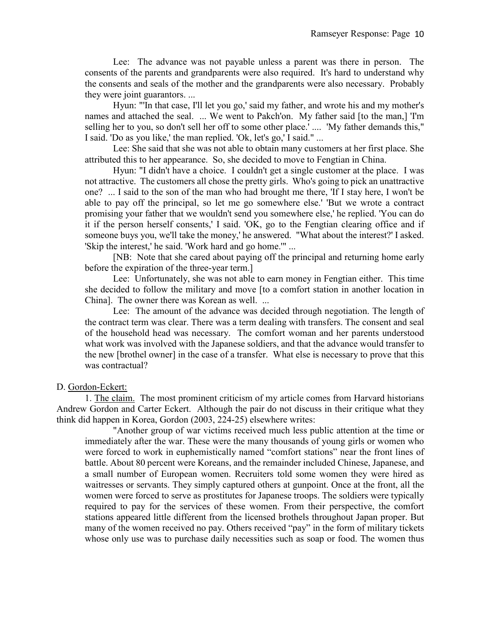Lee: The advance was not payable unless a parent was there in person. The consents of the parents and grandparents were also required. It's hard to understand why the consents and seals of the mother and the grandparents were also necessary. Probably they were joint guarantors. ...

Hyun: "'In that case, I'll let you go,' said my father, and wrote his and my mother's names and attached the seal. ... We went to Pakch'on. My father said [to the man,] 'I'm selling her to you, so don't sell her off to some other place.' .... 'My father demands this," I said. 'Do as you like,' the man replied. 'Ok, let's go,' I said." ...

Lee: She said that she was not able to obtain many customers at her first place. She attributed this to her appearance. So, she decided to move to Fengtian in China.

Hyun: "I didn't have a choice. I couldn't get a single customer at the place. I was not attractive. The customers all chose the pretty girls. Who's going to pick an unattractive one? ... I said to the son of the man who had brought me there, 'If I stay here, I won't be able to pay off the principal, so let me go somewhere else.' 'But we wrote a contract promising your father that we wouldn't send you somewhere else,' he replied. 'You can do it if the person herself consents,' I said. 'OK, go to the Fengtian clearing office and if someone buys you, we'll take the money,' he answered. "What about the interest?' I asked. 'Skip the interest,' he said. 'Work hard and go home.'" ...

[NB: Note that she cared about paying off the principal and returning home early before the expiration of the three-year term.]

Lee: Unfortunately, she was not able to earn money in Fengtian either. This time she decided to follow the military and move [to a comfort station in another location in China]. The owner there was Korean as well. ...

Lee: The amount of the advance was decided through negotiation. The length of the contract term was clear. There was a term dealing with transfers. The consent and seal of the household head was necessary. The comfort woman and her parents understood what work was involved with the Japanese soldiers, and that the advance would transfer to the new [brothel owner] in the case of a transfer. What else is necessary to prove that this was contractual?

### D. Gordon-Eckert:

1. The claim. The most prominent criticism of my article comes from Harvard historians Andrew Gordon and Carter Eckert. Although the pair do not discuss in their critique what they think did happen in Korea, Gordon (2003, 224-25) elsewhere writes:

"Another group of war victims received much less public attention at the time or immediately after the war. These were the many thousands of young girls or women who were forced to work in euphemistically named "comfort stations" near the front lines of battle. About 80 percent were Koreans, and the remainder included Chinese, Japanese, and a small number of European women. Recruiters told some women they were hired as waitresses or servants. They simply captured others at gunpoint. Once at the front, all the women were forced to serve as prostitutes for Japanese troops. The soldiers were typically required to pay for the services of these women. From their perspective, the comfort stations appeared little different from the licensed brothels throughout Japan proper. But many of the women received no pay. Others received "pay" in the form of military tickets whose only use was to purchase daily necessities such as soap or food. The women thus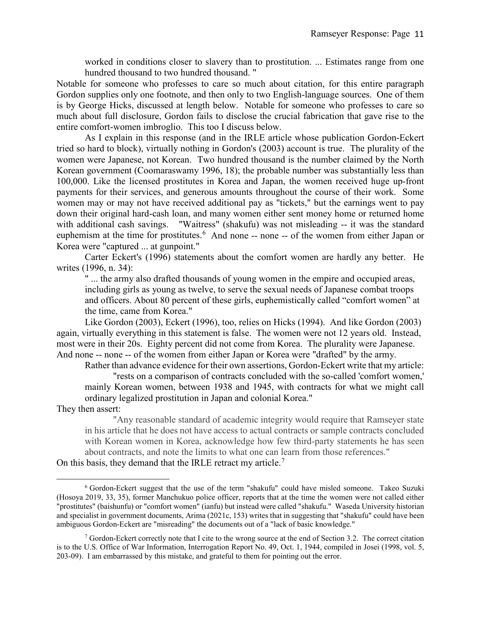worked in conditions closer to slavery than to prostitution. ... Estimates range from one hundred thousand to two hundred thousand. "

Notable for someone who professes to care so much about citation, for this entire paragraph Gordon supplies only one footnote, and then only to two English-language sources. One of them is by George Hicks, discussed at length below. Notable for someone who professes to care so much about full disclosure, Gordon fails to disclose the crucial fabrication that gave rise to the entire comfort-women imbroglio. This too I discuss below.

As I explain in this response (and in the IRLE article whose publication Gordon-Eckert tried so hard to block), virtually nothing in Gordon's (2003) account is true. The plurality of the women were Japanese, not Korean. Two hundred thousand is the number claimed by the North Korean government (Coomaraswamy 1996, 18); the probable number was substantially less than 100,000. Like the licensed prostitutes in Korea and Japan, the women received huge up-front payments for their services, and generous amounts throughout the course of their work. Some women may or may not have received additional pay as "tickets," but the earnings went to pay down their original hard-cash loan, and many women either sent money home or returned home with additional cash savings. "Waitress" (shakufu) was not misleading -- it was the standard euphemism at the time for prostitutes.<sup>[6](#page-11-0)</sup> And none -- none -- of the women from either Japan or Korea were "captured ... at gunpoint."

Carter Eckert's (1996) statements about the comfort women are hardly any better. He writes (1996, n. 34):

" ... the army also drafted thousands of young women in the empire and occupied areas, including girls as young as twelve, to serve the sexual needs of Japanese combat troops and officers. About 80 percent of these girls, euphemistically called "comfort women" at the time, came from Korea."

Like Gordon (2003), Eckert (1996), too, relies on Hicks (1994). And like Gordon (2003) again, virtually everything in this statement is false. The women were not 12 years old. Instead, most were in their 20s. Eighty percent did not come from Korea. The plurality were Japanese. And none -- none -- of the women from either Japan or Korea were "drafted" by the army.

Rather than advance evidence for their own assertions, Gordon-Eckert write that my article: "rests on a comparison of contracts concluded with the so-called 'comfort women,' mainly Korean women, between 1938 and 1945, with contracts for what we might call ordinary legalized prostitution in Japan and colonial Korea."

They then assert:

 $\overline{a}$ 

"Any reasonable standard of academic integrity would require that Ramseyer state in his article that he does not have access to actual contracts or sample contracts concluded with Korean women in Korea, acknowledge how few third-party statements he has seen about contracts, and note the limits to what one can learn from those references."

On this basis, they demand that the IRLE retract my article.<sup>[7](#page-11-1)</sup>

<span id="page-11-0"></span><sup>6</sup> Gordon-Eckert suggest that the use of the term "shakufu" could have misled someone. Takeo Suzuki (Hosoya 2019, 33, 35), former Manchukuo police officer, reports that at the time the women were not called either "prostitutes" (baishunfu) or "comfort women" (ianfu) but instead were called "shakufu." Waseda University historian and specialist in government documents, Arima (2021c, 153) writes that in suggesting that "shakufu" could have been ambiguous Gordon-Eckert are "misreading" the documents out of a "lack of basic knowledge."

<span id="page-11-1"></span><sup>&</sup>lt;sup>7</sup> Gordon-Eckert correctly note that I cite to the wrong source at the end of Section 3.2. The correct citation is to the U.S. Office of War Information, Interrogation Report No. 49, Oct. 1, 1944, compiled in Josei (1998, vol. 5, 203-09). I am embarrassed by this mistake, and grateful to them for pointing out the error.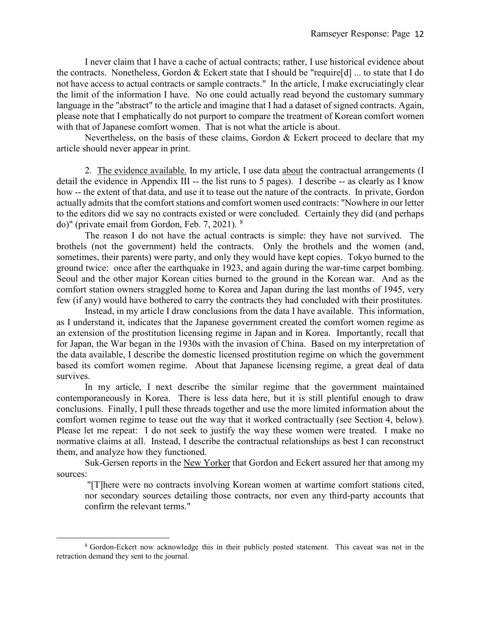I never claim that I have a cache of actual contracts; rather, I use historical evidence about the contracts. Nonetheless, Gordon & Eckert state that I should be "require[d] ... to state that I do not have access to actual contracts or sample contracts." In the article, I make excruciatingly clear the limit of the information I have. No one could actually read beyond the customary summary language in the "abstract" to the article and imagine that I had a dataset of signed contracts. Again, please note that I emphatically do not purport to compare the treatment of Korean comfort women with that of Japanese comfort women. That is not what the article is about.

Nevertheless, on the basis of these claims, Gordon & Eckert proceed to declare that my article should never appear in print.

2. The evidence available. In my article, I use data about the contractual arrangements (I detail the evidence in Appendix III -- the list runs to 5 pages). I describe -- as clearly as I know how -- the extent of that data, and use it to tease out the nature of the contracts. In private, Gordon actually admits that the comfort stations and comfort women used contracts: "Nowhere in our letter to the editors did we say no contracts existed or were concluded. Certainly they did (and perhaps do)" (private email from Gordon, Feb. 7, 2021). [8](#page-12-0)

The reason I do not have the actual contracts is simple: they have not survived. The brothels (not the government) held the contracts. Only the brothels and the women (and, sometimes, their parents) were party, and only they would have kept copies. Tokyo burned to the ground twice: once after the earthquake in 1923, and again during the war-time carpet bombing. Seoul and the other major Korean cities burned to the ground in the Korean war. And as the comfort station owners straggled home to Korea and Japan during the last months of 1945, very few (if any) would have bothered to carry the contracts they had concluded with their prostitutes.

Instead, in my article I draw conclusions from the data I have available. This information, as I understand it, indicates that the Japanese government created the comfort women regime as an extension of the prostitution licensing regime in Japan and in Korea. Importantly, recall that for Japan, the War began in the 1930s with the invasion of China. Based on my interpretation of the data available, I describe the domestic licensed prostitution regime on which the government based its comfort women regime. About that Japanese licensing regime, a great deal of data survives.

In my article, I next describe the similar regime that the government maintained contemporaneously in Korea. There is less data here, but it is still plentiful enough to draw conclusions. Finally, I pull these threads together and use the more limited information about the comfort women regime to tease out the way that it worked contractually (see Section 4, below). Please let me repeat: I do not seek to justify the way these women were treated. I make no normative claims at all. Instead, I describe the contractual relationships as best I can reconstruct them, and analyze how they functioned.

Suk-Gersen reports in the New Yorker that Gordon and Eckert assured her that among my sources:

"[T]here were no contracts involving Korean women at wartime comfort stations cited, nor secondary sources detailing those contracts, nor even any third-party accounts that confirm the relevant terms."

 $\overline{a}$ 

<span id="page-12-0"></span><sup>8</sup> Gordon-Eckert now acknowledge this in their publicly posted statement. This caveat was not in the retraction demand they sent to the journal.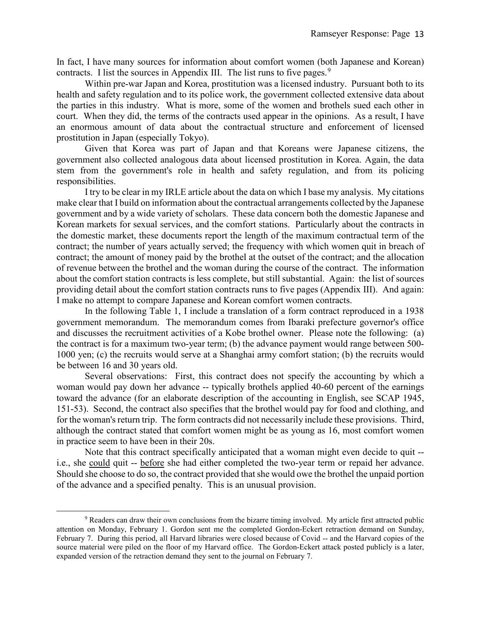In fact, I have many sources for information about comfort women (both Japanese and Korean) contracts. I list the sources in Appendix III. The list runs to five pages.<sup>[9](#page-13-0)</sup>

Within pre-war Japan and Korea, prostitution was a licensed industry. Pursuant both to its health and safety regulation and to its police work, the government collected extensive data about the parties in this industry. What is more, some of the women and brothels sued each other in court. When they did, the terms of the contracts used appear in the opinions. As a result, I have an enormous amount of data about the contractual structure and enforcement of licensed prostitution in Japan (especially Tokyo).

Given that Korea was part of Japan and that Koreans were Japanese citizens, the government also collected analogous data about licensed prostitution in Korea. Again, the data stem from the government's role in health and safety regulation, and from its policing responsibilities.

I try to be clear in my IRLE article about the data on which I base my analysis. My citations make clear that I build on information about the contractual arrangements collected by the Japanese government and by a wide variety of scholars. These data concern both the domestic Japanese and Korean markets for sexual services, and the comfort stations. Particularly about the contracts in the domestic market, these documents report the length of the maximum contractual term of the contract; the number of years actually served; the frequency with which women quit in breach of contract; the amount of money paid by the brothel at the outset of the contract; and the allocation of revenue between the brothel and the woman during the course of the contract. The information about the comfort station contracts is less complete, but still substantial. Again: the list of sources providing detail about the comfort station contracts runs to five pages (Appendix III). And again: I make no attempt to compare Japanese and Korean comfort women contracts.

In the following Table 1, I include a translation of a form contract reproduced in a 1938 government memorandum. The memorandum comes from Ibaraki prefecture governor's office and discusses the recruitment activities of a Kobe brothel owner. Please note the following: (a) the contract is for a maximum two-year term; (b) the advance payment would range between 500- 1000 yen; (c) the recruits would serve at a Shanghai army comfort station; (b) the recruits would be between 16 and 30 years old.

Several observations: First, this contract does not specify the accounting by which a woman would pay down her advance -- typically brothels applied 40-60 percent of the earnings toward the advance (for an elaborate description of the accounting in English, see SCAP 1945, 151-53). Second, the contract also specifies that the brothel would pay for food and clothing, and for the woman's return trip. The form contracts did not necessarily include these provisions. Third, although the contract stated that comfort women might be as young as 16, most comfort women in practice seem to have been in their 20s.

Note that this contract specifically anticipated that a woman might even decide to quit - i.e., she could quit -- before she had either completed the two-year term or repaid her advance. Should she choose to do so, the contract provided that she would owe the brothel the unpaid portion of the advance and a specified penalty. This is an unusual provision.

 $\overline{a}$ 

<span id="page-13-0"></span><sup>9</sup> Readers can draw their own conclusions from the bizarre timing involved. My article first attracted public attention on Monday, February 1. Gordon sent me the completed Gordon-Eckert retraction demand on Sunday, February 7. During this period, all Harvard libraries were closed because of Covid -- and the Harvard copies of the source material were piled on the floor of my Harvard office. The Gordon-Eckert attack posted publicly is a later, expanded version of the retraction demand they sent to the journal on February 7.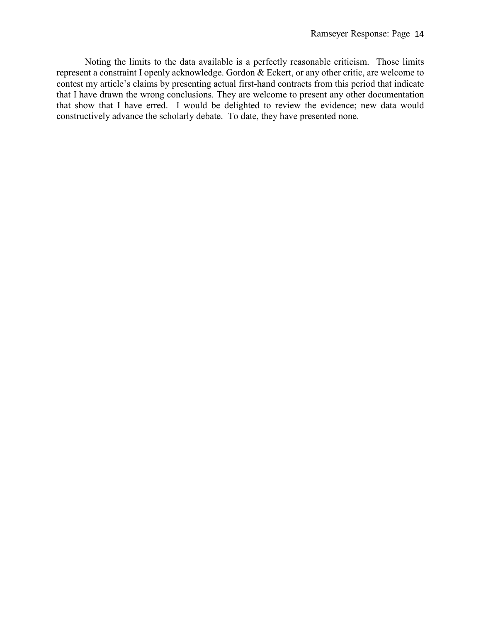Noting the limits to the data available is a perfectly reasonable criticism. Those limits represent a constraint I openly acknowledge. Gordon & Eckert, or any other critic, are welcome to contest my article's claims by presenting actual first-hand contracts from this period that indicate that I have drawn the wrong conclusions. They are welcome to present any other documentation that show that I have erred. I would be delighted to review the evidence; new data would constructively advance the scholarly debate. To date, they have presented none.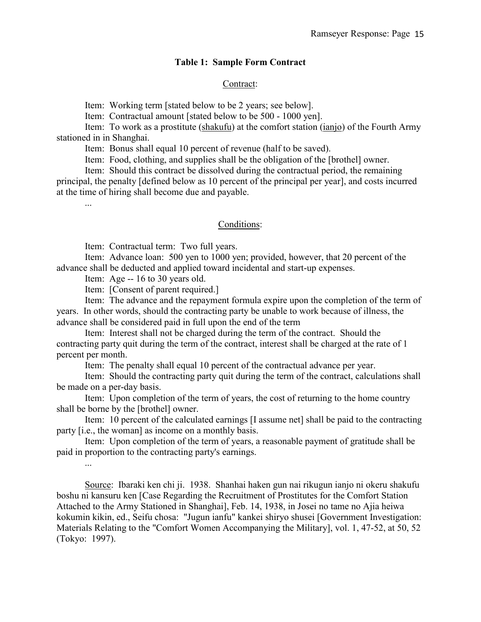### **Table 1: Sample Form Contract**

#### Contract:

Item: Working term [stated below to be 2 years; see below].

Item: Contractual amount [stated below to be 500 - 1000 yen].

Item: To work as a prostitute (shakufu) at the comfort station (ianjo) of the Fourth Army stationed in in Shanghai.

Item: Bonus shall equal 10 percent of revenue (half to be saved).

Item: Food, clothing, and supplies shall be the obligation of the [brothel] owner.

Item: Should this contract be dissolved during the contractual period, the remaining principal, the penalty [defined below as 10 percent of the principal per year], and costs incurred at the time of hiring shall become due and payable.

...

...

#### Conditions:

Item: Contractual term: Two full years.

Item: Advance loan: 500 yen to 1000 yen; provided, however, that 20 percent of the advance shall be deducted and applied toward incidental and start-up expenses.

Item: Age -- 16 to 30 years old.

Item: [Consent of parent required.]

Item: The advance and the repayment formula expire upon the completion of the term of years. In other words, should the contracting party be unable to work because of illness, the advance shall be considered paid in full upon the end of the term

Item: Interest shall not be charged during the term of the contract. Should the contracting party quit during the term of the contract, interest shall be charged at the rate of 1 percent per month.

Item: The penalty shall equal 10 percent of the contractual advance per year.

Item: Should the contracting party quit during the term of the contract, calculations shall be made on a per-day basis.

Item: Upon completion of the term of years, the cost of returning to the home country shall be borne by the [brothel] owner.

Item: 10 percent of the calculated earnings [I assume net] shall be paid to the contracting party [i.e., the woman] as income on a monthly basis.

Item: Upon completion of the term of years, a reasonable payment of gratitude shall be paid in proportion to the contracting party's earnings.

Source: Ibaraki ken chi ji. 1938. Shanhai haken gun nai rikugun ianjo ni okeru shakufu boshu ni kansuru ken [Case Regarding the Recruitment of Prostitutes for the Comfort Station Attached to the Army Stationed in Shanghai], Feb. 14, 1938, in Josei no tame no Ajia heiwa kokumin kikin, ed., Seifu chosa: "Jugun ianfu" kankei shiryo shusei [Government Investigation: Materials Relating to the "Comfort Women Accompanying the Military], vol. 1, 47-52, at 50, 52 (Tokyo: 1997).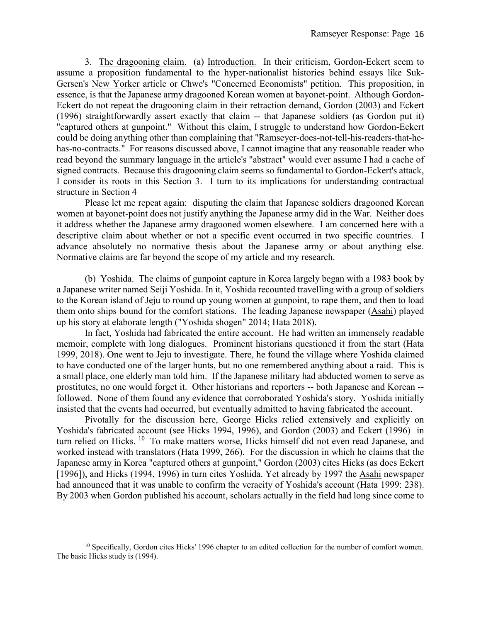3. The dragooning claim. (a) Introduction. In their criticism, Gordon-Eckert seem to assume a proposition fundamental to the hyper-nationalist histories behind essays like Suk-Gersen's New Yorker article or Chwe's "Concerned Economists" petition. This proposition, in essence, is that the Japanese army dragooned Korean women at bayonet-point. Although Gordon-Eckert do not repeat the dragooning claim in their retraction demand, Gordon (2003) and Eckert (1996) straightforwardly assert exactly that claim -- that Japanese soldiers (as Gordon put it) "captured others at gunpoint." Without this claim, I struggle to understand how Gordon-Eckert could be doing anything other than complaining that "Ramseyer-does-not-tell-his-readers-that-hehas-no-contracts." For reasons discussed above, I cannot imagine that any reasonable reader who read beyond the summary language in the article's "abstract" would ever assume I had a cache of signed contracts. Because this dragooning claim seems so fundamental to Gordon-Eckert's attack, I consider its roots in this Section 3. I turn to its implications for understanding contractual structure in Section 4

Please let me repeat again: disputing the claim that Japanese soldiers dragooned Korean women at bayonet-point does not justify anything the Japanese army did in the War. Neither does it address whether the Japanese army dragooned women elsewhere. I am concerned here with a descriptive claim about whether or not a specific event occurred in two specific countries. I advance absolutely no normative thesis about the Japanese army or about anything else. Normative claims are far beyond the scope of my article and my research.

(b) Yoshida. The claims of gunpoint capture in Korea largely began with a 1983 book by a Japanese writer named Seiji Yoshida. In it, Yoshida recounted travelling with a group of soldiers to the Korean island of Jeju to round up young women at gunpoint, to rape them, and then to load them onto ships bound for the comfort stations. The leading Japanese newspaper (Asahi) played up his story at elaborate length ("Yoshida shogen" 2014; Hata 2018).

In fact, Yoshida had fabricated the entire account. He had written an immensely readable memoir, complete with long dialogues. Prominent historians questioned it from the start (Hata 1999, 2018). One went to Jeju to investigate. There, he found the village where Yoshida claimed to have conducted one of the larger hunts, but no one remembered anything about a raid. This is a small place, one elderly man told him. If the Japanese military had abducted women to serve as prostitutes, no one would forget it. Other historians and reporters -- both Japanese and Korean - followed. None of them found any evidence that corroborated Yoshida's story. Yoshida initially insisted that the events had occurred, but eventually admitted to having fabricated the account.

Pivotally for the discussion here, George Hicks relied extensively and explicitly on Yoshida's fabricated account (see Hicks 1994, 1996), and Gordon (2003) and Eckert (1996) in turn relied on Hicks. <sup>[10](#page-16-0)</sup> To make matters worse, Hicks himself did not even read Japanese, and worked instead with translators (Hata 1999, 266). For the discussion in which he claims that the Japanese army in Korea "captured others at gunpoint," Gordon (2003) cites Hicks (as does Eckert [1996]), and Hicks (1994, 1996) in turn cites Yoshida. Yet already by 1997 the Asahi newspaper had announced that it was unable to confirm the veracity of Yoshida's account (Hata 1999: 238). By 2003 when Gordon published his account, scholars actually in the field had long since come to

 $\overline{a}$ 

<span id="page-16-0"></span> $10$  Specifically, Gordon cites Hicks' 1996 chapter to an edited collection for the number of comfort women. The basic Hicks study is (1994).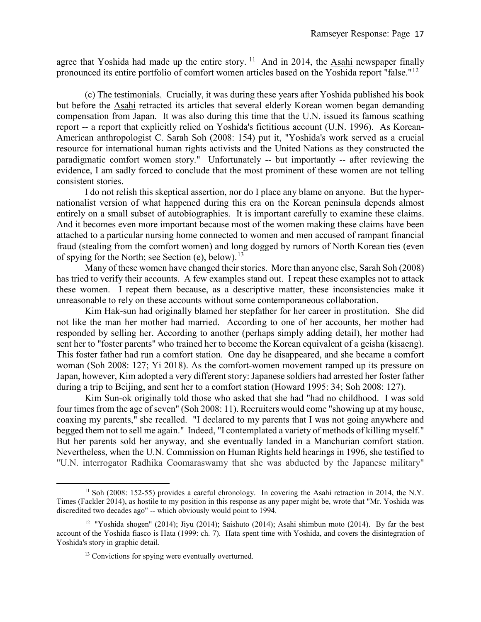agree that Yoshida had made up the entire story.  $^{11}$  $^{11}$  $^{11}$  And in 2014, the Asahi newspaper finally pronounced its entire portfolio of comfort women articles based on the Yoshida report "false."<sup>[12](#page-17-1)</sup>

(c) The testimonials. Crucially, it was during these years after Yoshida published his book but before the Asahi retracted its articles that several elderly Korean women began demanding compensation from Japan. It was also during this time that the U.N. issued its famous scathing report -- a report that explicitly relied on Yoshida's fictitious account (U.N. 1996). As Korean-American anthropologist C. Sarah Soh (2008: 154) put it, "Yoshida's work served as a crucial resource for international human rights activists and the United Nations as they constructed the paradigmatic comfort women story." Unfortunately -- but importantly -- after reviewing the evidence, I am sadly forced to conclude that the most prominent of these women are not telling consistent stories.

I do not relish this skeptical assertion, nor do I place any blame on anyone. But the hypernationalist version of what happened during this era on the Korean peninsula depends almost entirely on a small subset of autobiographies. It is important carefully to examine these claims. And it becomes even more important because most of the women making these claims have been attached to a particular nursing home connected to women and men accused of rampant financial fraud (stealing from the comfort women) and long dogged by rumors of North Korean ties (even of spying for the North; see Section (e), below).<sup>13</sup>

Many of these women have changed their stories. More than anyone else, Sarah Soh (2008) has tried to verify their accounts. A few examples stand out. I repeat these examples not to attack these women. I repeat them because, as a descriptive matter, these inconsistencies make it unreasonable to rely on these accounts without some contemporaneous collaboration.

Kim Hak-sun had originally blamed her stepfather for her career in prostitution. She did not like the man her mother had married. According to one of her accounts, her mother had responded by selling her. According to another (perhaps simply adding detail), her mother had sent her to "foster parents" who trained her to become the Korean equivalent of a geisha (kisaeng). This foster father had run a comfort station. One day he disappeared, and she became a comfort woman (Soh 2008: 127; Yi 2018). As the comfort-women movement ramped up its pressure on Japan, however, Kim adopted a very different story: Japanese soldiers had arrested her foster father during a trip to Beijing, and sent her to a comfort station (Howard 1995: 34; Soh 2008: 127).

Kim Sun-ok originally told those who asked that she had "had no childhood. I was sold four times from the age of seven" (Soh 2008: 11). Recruiters would come "showing up at my house, coaxing my parents," she recalled. "I declared to my parents that I was not going anywhere and begged them not to sell me again." Indeed, "I contemplated a variety of methods of killing myself." But her parents sold her anyway, and she eventually landed in a Manchurian comfort station. Nevertheless, when the U.N. Commission on Human Rights held hearings in 1996, she testified to "U.N. interrogator Radhika Coomaraswamy that she was abducted by the Japanese military"

 $\overline{a}$ 

<span id="page-17-0"></span><sup>&</sup>lt;sup>11</sup> Soh (2008: 152-55) provides a careful chronology. In covering the Asahi retraction in 2014, the N.Y. Times (Fackler 2014), as hostile to my position in this response as any paper might be, wrote that "Mr. Yoshida was discredited two decades ago" -- which obviously would point to 1994.

<span id="page-17-2"></span><span id="page-17-1"></span><sup>&</sup>lt;sup>12</sup> "Yoshida shogen" (2014); Jiyu (2014); Saishuto (2014); Asahi shimbun moto (2014). By far the best account of the Yoshida fiasco is Hata (1999: ch. 7). Hata spent time with Yoshida, and covers the disintegration of Yoshida's story in graphic detail.

<sup>&</sup>lt;sup>13</sup> Convictions for spying were eventually overturned.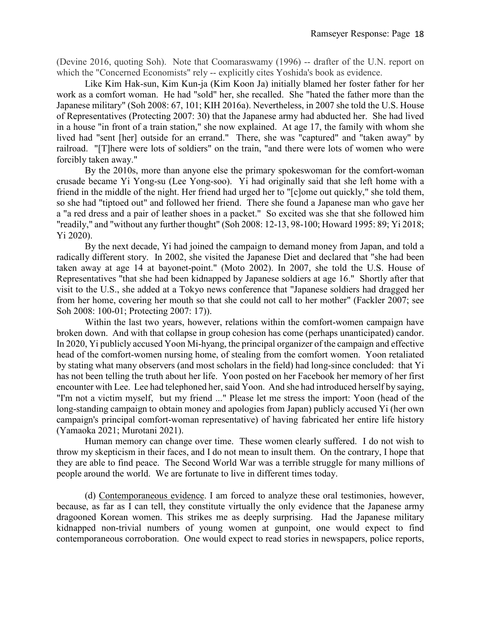(Devine 2016, quoting Soh). Note that Coomaraswamy (1996) -- drafter of the U.N. report on which the "Concerned Economists" rely -- explicitly cites Yoshida's book as evidence.

Like Kim Hak-sun, Kim Kun-ja (Kim Koon Ja) initially blamed her foster father for her work as a comfort woman. He had "sold" her, she recalled. She "hated the father more than the Japanese military" (Soh 2008: 67, 101; KIH 2016a). Nevertheless, in 2007 she told the U.S. House of Representatives (Protecting 2007: 30) that the Japanese army had abducted her. She had lived in a house "in front of a train station," she now explained. At age 17, the family with whom she lived had "sent [her] outside for an errand." There, she was "captured" and "taken away" by railroad. "[T]here were lots of soldiers" on the train, "and there were lots of women who were forcibly taken away."

By the 2010s, more than anyone else the primary spokeswoman for the comfort-woman crusade became Yi Yong-su (Lee Yong-soo). Yi had originally said that she left home with a friend in the middle of the night. Her friend had urged her to "[c]ome out quickly," she told them, so she had "tiptoed out" and followed her friend. There she found a Japanese man who gave her a "a red dress and a pair of leather shoes in a packet." So excited was she that she followed him "readily," and "without any further thought" (Soh 2008: 12-13, 98-100; Howard 1995: 89; Yi 2018; Yi 2020).

By the next decade, Yi had joined the campaign to demand money from Japan, and told a radically different story. In 2002, she visited the Japanese Diet and declared that "she had been taken away at age 14 at bayonet-point." (Moto 2002). In 2007, she told the U.S. House of Representatives "that she had been kidnapped by Japanese soldiers at age 16." Shortly after that visit to the U.S., she added at a Tokyo news conference that "Japanese soldiers had dragged her from her home, covering her mouth so that she could not call to her mother" (Fackler 2007; see Soh 2008: 100-01; Protecting 2007: 17)).

Within the last two years, however, relations within the comfort-women campaign have broken down. And with that collapse in group cohesion has come (perhaps unanticipated) candor. In 2020, Yi publicly accused Yoon Mi-hyang, the principal organizer of the campaign and effective head of the comfort-women nursing home, of stealing from the comfort women. Yoon retaliated by stating what many observers (and most scholars in the field) had long-since concluded: that Yi has not been telling the truth about her life. Yoon posted on her Facebook her memory of her first encounter with Lee. Lee had telephoned her, said Yoon. And she had introduced herself by saying, "I'm not a victim myself, but my friend ..." Please let me stress the import: Yoon (head of the long-standing campaign to obtain money and apologies from Japan) publicly accused Yi (her own campaign's principal comfort-woman representative) of having fabricated her entire life history (Yamaoka 2021; Murotani 2021).

Human memory can change over time. These women clearly suffered. I do not wish to throw my skepticism in their faces, and I do not mean to insult them. On the contrary, I hope that they are able to find peace. The Second World War was a terrible struggle for many millions of people around the world. We are fortunate to live in different times today.

(d) Contemporaneous evidence. I am forced to analyze these oral testimonies, however, because, as far as I can tell, they constitute virtually the only evidence that the Japanese army dragooned Korean women. This strikes me as deeply surprising. Had the Japanese military kidnapped non-trivial numbers of young women at gunpoint, one would expect to find contemporaneous corroboration. One would expect to read stories in newspapers, police reports,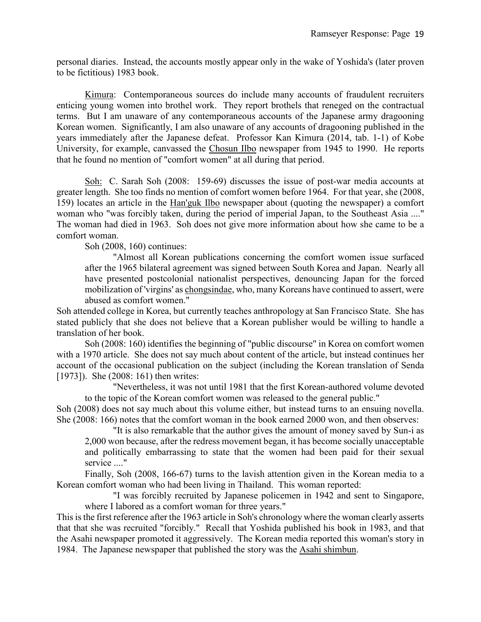personal diaries. Instead, the accounts mostly appear only in the wake of Yoshida's (later proven to be fictitious) 1983 book.

Kimura: Contemporaneous sources do include many accounts of fraudulent recruiters enticing young women into brothel work. They report brothels that reneged on the contractual terms. But I am unaware of any contemporaneous accounts of the Japanese army dragooning Korean women. Significantly, I am also unaware of any accounts of dragooning published in the years immediately after the Japanese defeat. Professor Kan Kimura (2014, tab. 1-1) of Kobe University, for example, canvassed the Chosun Ilbo newspaper from 1945 to 1990. He reports that he found no mention of "comfort women" at all during that period.

Soh: C. Sarah Soh (2008: 159-69) discusses the issue of post-war media accounts at greater length. She too finds no mention of comfort women before 1964. For that year, she (2008, 159) locates an article in the Han'guk Ilbo newspaper about (quoting the newspaper) a comfort woman who "was forcibly taken, during the period of imperial Japan, to the Southeast Asia ...." The woman had died in 1963. Soh does not give more information about how she came to be a comfort woman.

Soh (2008, 160) continues:

"Almost all Korean publications concerning the comfort women issue surfaced after the 1965 bilateral agreement was signed between South Korea and Japan. Nearly all have presented postcolonial nationalist perspectives, denouncing Japan for the forced mobilization of 'virgins' as chongsindae, who, many Koreans have continued to assert, were abused as comfort women."

Soh attended college in Korea, but currently teaches anthropology at San Francisco State. She has stated publicly that she does not believe that a Korean publisher would be willing to handle a translation of her book.

 Soh (2008: 160) identifies the beginning of "public discourse" in Korea on comfort women with a 1970 article. She does not say much about content of the article, but instead continues her account of the occasional publication on the subject (including the Korean translation of Senda [1973]). She (2008: 161) then writes:

"Nevertheless, it was not until 1981 that the first Korean-authored volume devoted to the topic of the Korean comfort women was released to the general public."

Soh (2008) does not say much about this volume either, but instead turns to an ensuing novella. She (2008: 166) notes that the comfort woman in the book earned 2000 won, and then observes:

"It is also remarkable that the author gives the amount of money saved by Sun-i as 2,000 won because, after the redress movement began, it has become socially unacceptable and politically embarrassing to state that the women had been paid for their sexual service ...."

Finally, Soh (2008, 166-67) turns to the lavish attention given in the Korean media to a Korean comfort woman who had been living in Thailand. This woman reported:

"I was forcibly recruited by Japanese policemen in 1942 and sent to Singapore, where I labored as a comfort woman for three years."

This is the first reference after the 1963 article in Soh's chronology where the woman clearly asserts that that she was recruited "forcibly." Recall that Yoshida published his book in 1983, and that the Asahi newspaper promoted it aggressively. The Korean media reported this woman's story in 1984. The Japanese newspaper that published the story was the Asahi shimbun.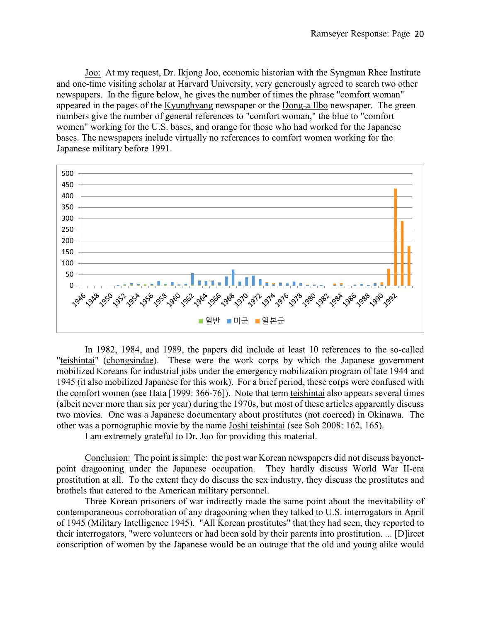Joo: At my request, Dr. Ikjong Joo, economic historian with the Syngman Rhee Institute and one-time visiting scholar at Harvard University, very generously agreed to search two other newspapers. In the figure below, he gives the number of times the phrase "comfort woman" appeared in the pages of the Kyunghyang newspaper or the Dong-a Ilbo newspaper. The green numbers give the number of general references to "comfort woman," the blue to "comfort women" working for the U.S. bases, and orange for those who had worked for the Japanese bases. The newspapers include virtually no references to comfort women working for the Japanese military before 1991.



In 1982, 1984, and 1989, the papers did include at least 10 references to the so-called "teishintai" (chongsindae). These were the work corps by which the Japanese government mobilized Koreans for industrial jobs under the emergency mobilization program of late 1944 and 1945 (it also mobilized Japanese for this work). For a brief period, these corps were confused with the comfort women (see Hata [1999: 366-76]). Note that term teishintai also appears several times (albeit never more than six per year) during the 1970s, but most of these articles apparently discuss two movies. One was a Japanese documentary about prostitutes (not coerced) in Okinawa. The other was a pornographic movie by the name Joshi teishintai (see Soh 2008: 162, 165).

I am extremely grateful to Dr. Joo for providing this material.

Conclusion: The point is simple: the post war Korean newspapers did not discuss bayonetpoint dragooning under the Japanese occupation. They hardly discuss World War II-era prostitution at all. To the extent they do discuss the sex industry, they discuss the prostitutes and brothels that catered to the American military personnel.

Three Korean prisoners of war indirectly made the same point about the inevitability of contemporaneous corroboration of any dragooning when they talked to U.S. interrogators in April of 1945 (Military Intelligence 1945). "All Korean prostitutes" that they had seen, they reported to their interrogators, "were volunteers or had been sold by their parents into prostitution. ... [D]irect conscription of women by the Japanese would be an outrage that the old and young alike would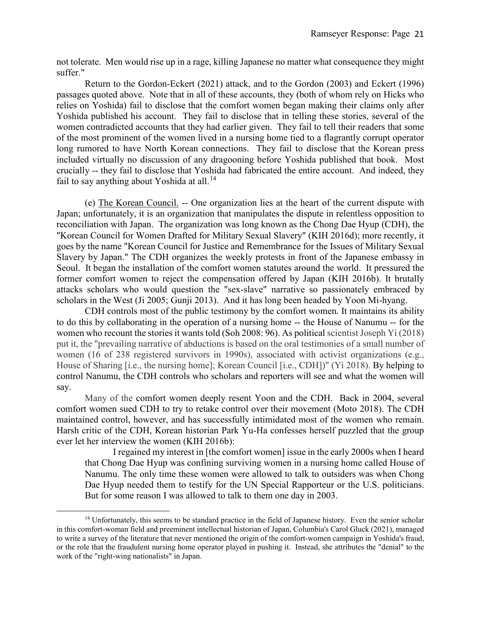not tolerate. Men would rise up in a rage, killing Japanese no matter what consequence they might suffer."

Return to the Gordon-Eckert (2021) attack, and to the Gordon (2003) and Eckert (1996) passages quoted above. Note that in all of these accounts, they (both of whom rely on Hicks who relies on Yoshida) fail to disclose that the comfort women began making their claims only after Yoshida published his account. They fail to disclose that in telling these stories, several of the women contradicted accounts that they had earlier given. They fail to tell their readers that some of the most prominent of the women lived in a nursing home tied to a flagrantly corrupt operator long rumored to have North Korean connections. They fail to disclose that the Korean press included virtually no discussion of any dragooning before Yoshida published that book. Most crucially -- they fail to disclose that Yoshida had fabricated the entire account. And indeed, they fail to say anything about Yoshida at all.<sup>[14](#page-21-0)</sup>

(e) The Korean Council. -- One organization lies at the heart of the current dispute with Japan; unfortunately, it is an organization that manipulates the dispute in relentless opposition to reconciliation with Japan. The organization was long known as the Chong Dae Hyup (CDH), the "Korean Council for Women Drafted for Military Sexual Slavery" (KIH 2016d); more recently, it goes by the name "Korean Council for Justice and Remembrance for the Issues of Military Sexual Slavery by Japan." The CDH organizes the weekly protests in front of the Japanese embassy in Seoul. It began the installation of the comfort women statutes around the world. It pressured the former comfort women to reject the compensation offered by Japan (KIH 2016b). It brutally attacks scholars who would question the "sex-slave" narrative so passionately embraced by scholars in the West (Ji 2005; Gunji 2013). And it has long been headed by Yoon Mi-hyang.

CDH controls most of the public testimony by the comfort women. It maintains its ability to do this by collaborating in the operation of a nursing home -- the House of Nanumu -- for the women who recount the stories it wants told (Soh 2008: 96). As political scientist Joseph Yi (2018) put it, the "prevailing narrative of abductions is based on the oral testimonies of a small number of women (16 of 238 registered survivors in 1990s), associated with activist organizations (e.g., House of Sharing [i.e., the nursing home]; Korean Council [i.e., CDH])" (Yi 2018). By helping to control Nanumu, the CDH controls who scholars and reporters will see and what the women will say.

Many of the comfort women deeply resent Yoon and the CDH. Back in 2004, several comfort women sued CDH to try to retake control over their movement (Moto 2018). The CDH maintained control, however, and has successfully intimidated most of the women who remain. Harsh critic of the CDH, Korean historian Park Yu-Ha confesses herself puzzled that the group ever let her interview the women (KIH 2016b):

I regained my interest in [the comfort women] issue in the early 2000s when I heard that Chong Dae Hyup was confining surviving women in a nursing home called House of Nanumu. The only time these women were allowed to talk to outsiders was when Chong Dae Hyup needed them to testify for the UN Special Rapporteur or the U.S. politicians. But for some reason I was allowed to talk to them one day in 2003.

 $\overline{a}$ 

<span id="page-21-0"></span><sup>&</sup>lt;sup>14</sup> Unfortunately, this seems to be standard practice in the field of Japanese history. Even the senior scholar in this comfort-woman field and preeminent intellectual historian of Japan, Columbia's Carol Gluck (2021), managed to write a survey of the literature that never mentioned the origin of the comfort-women campaign in Yoshida's fraud, or the role that the fraudulent nursing home operator played in pushing it. Instead, she attributes the "denial" to the work of the "right-wing nationalists" in Japan.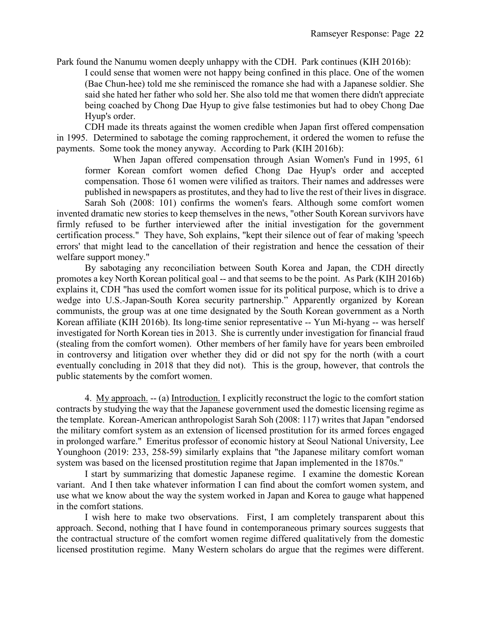Park found the Nanumu women deeply unhappy with the CDH. Park continues (KIH 2016b):

I could sense that women were not happy being confined in this place. One of the women (Bae Chun-hee) told me she reminisced the romance she had with a Japanese soldier. She said she hated her father who sold her. She also told me that women there didn't appreciate being coached by Chong Dae Hyup to give false testimonies but had to obey Chong Dae Hyup's order.

CDH made its threats against the women credible when Japan first offered compensation in 1995. Determined to sabotage the coming rapprochement, it ordered the women to refuse the payments. Some took the money anyway. According to Park (KIH 2016b):

When Japan offered compensation through Asian Women's Fund in 1995, 61 former Korean comfort women defied Chong Dae Hyup's order and accepted compensation. Those 61 women were vilified as traitors. Their names and addresses were published in newspapers as prostitutes, and they had to live the rest of their lives in disgrace. Sarah Soh (2008: 101) confirms the women's fears. Although some comfort women

invented dramatic new stories to keep themselves in the news, "other South Korean survivors have firmly refused to be further interviewed after the initial investigation for the government certification process." They have, Soh explains, "kept their silence out of fear of making 'speech errors' that might lead to the cancellation of their registration and hence the cessation of their welfare support money."

By sabotaging any reconciliation between South Korea and Japan, the CDH directly promotes a key North Korean political goal -- and that seems to be the point. As Park (KIH 2016b) explains it, CDH "has used the comfort women issue for its political purpose, which is to drive a wedge into U.S.-Japan-South Korea security partnership." Apparently organized by Korean communists, the group was at one time designated by the South Korean government as a North Korean affiliate (KIH 2016b). Its long-time senior representative -- Yun Mi-hyang -- was herself investigated for North Korean ties in 2013. She is currently under investigation for financial fraud (stealing from the comfort women). Other members of her family have for years been embroiled in controversy and litigation over whether they did or did not spy for the north (with a court eventually concluding in 2018 that they did not). This is the group, however, that controls the public statements by the comfort women.

4. My approach. -- (a) Introduction. I explicitly reconstruct the logic to the comfort station contracts by studying the way that the Japanese government used the domestic licensing regime as the template. Korean-American anthropologist Sarah Soh (2008: 117) writes that Japan "endorsed the military comfort system as an extension of licensed prostitution for its armed forces engaged in prolonged warfare." Emeritus professor of economic history at Seoul National University, Lee Younghoon (2019: 233, 258-59) similarly explains that "the Japanese military comfort woman system was based on the licensed prostitution regime that Japan implemented in the 1870s."

I start by summarizing that domestic Japanese regime. I examine the domestic Korean variant. And I then take whatever information I can find about the comfort women system, and use what we know about the way the system worked in Japan and Korea to gauge what happened in the comfort stations.

I wish here to make two observations. First, I am completely transparent about this approach. Second, nothing that I have found in contemporaneous primary sources suggests that the contractual structure of the comfort women regime differed qualitatively from the domestic licensed prostitution regime. Many Western scholars do argue that the regimes were different.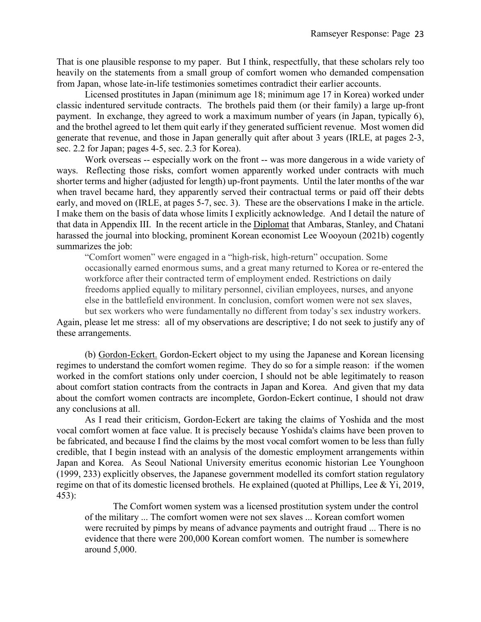That is one plausible response to my paper. But I think, respectfully, that these scholars rely too heavily on the statements from a small group of comfort women who demanded compensation from Japan, whose late-in-life testimonies sometimes contradict their earlier accounts.

Licensed prostitutes in Japan (minimum age 18; minimum age 17 in Korea) worked under classic indentured servitude contracts. The brothels paid them (or their family) a large up-front payment. In exchange, they agreed to work a maximum number of years (in Japan, typically 6), and the brothel agreed to let them quit early if they generated sufficient revenue. Most women did generate that revenue, and those in Japan generally quit after about 3 years (IRLE, at pages 2-3, sec. 2.2 for Japan; pages 4-5, sec. 2.3 for Korea).

Work overseas -- especially work on the front -- was more dangerous in a wide variety of ways. Reflecting those risks, comfort women apparently worked under contracts with much shorter terms and higher (adjusted for length) up-front payments. Until the later months of the war when travel became hard, they apparently served their contractual terms or paid off their debts early, and moved on (IRLE, at pages 5-7, sec. 3). These are the observations I make in the article. I make them on the basis of data whose limits I explicitly acknowledge. And I detail the nature of that data in Appendix III. In the recent article in the Diplomat that Ambaras, Stanley, and Chatani harassed the journal into blocking, prominent Korean economist Lee Wooyoun (2021b) cogently summarizes the job:

"Comfort women" were engaged in a "high-risk, high-return" occupation. Some occasionally earned enormous sums, and a great many returned to Korea or re-entered the workforce after their contracted term of employment ended. Restrictions on daily freedoms applied equally to military personnel, civilian employees, nurses, and anyone else in the battlefield environment. In conclusion, comfort women were not sex slaves,

but sex workers who were fundamentally no different from today's sex industry workers. Again, please let me stress: all of my observations are descriptive; I do not seek to justify any of these arrangements.

(b) Gordon-Eckert. Gordon-Eckert object to my using the Japanese and Korean licensing regimes to understand the comfort women regime. They do so for a simple reason: if the women worked in the comfort stations only under coercion, I should not be able legitimately to reason about comfort station contracts from the contracts in Japan and Korea. And given that my data about the comfort women contracts are incomplete, Gordon-Eckert continue, I should not draw any conclusions at all.

As I read their criticism, Gordon-Eckert are taking the claims of Yoshida and the most vocal comfort women at face value. It is precisely because Yoshida's claims have been proven to be fabricated, and because I find the claims by the most vocal comfort women to be less than fully credible, that I begin instead with an analysis of the domestic employment arrangements within Japan and Korea. As Seoul National University emeritus economic historian Lee Younghoon (1999, 233) explicitly observes, the Japanese government modelled its comfort station regulatory regime on that of its domestic licensed brothels. He explained (quoted at Phillips, Lee & Yi, 2019, 453):

The Comfort women system was a licensed prostitution system under the control of the military ... The comfort women were not sex slaves ... Korean comfort women were recruited by pimps by means of advance payments and outright fraud ... There is no evidence that there were 200,000 Korean comfort women. The number is somewhere around 5,000.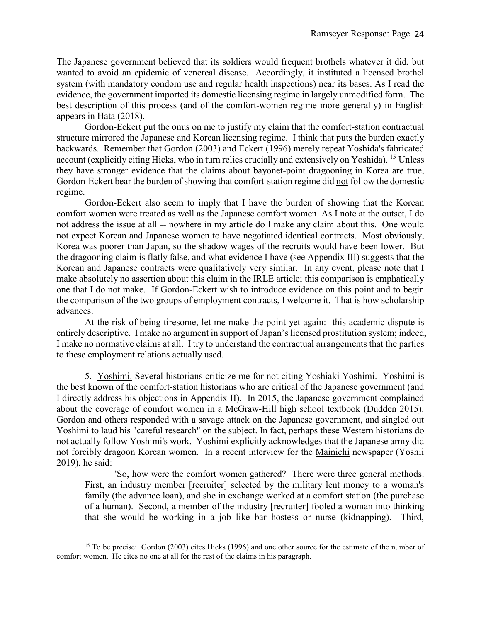The Japanese government believed that its soldiers would frequent brothels whatever it did, but wanted to avoid an epidemic of venereal disease. Accordingly, it instituted a licensed brothel system (with mandatory condom use and regular health inspections) near its bases. As I read the evidence, the government imported its domestic licensing regime in largely unmodified form. The best description of this process (and of the comfort-women regime more generally) in English appears in Hata (2018).

Gordon-Eckert put the onus on me to justify my claim that the comfort-station contractual structure mirrored the Japanese and Korean licensing regime. I think that puts the burden exactly backwards. Remember that Gordon (2003) and Eckert (1996) merely repeat Yoshida's fabricated account (explicitly citing Hicks, who in turn relies crucially and extensively on Yoshida). [15](#page-24-0) Unless they have stronger evidence that the claims about bayonet-point dragooning in Korea are true, Gordon-Eckert bear the burden of showing that comfort-station regime did not follow the domestic regime.

Gordon-Eckert also seem to imply that I have the burden of showing that the Korean comfort women were treated as well as the Japanese comfort women. As I note at the outset, I do not address the issue at all -- nowhere in my article do I make any claim about this. One would not expect Korean and Japanese women to have negotiated identical contracts. Most obviously, Korea was poorer than Japan, so the shadow wages of the recruits would have been lower. But the dragooning claim is flatly false, and what evidence I have (see Appendix III) suggests that the Korean and Japanese contracts were qualitatively very similar. In any event, please note that I make absolutely no assertion about this claim in the IRLE article; this comparison is emphatically one that I do not make. If Gordon-Eckert wish to introduce evidence on this point and to begin the comparison of the two groups of employment contracts, I welcome it. That is how scholarship advances.

At the risk of being tiresome, let me make the point yet again: this academic dispute is entirely descriptive. I make no argument in support of Japan's licensed prostitution system; indeed, I make no normative claims at all. I try to understand the contractual arrangements that the parties to these employment relations actually used.

5. Yoshimi. Several historians criticize me for not citing Yoshiaki Yoshimi. Yoshimi is the best known of the comfort-station historians who are critical of the Japanese government (and I directly address his objections in Appendix II). In 2015, the Japanese government complained about the coverage of comfort women in a McGraw-Hill high school textbook (Dudden 2015). Gordon and others responded with a savage attack on the Japanese government, and singled out Yoshimi to laud his "careful research" on the subject. In fact, perhaps these Western historians do not actually follow Yoshimi's work. Yoshimi explicitly acknowledges that the Japanese army did not forcibly dragoon Korean women. In a recent interview for the Mainichi newspaper (Yoshii 2019), he said:

"So, how were the comfort women gathered? There were three general methods. First, an industry member [recruiter] selected by the military lent money to a woman's family (the advance loan), and she in exchange worked at a comfort station (the purchase of a human). Second, a member of the industry [recruiter] fooled a woman into thinking that she would be working in a job like bar hostess or nurse (kidnapping). Third,

 $\overline{a}$ 

<span id="page-24-0"></span><sup>&</sup>lt;sup>15</sup> To be precise: Gordon (2003) cites Hicks (1996) and one other source for the estimate of the number of comfort women. He cites no one at all for the rest of the claims in his paragraph.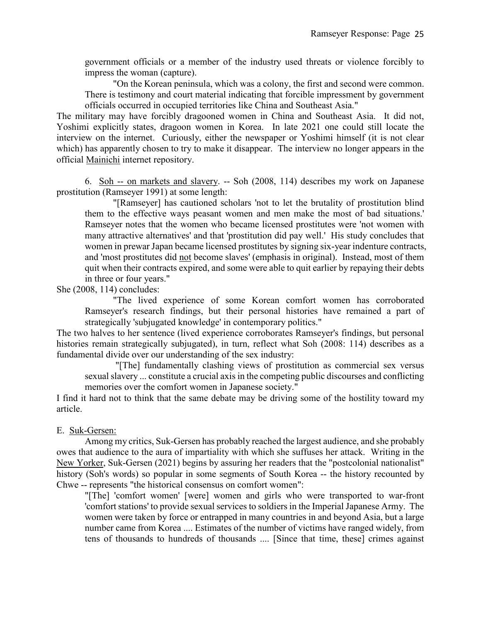government officials or a member of the industry used threats or violence forcibly to impress the woman (capture).

"On the Korean peninsula, which was a colony, the first and second were common. There is testimony and court material indicating that forcible impressment by government officials occurred in occupied territories like China and Southeast Asia."

The military may have forcibly dragooned women in China and Southeast Asia. It did not, Yoshimi explicitly states, dragoon women in Korea. In late 2021 one could still locate the interview on the internet. Curiously, either the newspaper or Yoshimi himself (it is not clear which) has apparently chosen to try to make it disappear. The interview no longer appears in the official Mainichi internet repository.

6. Soh -- on markets and slavery. -- Soh (2008, 114) describes my work on Japanese prostitution (Ramseyer 1991) at some length:

"[Ramseyer] has cautioned scholars 'not to let the brutality of prostitution blind them to the effective ways peasant women and men make the most of bad situations.' Ramseyer notes that the women who became licensed prostitutes were 'not women with many attractive alternatives' and that 'prostitution did pay well.' His study concludes that women in prewar Japan became licensed prostitutes by signing six-year indenture contracts, and 'most prostitutes did not become slaves' (emphasis in original). Instead, most of them quit when their contracts expired, and some were able to quit earlier by repaying their debts in three or four years."

She (2008, 114) concludes:

"The lived experience of some Korean comfort women has corroborated Ramseyer's research findings, but their personal histories have remained a part of strategically 'subjugated knowledge' in contemporary politics."

The two halves to her sentence (lived experience corroborates Ramseyer's findings, but personal histories remain strategically subjugated), in turn, reflect what Soh (2008: 114) describes as a fundamental divide over our understanding of the sex industry:

"[The] fundamentally clashing views of prostitution as commercial sex versus sexual slavery ... constitute a crucial axis in the competing public discourses and conflicting memories over the comfort women in Japanese society."

I find it hard not to think that the same debate may be driving some of the hostility toward my article.

### E. Suk-Gersen:

Among my critics, Suk-Gersen has probably reached the largest audience, and she probably owes that audience to the aura of impartiality with which she suffuses her attack. Writing in the New Yorker, Suk-Gersen (2021) begins by assuring her readers that the "postcolonial nationalist" history (Soh's words) so popular in some segments of South Korea -- the history recounted by Chwe -- represents "the historical consensus on comfort women":

"[The] 'comfort women' [were] women and girls who were transported to war-front 'comfort stations' to provide sexual services to soldiers in the Imperial Japanese Army. The women were taken by force or entrapped in many countries in and beyond Asia, but a large number came from Korea .... Estimates of the number of victims have ranged widely, from tens of thousands to hundreds of thousands .... [Since that time, these] crimes against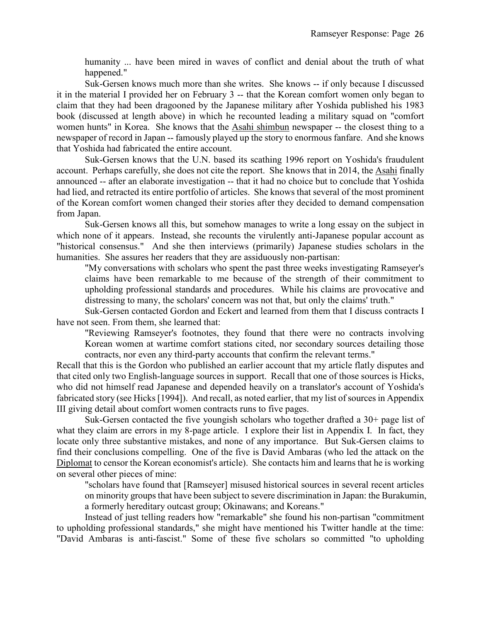humanity ... have been mired in waves of conflict and denial about the truth of what happened."

Suk-Gersen knows much more than she writes. She knows -- if only because I discussed it in the material I provided her on February 3 -- that the Korean comfort women only began to claim that they had been dragooned by the Japanese military after Yoshida published his 1983 book (discussed at length above) in which he recounted leading a military squad on "comfort women hunts" in Korea. She knows that the Asahi shimbun newspaper -- the closest thing to a newspaper of record in Japan -- famously played up the story to enormous fanfare. And she knows that Yoshida had fabricated the entire account.

Suk-Gersen knows that the U.N. based its scathing 1996 report on Yoshida's fraudulent account. Perhaps carefully, she does not cite the report. She knows that in 2014, the Asahi finally announced -- after an elaborate investigation -- that it had no choice but to conclude that Yoshida had lied, and retracted its entire portfolio of articles. She knows that several of the most prominent of the Korean comfort women changed their stories after they decided to demand compensation from Japan.

Suk-Gersen knows all this, but somehow manages to write a long essay on the subject in which none of it appears. Instead, she recounts the virulently anti-Japanese popular account as "historical consensus." And she then interviews (primarily) Japanese studies scholars in the humanities. She assures her readers that they are assiduously non-partisan:

"My conversations with scholars who spent the past three weeks investigating Ramseyer's claims have been remarkable to me because of the strength of their commitment to upholding professional standards and procedures. While his claims are provocative and distressing to many, the scholars' concern was not that, but only the claims' truth."

Suk-Gersen contacted Gordon and Eckert and learned from them that I discuss contracts I have not seen. From them, she learned that:

"Reviewing Ramseyer's footnotes, they found that there were no contracts involving Korean women at wartime comfort stations cited, nor secondary sources detailing those contracts, nor even any third-party accounts that confirm the relevant terms."

Recall that this is the Gordon who published an earlier account that my article flatly disputes and that cited only two English-language sources in support. Recall that one of those sources is Hicks, who did not himself read Japanese and depended heavily on a translator's account of Yoshida's fabricated story (see Hicks [1994]). And recall, as noted earlier, that my list of sources in Appendix III giving detail about comfort women contracts runs to five pages.

Suk-Gersen contacted the five youngish scholars who together drafted a 30+ page list of what they claim are errors in my 8-page article. I explore their list in Appendix I. In fact, they locate only three substantive mistakes, and none of any importance. But Suk-Gersen claims to find their conclusions compelling. One of the five is David Ambaras (who led the attack on the Diplomat to censor the Korean economist's article). She contacts him and learns that he is working on several other pieces of mine:

"scholars have found that [Ramseyer] misused historical sources in several recent articles on minority groups that have been subject to severe discrimination in Japan: the Burakumin, a formerly hereditary outcast group; Okinawans; and Koreans."

Instead of just telling readers how "remarkable" she found his non-partisan "commitment to upholding professional standards," she might have mentioned his Twitter handle at the time: "David Ambaras is anti-fascist." Some of these five scholars so committed "to upholding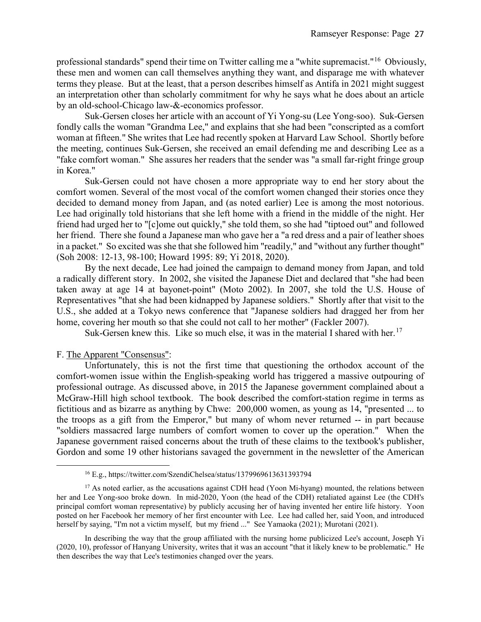professional standards" spend their time on Twitter calling me a "white supremacist."[16](#page-27-0) Obviously, these men and women can call themselves anything they want, and disparage me with whatever terms they please. But at the least, that a person describes himself as Antifa in 2021 might suggest an interpretation other than scholarly commitment for why he says what he does about an article by an old-school-Chicago law-&-economics professor.

Suk-Gersen closes her article with an account of Yi Yong-su (Lee Yong-soo). Suk-Gersen fondly calls the woman "Grandma Lee," and explains that she had been "conscripted as a comfort woman at fifteen." She writes that Lee had recently spoken at Harvard Law School. Shortly before the meeting, continues Suk-Gersen, she received an email defending me and describing Lee as a "fake comfort woman." She assures her readers that the sender was "a small far-right fringe group in Korea."

Suk-Gersen could not have chosen a more appropriate way to end her story about the comfort women. Several of the most vocal of the comfort women changed their stories once they decided to demand money from Japan, and (as noted earlier) Lee is among the most notorious. Lee had originally told historians that she left home with a friend in the middle of the night. Her friend had urged her to "[c]ome out quickly," she told them, so she had "tiptoed out" and followed her friend. There she found a Japanese man who gave her a "a red dress and a pair of leather shoes in a packet." So excited was she that she followed him "readily," and "without any further thought" (Soh 2008: 12-13, 98-100; Howard 1995: 89; Yi 2018, 2020).

By the next decade, Lee had joined the campaign to demand money from Japan, and told a radically different story. In 2002, she visited the Japanese Diet and declared that "she had been taken away at age 14 at bayonet-point" (Moto 2002). In 2007, she told the U.S. House of Representatives "that she had been kidnapped by Japanese soldiers." Shortly after that visit to the U.S., she added at a Tokyo news conference that "Japanese soldiers had dragged her from her home, covering her mouth so that she could not call to her mother" (Fackler 2007).

Suk-Gersen knew this. Like so much else, it was in the material I shared with her.<sup>[17](#page-27-1)</sup>

### F. The Apparent "Consensus":

 $\overline{a}$ 

Unfortunately, this is not the first time that questioning the orthodox account of the comfort-women issue within the English-speaking world has triggered a massive outpouring of professional outrage. As discussed above, in 2015 the Japanese government complained about a McGraw-Hill high school textbook. The book described the comfort-station regime in terms as fictitious and as bizarre as anything by Chwe: 200,000 women, as young as 14, "presented ... to the troops as a gift from the Emperor," but many of whom never returned -- in part because "soldiers massacred large numbers of comfort women to cover up the operation." When the Japanese government raised concerns about the truth of these claims to the textbook's publisher, Gordon and some 19 other historians savaged the government in the newsletter of the American

<sup>16</sup> E.g., https://twitter.com/SzendiChelsea/status/1379969613631393794

<span id="page-27-1"></span><span id="page-27-0"></span> $17$  As noted earlier, as the accusations against CDH head (Yoon Mi-hyang) mounted, the relations between her and Lee Yong-soo broke down. In mid-2020, Yoon (the head of the CDH) retaliated against Lee (the CDH's principal comfort woman representative) by publicly accusing her of having invented her entire life history. Yoon posted on her Facebook her memory of her first encounter with Lee. Lee had called her, said Yoon, and introduced herself by saying, "I'm not a victim myself, but my friend ..." See Yamaoka (2021); Murotani (2021).

In describing the way that the group affiliated with the nursing home publicized Lee's account, Joseph Yi (2020, 10), professor of Hanyang University, writes that it was an account "that it likely knew to be problematic." He then describes the way that Lee's testimonies changed over the years.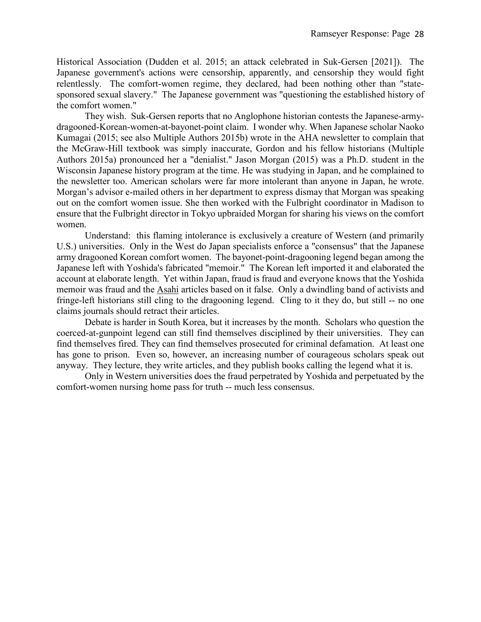Historical Association (Dudden et al. 2015; an attack celebrated in Suk-Gersen [2021]). The Japanese government's actions were censorship, apparently, and censorship they would fight relentlessly. The comfort-women regime, they declared, had been nothing other than "statesponsored sexual slavery." The Japanese government was "questioning the established history of the comfort women."

They wish. Suk-Gersen reports that no Anglophone historian contests the Japanese-armydragooned-Korean-women-at-bayonet-point claim. I wonder why. When Japanese scholar Naoko Kumagai (2015; see also Multiple Authors 2015b) wrote in the AHA newsletter to complain that the McGraw-Hill textbook was simply inaccurate, Gordon and his fellow historians (Multiple Authors 2015a) pronounced her a "denialist." Jason Morgan (2015) was a Ph.D. student in the Wisconsin Japanese history program at the time. He was studying in Japan, and he complained to the newsletter too. American scholars were far more intolerant than anyone in Japan, he wrote. Morgan's advisor e-mailed others in her department to express dismay that Morgan was speaking out on the comfort women issue. She then worked with the Fulbright coordinator in Madison to ensure that the Fulbright director in Tokyo upbraided Morgan for sharing his views on the comfort women.

Understand: this flaming intolerance is exclusively a creature of Western (and primarily U.S.) universities. Only in the West do Japan specialists enforce a "consensus" that the Japanese army dragooned Korean comfort women. The bayonet-point-dragooning legend began among the Japanese left with Yoshida's fabricated "memoir." The Korean left imported it and elaborated the account at elaborate length. Yet within Japan, fraud is fraud and everyone knows that the Yoshida memoir was fraud and the Asahi articles based on it false. Only a dwindling band of activists and fringe-left historians still cling to the dragooning legend. Cling to it they do, but still -- no one claims journals should retract their articles.

Debate is harder in South Korea, but it increases by the month. Scholars who question the coerced-at-gunpoint legend can still find themselves disciplined by their universities. They can find themselves fired. They can find themselves prosecuted for criminal defamation. At least one has gone to prison. Even so, however, an increasing number of courageous scholars speak out anyway. They lecture, they write articles, and they publish books calling the legend what it is.

Only in Western universities does the fraud perpetrated by Yoshida and perpetuated by the comfort-women nursing home pass for truth -- much less consensus.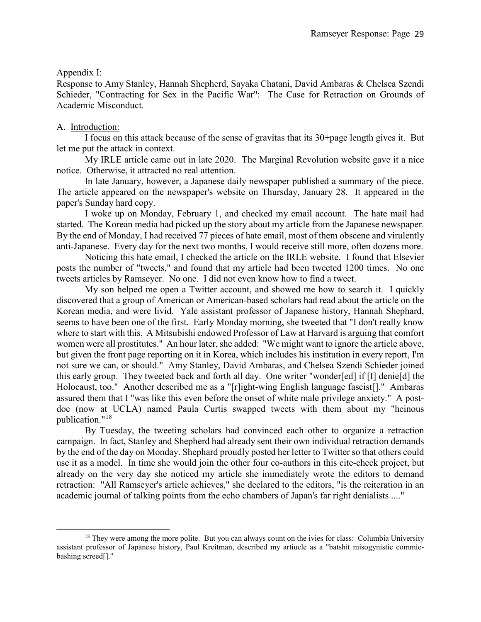### Appendix I:

Response to Amy Stanley, Hannah Shepherd, Sayaka Chatani, David Ambaras & Chelsea Szendi Schieder, "Contracting for Sex in the Pacific War": The Case for Retraction on Grounds of Academic Misconduct.

### A. Introduction:

 $\overline{a}$ 

I focus on this attack because of the sense of gravitas that its 30+page length gives it. But let me put the attack in context.

My IRLE article came out in late 2020. The Marginal Revolution website gave it a nice notice. Otherwise, it attracted no real attention.

In late January, however, a Japanese daily newspaper published a summary of the piece. The article appeared on the newspaper's website on Thursday, January 28. It appeared in the paper's Sunday hard copy.

I woke up on Monday, February 1, and checked my email account. The hate mail had started. The Korean media had picked up the story about my article from the Japanese newspaper. By the end of Monday, I had received 77 pieces of hate email, most of them obscene and virulently anti-Japanese. Every day for the next two months, I would receive still more, often dozens more.

Noticing this hate email, I checked the article on the IRLE website. I found that Elsevier posts the number of "tweets," and found that my article had been tweeted 1200 times. No one tweets articles by Ramseyer. No one. I did not even know how to find a tweet.

My son helped me open a Twitter account, and showed me how to search it. I quickly discovered that a group of American or American-based scholars had read about the article on the Korean media, and were livid. Yale assistant professor of Japanese history, Hannah Shephard, seems to have been one of the first. Early Monday morning, she tweeted that "I don't really know where to start with this. A Mitsubishi endowed Professor of Law at Harvard is arguing that comfort women were all prostitutes." An hour later, she added: "We might want to ignore the article above, but given the front page reporting on it in Korea, which includes his institution in every report, I'm not sure we can, or should." Amy Stanley, David Ambaras, and Chelsea Szendi Schieder joined this early group. They tweeted back and forth all day. One writer "wonder[ed] if [I] denie[d] the Holocaust, too." Another described me as a "[r]ight-wing English language fascist[]." Ambaras assured them that I "was like this even before the onset of white male privilege anxiety." A postdoc (now at UCLA) named Paula Curtis swapped tweets with them about my "heinous publication."[18](#page-29-0)

By Tuesday, the tweeting scholars had convinced each other to organize a retraction campaign. In fact, Stanley and Shepherd had already sent their own individual retraction demands by the end of the day on Monday. Shephard proudly posted her letter to Twitter so that others could use it as a model. In time she would join the other four co-authors in this cite-check project, but already on the very day she noticed my article she immediately wrote the editors to demand retraction: "All Ramseyer's article achieves," she declared to the editors, "is the reiteration in an academic journal of talking points from the echo chambers of Japan's far right denialists ...."

<span id="page-29-0"></span><sup>&</sup>lt;sup>18</sup> They were among the more polite. But you can always count on the ivies for class: Columbia University assistant professor of Japanese history, Paul Kreitman, described my artiucle as a "batshit misogynistic commiebashing screed[]."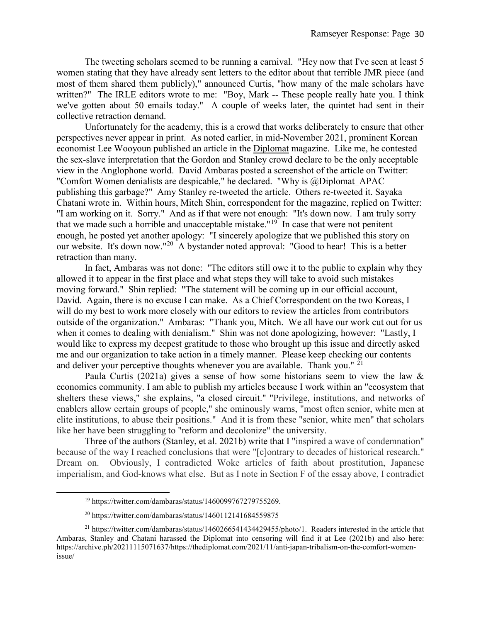The tweeting scholars seemed to be running a carnival. "Hey now that I've seen at least 5 women stating that they have already sent letters to the editor about that terrible JMR piece (and most of them shared them publicly)," announced Curtis, "how many of the male scholars have written?" The IRLE editors wrote to me: "Boy, Mark -- These people really hate you. I think we've gotten about 50 emails today." A couple of weeks later, the quintet had sent in their collective retraction demand.

Unfortunately for the academy, this is a crowd that works deliberately to ensure that other perspectives never appear in print. As noted earlier, in mid-November 2021, prominent Korean economist Lee Wooyoun published an article in the Diplomat magazine. Like me, he contested the sex-slave interpretation that the Gordon and Stanley crowd declare to be the only acceptable view in the Anglophone world. David Ambaras posted a screenshot of the article on Twitter: "Comfort Women denialists are despicable," he declared. "Why is @Diplomat\_APAC publishing this garbage?" Amy Stanley re-tweeted the article. Others re-tweeted it. Sayaka Chatani wrote in. Within hours, Mitch Shin, correspondent for the magazine, replied on Twitter: "I am working on it. Sorry." And as if that were not enough: "It's down now. I am truly sorry that we made such a horrible and unacceptable mistake."<sup>[19](#page-30-0)</sup> In case that were not penitent enough, he posted yet another apology: "I sincerely apologize that we published this story on our website. It's down now."[20](#page-30-1) A bystander noted approval: "Good to hear! This is a better retraction than many.

In fact, Ambaras was not done: "The editors still owe it to the public to explain why they allowed it to appear in the first place and what steps they will take to avoid such mistakes moving forward." Shin replied: "The statement will be coming up in our official account, David. Again, there is no excuse I can make. As a Chief Correspondent on the two Koreas, I will do my best to work more closely with our editors to review the articles from contributors outside of the organization." Ambaras: "Thank you, Mitch. We all have our work cut out for us when it comes to dealing with denialism." Shin was not done apologizing, however: "Lastly, I would like to express my deepest gratitude to those who brought up this issue and directly asked me and our organization to take action in a timely manner. Please keep checking our contents and deliver your perceptive thoughts whenever you are available. Thank you."  $2<sup>1</sup>$ 

Paula Curtis (2021a) gives a sense of how some historians seem to view the law & economics community. I am able to publish my articles because I work within an "ecosystem that shelters these views," she explains, "a closed circuit." "Privilege, institutions, and networks of enablers allow certain groups of people," she ominously warns, "most often senior, white men at elite institutions, to abuse their positions." And it is from these "senior, white men" that scholars like her have been struggling to "reform and decolonize" the university.

Three of the authors (Stanley, et al. 2021b) write that I "inspired a wave of condemnation" because of the way I reached conclusions that were "[c]ontrary to decades of historical research." Dream on. Obviously, I contradicted Woke articles of faith about prostitution, Japanese imperialism, and God-knows what else. But as I note in Section F of the essay above, I contradict

<span id="page-30-0"></span> $\overline{a}$ 

<sup>19</sup> https://twitter.com/dambaras/status/1460099767279755269.

 $^{20}$  https://twitter.com/dambaras/status/1460112141684559875

<span id="page-30-2"></span><span id="page-30-1"></span><sup>21</sup> https://twitter.com/dambaras/status/1460266541434429455/photo/1. Readers interested in the article that Ambaras, Stanley and Chatani harassed the Diplomat into censoring will find it at Lee (2021b) and also here: https://archive.ph/20211115071637/https://thediplomat.com/2021/11/anti-japan-tribalism-on-the-comfort-womenissue/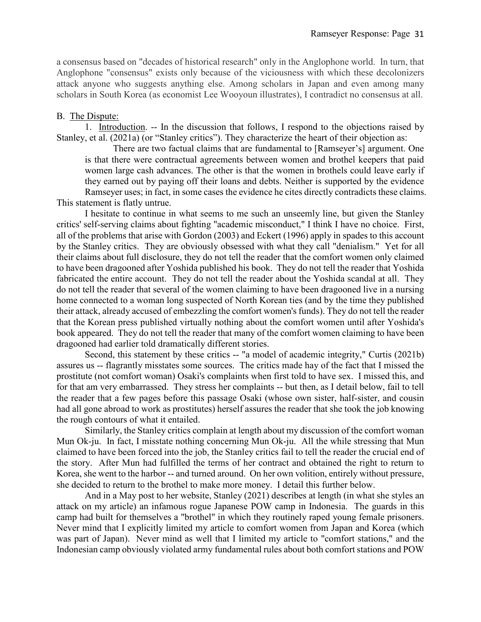a consensus based on "decades of historical research" only in the Anglophone world. In turn, that Anglophone "consensus" exists only because of the viciousness with which these decolonizers attack anyone who suggests anything else. Among scholars in Japan and even among many scholars in South Korea (as economist Lee Wooyoun illustrates), I contradict no consensus at all.

### B. The Dispute:

1. Introduction. -- In the discussion that follows, I respond to the objections raised by Stanley, et al. (2021a) (or "Stanley critics"). They characterize the heart of their objection as:

There are two factual claims that are fundamental to [Ramseyer's] argument. One is that there were contractual agreements between women and brothel keepers that paid women large cash advances. The other is that the women in brothels could leave early if they earned out by paying off their loans and debts. Neither is supported by the evidence Ramseyer uses; in fact, in some cases the evidence he cites directly contradicts these claims.

This statement is flatly untrue.

I hesitate to continue in what seems to me such an unseemly line, but given the Stanley critics' self-serving claims about fighting "academic misconduct," I think I have no choice. First, all of the problems that arise with Gordon (2003) and Eckert (1996) apply in spades to this account by the Stanley critics. They are obviously obsessed with what they call "denialism." Yet for all their claims about full disclosure, they do not tell the reader that the comfort women only claimed to have been dragooned after Yoshida published his book. They do not tell the reader that Yoshida fabricated the entire account. They do not tell the reader about the Yoshida scandal at all. They do not tell the reader that several of the women claiming to have been dragooned live in a nursing home connected to a woman long suspected of North Korean ties (and by the time they published their attack, already accused of embezzling the comfort women's funds). They do not tell the reader that the Korean press published virtually nothing about the comfort women until after Yoshida's book appeared. They do not tell the reader that many of the comfort women claiming to have been dragooned had earlier told dramatically different stories.

Second, this statement by these critics -- "a model of academic integrity," Curtis (2021b) assures us -- flagrantly misstates some sources. The critics made hay of the fact that I missed the prostitute (not comfort woman) Osaki's complaints when first told to have sex. I missed this, and for that am very embarrassed. They stress her complaints -- but then, as I detail below, fail to tell the reader that a few pages before this passage Osaki (whose own sister, half-sister, and cousin had all gone abroad to work as prostitutes) herself assures the reader that she took the job knowing the rough contours of what it entailed.

Similarly, the Stanley critics complain at length about my discussion of the comfort woman Mun Ok-ju. In fact, I misstate nothing concerning Mun Ok-ju. All the while stressing that Mun claimed to have been forced into the job, the Stanley critics fail to tell the reader the crucial end of the story. After Mun had fulfilled the terms of her contract and obtained the right to return to Korea, she went to the harbor -- and turned around. On her own volition, entirely without pressure, she decided to return to the brothel to make more money. I detail this further below.

And in a May post to her website, Stanley (2021) describes at length (in what she styles an attack on my article) an infamous rogue Japanese POW camp in Indonesia. The guards in this camp had built for themselves a "brothel" in which they routinely raped young female prisoners. Never mind that I explicitly limited my article to comfort women from Japan and Korea (which was part of Japan). Never mind as well that I limited my article to "comfort stations," and the Indonesian camp obviously violated army fundamental rules about both comfort stations and POW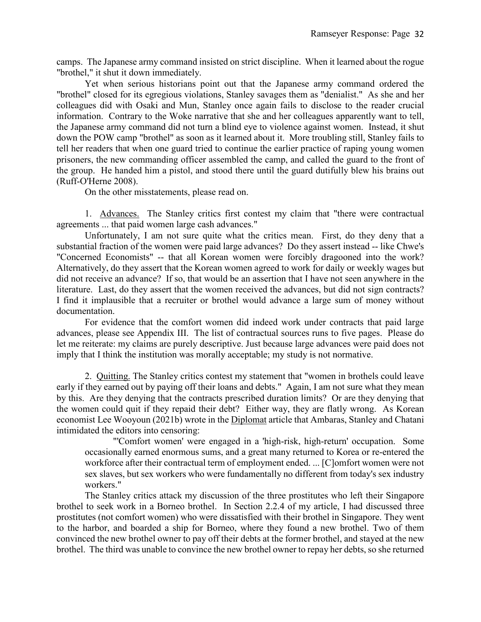camps. The Japanese army command insisted on strict discipline. When it learned about the rogue "brothel," it shut it down immediately.

Yet when serious historians point out that the Japanese army command ordered the "brothel" closed for its egregious violations, Stanley savages them as "denialist." As she and her colleagues did with Osaki and Mun, Stanley once again fails to disclose to the reader crucial information. Contrary to the Woke narrative that she and her colleagues apparently want to tell, the Japanese army command did not turn a blind eye to violence against women. Instead, it shut down the POW camp "brothel" as soon as it learned about it. More troubling still, Stanley fails to tell her readers that when one guard tried to continue the earlier practice of raping young women prisoners, the new commanding officer assembled the camp, and called the guard to the front of the group. He handed him a pistol, and stood there until the guard dutifully blew his brains out (Ruff-O'Herne 2008).

On the other misstatements, please read on.

1. Advances. The Stanley critics first contest my claim that "there were contractual agreements ... that paid women large cash advances."

Unfortunately, I am not sure quite what the critics mean. First, do they deny that a substantial fraction of the women were paid large advances? Do they assert instead -- like Chwe's "Concerned Economists" -- that all Korean women were forcibly dragooned into the work? Alternatively, do they assert that the Korean women agreed to work for daily or weekly wages but did not receive an advance? If so, that would be an assertion that I have not seen anywhere in the literature. Last, do they assert that the women received the advances, but did not sign contracts? I find it implausible that a recruiter or brothel would advance a large sum of money without documentation.

For evidence that the comfort women did indeed work under contracts that paid large advances, please see Appendix III. The list of contractual sources runs to five pages. Please do let me reiterate: my claims are purely descriptive. Just because large advances were paid does not imply that I think the institution was morally acceptable; my study is not normative.

2. Quitting. The Stanley critics contest my statement that "women in brothels could leave early if they earned out by paying off their loans and debts." Again, I am not sure what they mean by this. Are they denying that the contracts prescribed duration limits? Or are they denying that the women could quit if they repaid their debt? Either way, they are flatly wrong. As Korean economist Lee Wooyoun (2021b) wrote in the Diplomat article that Ambaras, Stanley and Chatani intimidated the editors into censoring:

"'Comfort women' were engaged in a 'high-risk, high-return' occupation. Some occasionally earned enormous sums, and a great many returned to Korea or re-entered the workforce after their contractual term of employment ended. ... [C]omfort women were not sex slaves, but sex workers who were fundamentally no different from today's sex industry workers."

The Stanley critics attack my discussion of the three prostitutes who left their Singapore brothel to seek work in a Borneo brothel. In Section 2.2.4 of my article, I had discussed three prostitutes (not comfort women) who were dissatisfied with their brothel in Singapore. They went to the harbor, and boarded a ship for Borneo, where they found a new brothel. Two of them convinced the new brothel owner to pay off their debts at the former brothel, and stayed at the new brothel. The third was unable to convince the new brothel owner to repay her debts, so she returned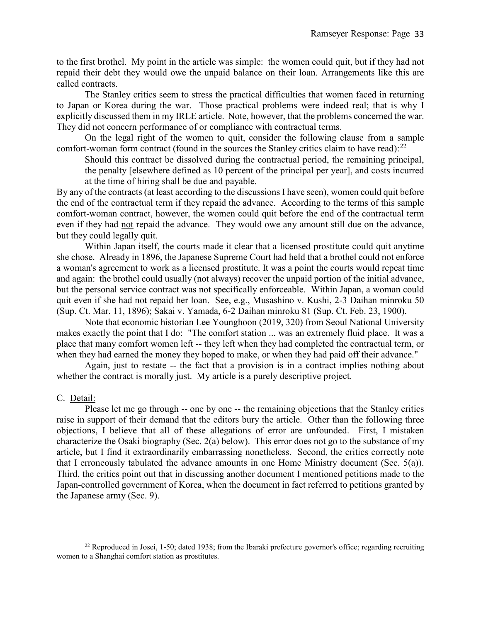to the first brothel. My point in the article was simple: the women could quit, but if they had not repaid their debt they would owe the unpaid balance on their loan. Arrangements like this are called contracts.

The Stanley critics seem to stress the practical difficulties that women faced in returning to Japan or Korea during the war. Those practical problems were indeed real; that is why I explicitly discussed them in my IRLE article. Note, however, that the problems concerned the war. They did not concern performance of or compliance with contractual terms.

On the legal right of the women to quit, consider the following clause from a sample comfort-woman form contract (found in the sources the Stanley critics claim to have read): $^{22}$  $^{22}$  $^{22}$ 

Should this contract be dissolved during the contractual period, the remaining principal, the penalty [elsewhere defined as 10 percent of the principal per year], and costs incurred at the time of hiring shall be due and payable.

By any of the contracts (at least according to the discussions I have seen), women could quit before the end of the contractual term if they repaid the advance. According to the terms of this sample comfort-woman contract, however, the women could quit before the end of the contractual term even if they had not repaid the advance. They would owe any amount still due on the advance, but they could legally quit.

Within Japan itself, the courts made it clear that a licensed prostitute could quit anytime she chose. Already in 1896, the Japanese Supreme Court had held that a brothel could not enforce a woman's agreement to work as a licensed prostitute. It was a point the courts would repeat time and again: the brothel could usually (not always) recover the unpaid portion of the initial advance, but the personal service contract was not specifically enforceable. Within Japan, a woman could quit even if she had not repaid her loan. See, e.g., Musashino v. Kushi, 2-3 Daihan minroku 50 (Sup. Ct. Mar. 11, 1896); Sakai v. Yamada, 6-2 Daihan minroku 81 (Sup. Ct. Feb. 23, 1900).

Note that economic historian Lee Younghoon (2019, 320) from Seoul National University makes exactly the point that I do: "The comfort station ... was an extremely fluid place. It was a place that many comfort women left -- they left when they had completed the contractual term, or when they had earned the money they hoped to make, or when they had paid off their advance."

Again, just to restate -- the fact that a provision is in a contract implies nothing about whether the contract is morally just. My article is a purely descriptive project.

### C. Detail:

 $\overline{a}$ 

Please let me go through -- one by one -- the remaining objections that the Stanley critics raise in support of their demand that the editors bury the article. Other than the following three objections, I believe that all of these allegations of error are unfounded. First, I mistaken characterize the Osaki biography (Sec. 2(a) below). This error does not go to the substance of my article, but I find it extraordinarily embarrassing nonetheless. Second, the critics correctly note that I erroneously tabulated the advance amounts in one Home Ministry document (Sec. 5(a)). Third, the critics point out that in discussing another document I mentioned petitions made to the Japan-controlled government of Korea, when the document in fact referred to petitions granted by the Japanese army (Sec. 9).

<span id="page-33-0"></span><sup>&</sup>lt;sup>22</sup> Reproduced in Josei, 1-50; dated 1938; from the Ibaraki prefecture governor's office; regarding recruiting women to a Shanghai comfort station as prostitutes.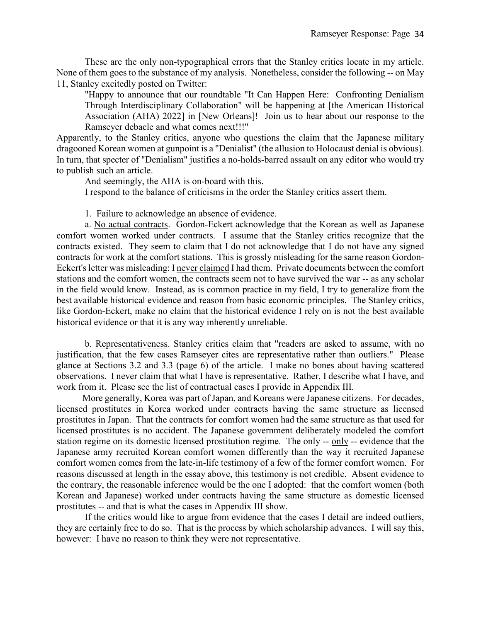These are the only non-typographical errors that the Stanley critics locate in my article. None of them goes to the substance of my analysis. Nonetheless, consider the following -- on May 11, Stanley excitedly posted on Twitter:

"Happy to announce that our roundtable "It Can Happen Here: Confronting Denialism Through Interdisciplinary Collaboration" will be happening at [the American Historical Association (AHA) 2022] in [New Orleans]! Join us to hear about our response to the Ramseyer debacle and what comes next!!!"

Apparently, to the Stanley critics, anyone who questions the claim that the Japanese military dragooned Korean women at gunpoint is a "Denialist" (the allusion to Holocaust denial is obvious). In turn, that specter of "Denialism" justifies a no-holds-barred assault on any editor who would try to publish such an article.

And seemingly, the AHA is on-board with this.

I respond to the balance of criticisms in the order the Stanley critics assert them.

1. Failure to acknowledge an absence of evidence.

a. No actual contracts. Gordon-Eckert acknowledge that the Korean as well as Japanese comfort women worked under contracts. I assume that the Stanley critics recognize that the contracts existed. They seem to claim that I do not acknowledge that I do not have any signed contracts for work at the comfort stations. This is grossly misleading for the same reason Gordon-Eckert's letter was misleading: I never claimed I had them. Private documents between the comfort stations and the comfort women, the contracts seem not to have survived the war -- as any scholar in the field would know. Instead, as is common practice in my field, I try to generalize from the best available historical evidence and reason from basic economic principles. The Stanley critics, like Gordon-Eckert, make no claim that the historical evidence I rely on is not the best available historical evidence or that it is any way inherently unreliable.

b. Representativeness. Stanley critics claim that "readers are asked to assume, with no justification, that the few cases Ramseyer cites are representative rather than outliers." Please glance at Sections 3.2 and 3.3 (page 6) of the article. I make no bones about having scattered observations. I never claim that what I have is representative. Rather, I describe what I have, and work from it. Please see the list of contractual cases I provide in Appendix III.

More generally, Korea was part of Japan, and Koreans were Japanese citizens. For decades, licensed prostitutes in Korea worked under contracts having the same structure as licensed prostitutes in Japan. That the contracts for comfort women had the same structure as that used for licensed prostitutes is no accident. The Japanese government deliberately modeled the comfort station regime on its domestic licensed prostitution regime. The only -- only -- evidence that the Japanese army recruited Korean comfort women differently than the way it recruited Japanese comfort women comes from the late-in-life testimony of a few of the former comfort women. For reasons discussed at length in the essay above, this testimony is not credible. Absent evidence to the contrary, the reasonable inference would be the one I adopted: that the comfort women (both Korean and Japanese) worked under contracts having the same structure as domestic licensed prostitutes -- and that is what the cases in Appendix III show.

If the critics would like to argue from evidence that the cases I detail are indeed outliers, they are certainly free to do so. That is the process by which scholarship advances. I will say this, however: I have no reason to think they were not representative.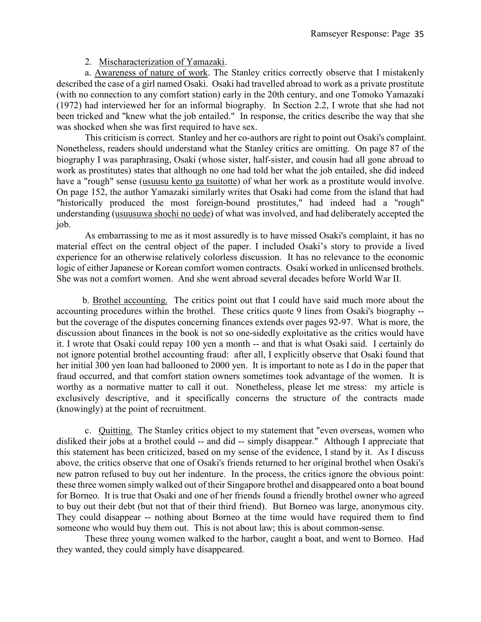### 2. Mischaracterization of Yamazaki.

a. Awareness of nature of work. The Stanley critics correctly observe that I mistakenly described the case of a girl named Osaki. Osaki had travelled abroad to work as a private prostitute (with no connection to any comfort station) early in the 20th century, and one Tomoko Yamazaki (1972) had interviewed her for an informal biography. In Section 2.2, I wrote that she had not been tricked and "knew what the job entailed." In response, the critics describe the way that she was shocked when she was first required to have sex.

This criticism is correct. Stanley and her co-authors are right to point out Osaki's complaint. Nonetheless, readers should understand what the Stanley critics are omitting. On page 87 of the biography I was paraphrasing, Osaki (whose sister, half-sister, and cousin had all gone abroad to work as prostitutes) states that although no one had told her what the job entailed, she did indeed have a "rough" sense (usuusu kento ga tsuitotte) of what her work as a prostitute would involve. On page 152, the author Yamazaki similarly writes that Osaki had come from the island that had "historically produced the most foreign-bound prostitutes," had indeed had a "rough" understanding (usuusuwa shochi no uede) of what was involved, and had deliberately accepted the job.

As embarrassing to me as it most assuredly is to have missed Osaki's complaint, it has no material effect on the central object of the paper. I included Osaki's story to provide a lived experience for an otherwise relatively colorless discussion. It has no relevance to the economic logic of either Japanese or Korean comfort women contracts. Osaki worked in unlicensed brothels. She was not a comfort women. And she went abroad several decades before World War II.

 b. Brothel accounting. The critics point out that I could have said much more about the accounting procedures within the brothel. These critics quote 9 lines from Osaki's biography - but the coverage of the disputes concerning finances extends over pages 92-97. What is more, the discussion about finances in the book is not so one-sidedly exploitative as the critics would have it. I wrote that Osaki could repay 100 yen a month -- and that is what Osaki said. I certainly do not ignore potential brothel accounting fraud: after all, I explicitly observe that Osaki found that her initial 300 yen loan had ballooned to 2000 yen. It is important to note as I do in the paper that fraud occurred, and that comfort station owners sometimes took advantage of the women. It is worthy as a normative matter to call it out. Nonetheless, please let me stress: my article is exclusively descriptive, and it specifically concerns the structure of the contracts made (knowingly) at the point of recruitment.

c. Quitting. The Stanley critics object to my statement that "even overseas, women who disliked their jobs at a brothel could -- and did -- simply disappear." Although I appreciate that this statement has been criticized, based on my sense of the evidence, I stand by it. As I discuss above, the critics observe that one of Osaki's friends returned to her original brothel when Osaki's new patron refused to buy out her indenture. In the process, the critics ignore the obvious point: these three women simply walked out of their Singapore brothel and disappeared onto a boat bound for Borneo. It is true that Osaki and one of her friends found a friendly brothel owner who agreed to buy out their debt (but not that of their third friend). But Borneo was large, anonymous city. They could disappear -- nothing about Borneo at the time would have required them to find someone who would buy them out. This is not about law; this is about common-sense.

These three young women walked to the harbor, caught a boat, and went to Borneo. Had they wanted, they could simply have disappeared.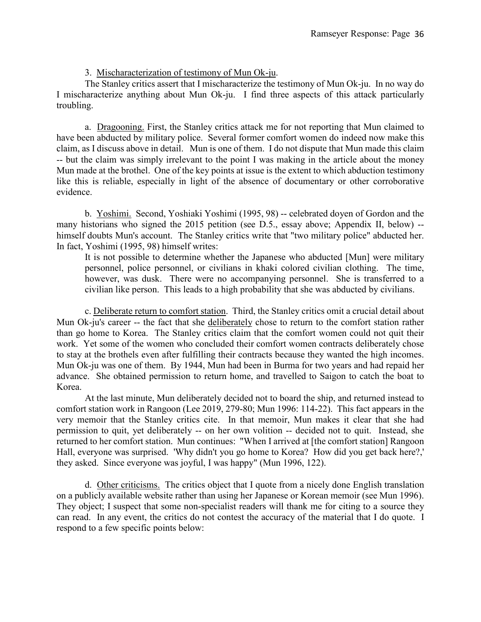# 3. Mischaracterization of testimony of Mun Ok-ju.

The Stanley critics assert that I mischaracterize the testimony of Mun Ok-ju. In no way do I mischaracterize anything about Mun Ok-ju. I find three aspects of this attack particularly troubling.

a. Dragooning. First, the Stanley critics attack me for not reporting that Mun claimed to have been abducted by military police. Several former comfort women do indeed now make this claim, as I discuss above in detail. Mun is one of them. I do not dispute that Mun made this claim -- but the claim was simply irrelevant to the point I was making in the article about the money Mun made at the brothel. One of the key points at issue is the extent to which abduction testimony like this is reliable, especially in light of the absence of documentary or other corroborative evidence.

b. Yoshimi. Second, Yoshiaki Yoshimi (1995, 98) -- celebrated doyen of Gordon and the many historians who signed the 2015 petition (see D.5., essay above; Appendix II, below) - himself doubts Mun's account. The Stanley critics write that "two military police" abducted her. In fact, Yoshimi (1995, 98) himself writes:

It is not possible to determine whether the Japanese who abducted [Mun] were military personnel, police personnel, or civilians in khaki colored civilian clothing. The time, however, was dusk. There were no accompanying personnel. She is transferred to a civilian like person. This leads to a high probability that she was abducted by civilians.

c. Deliberate return to comfort station. Third, the Stanley critics omit a crucial detail about Mun Ok-ju's career -- the fact that she deliberately chose to return to the comfort station rather than go home to Korea. The Stanley critics claim that the comfort women could not quit their work. Yet some of the women who concluded their comfort women contracts deliberately chose to stay at the brothels even after fulfilling their contracts because they wanted the high incomes. Mun Ok-ju was one of them. By 1944, Mun had been in Burma for two years and had repaid her advance. She obtained permission to return home, and travelled to Saigon to catch the boat to Korea.

At the last minute, Mun deliberately decided not to board the ship, and returned instead to comfort station work in Rangoon (Lee 2019, 279-80; Mun 1996: 114-22). This fact appears in the very memoir that the Stanley critics cite. In that memoir, Mun makes it clear that she had permission to quit, yet deliberately -- on her own volition -- decided not to quit. Instead, she returned to her comfort station. Mun continues: "When I arrived at [the comfort station] Rangoon Hall, everyone was surprised. 'Why didn't you go home to Korea? How did you get back here?,' they asked. Since everyone was joyful, I was happy" (Mun 1996, 122).

d. Other criticisms. The critics object that I quote from a nicely done English translation on a publicly available website rather than using her Japanese or Korean memoir (see Mun 1996). They object; I suspect that some non-specialist readers will thank me for citing to a source they can read. In any event, the critics do not contest the accuracy of the material that I do quote. I respond to a few specific points below: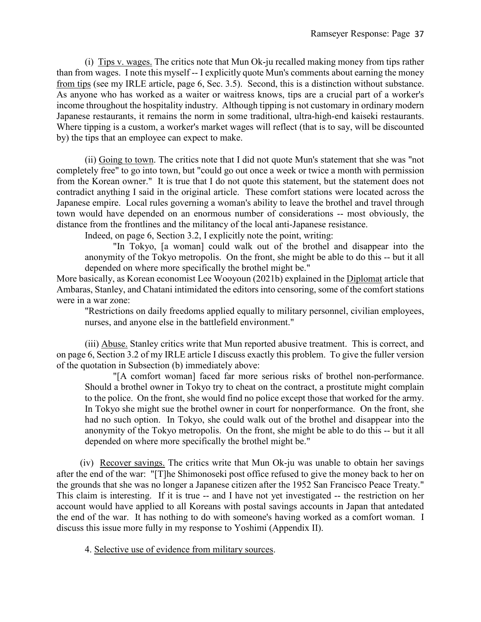(i) Tips v. wages. The critics note that Mun Ok-ju recalled making money from tips rather than from wages. I note this myself -- I explicitly quote Mun's comments about earning the money from tips (see my IRLE article, page 6, Sec. 3.5). Second, this is a distinction without substance. As anyone who has worked as a waiter or waitress knows, tips are a crucial part of a worker's income throughout the hospitality industry. Although tipping is not customary in ordinary modern Japanese restaurants, it remains the norm in some traditional, ultra-high-end kaiseki restaurants. Where tipping is a custom, a worker's market wages will reflect (that is to say, will be discounted by) the tips that an employee can expect to make.

(ii) Going to town. The critics note that I did not quote Mun's statement that she was "not completely free" to go into town, but "could go out once a week or twice a month with permission from the Korean owner." It is true that I do not quote this statement, but the statement does not contradict anything I said in the original article. These comfort stations were located across the Japanese empire. Local rules governing a woman's ability to leave the brothel and travel through town would have depended on an enormous number of considerations -- most obviously, the distance from the frontlines and the militancy of the local anti-Japanese resistance.

Indeed, on page 6, Section 3.2, I explicitly note the point, writing:

"In Tokyo, [a woman] could walk out of the brothel and disappear into the anonymity of the Tokyo metropolis. On the front, she might be able to do this -- but it all depended on where more specifically the brothel might be."

More basically, as Korean economist Lee Wooyoun (2021b) explained in the Diplomat article that Ambaras, Stanley, and Chatani intimidated the editors into censoring, some of the comfort stations were in a war zone:

"Restrictions on daily freedoms applied equally to military personnel, civilian employees, nurses, and anyone else in the battlefield environment."

(iii) Abuse. Stanley critics write that Mun reported abusive treatment. This is correct, and on page 6, Section 3.2 of my IRLE article I discuss exactly this problem. To give the fuller version of the quotation in Subsection (b) immediately above:

"[A comfort woman] faced far more serious risks of brothel non-performance. Should a brothel owner in Tokyo try to cheat on the contract, a prostitute might complain to the police. On the front, she would find no police except those that worked for the army. In Tokyo she might sue the brothel owner in court for nonperformance. On the front, she had no such option. In Tokyo, she could walk out of the brothel and disappear into the anonymity of the Tokyo metropolis. On the front, she might be able to do this -- but it all depended on where more specifically the brothel might be."

 (iv) Recover savings. The critics write that Mun Ok-ju was unable to obtain her savings after the end of the war: "[T]he Shimonoseki post office refused to give the money back to her on the grounds that she was no longer a Japanese citizen after the 1952 San Francisco Peace Treaty." This claim is interesting. If it is true -- and I have not yet investigated -- the restriction on her account would have applied to all Koreans with postal savings accounts in Japan that antedated the end of the war. It has nothing to do with someone's having worked as a comfort woman. I discuss this issue more fully in my response to Yoshimi (Appendix II).

4. Selective use of evidence from military sources.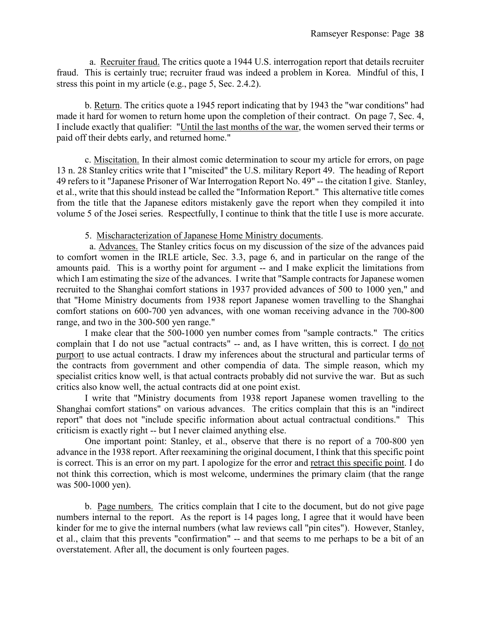a. Recruiter fraud. The critics quote a 1944 U.S. interrogation report that details recruiter fraud. This is certainly true; recruiter fraud was indeed a problem in Korea. Mindful of this, I stress this point in my article (e.g., page 5, Sec. 2.4.2).

b. Return. The critics quote a 1945 report indicating that by 1943 the "war conditions" had made it hard for women to return home upon the completion of their contract. On page 7, Sec. 4, I include exactly that qualifier: "Until the last months of the war, the women served their terms or paid off their debts early, and returned home."

c. Miscitation. In their almost comic determination to scour my article for errors, on page 13 n. 28 Stanley critics write that I "miscited" the U.S. military Report 49. The heading of Report 49 refers to it "Japanese Prisoner of War Interrogation Report No. 49" -- the citation I give. Stanley, et al., write that this should instead be called the "Information Report." This alternative title comes from the title that the Japanese editors mistakenly gave the report when they compiled it into volume 5 of the Josei series. Respectfully, I continue to think that the title I use is more accurate.

# 5. Mischaracterization of Japanese Home Ministry documents.

 a. Advances. The Stanley critics focus on my discussion of the size of the advances paid to comfort women in the IRLE article, Sec. 3.3, page 6, and in particular on the range of the amounts paid. This is a worthy point for argument -- and I make explicit the limitations from which I am estimating the size of the advances. I write that "Sample contracts for Japanese women recruited to the Shanghai comfort stations in 1937 provided advances of 500 to 1000 yen," and that "Home Ministry documents from 1938 report Japanese women travelling to the Shanghai comfort stations on 600-700 yen advances, with one woman receiving advance in the 700-800 range, and two in the 300-500 yen range."

I make clear that the 500-1000 yen number comes from "sample contracts." The critics complain that I do not use "actual contracts" -- and, as I have written, this is correct. I do not purport to use actual contracts. I draw my inferences about the structural and particular terms of the contracts from government and other compendia of data. The simple reason, which my specialist critics know well, is that actual contracts probably did not survive the war. But as such critics also know well, the actual contracts did at one point exist.

I write that "Ministry documents from 1938 report Japanese women travelling to the Shanghai comfort stations" on various advances. The critics complain that this is an "indirect report" that does not "include specific information about actual contractual conditions." This criticism is exactly right -- but I never claimed anything else.

One important point: Stanley, et al., observe that there is no report of a 700-800 yen advance in the 1938 report. After reexamining the original document, I think that this specific point is correct. This is an error on my part. I apologize for the error and retract this specific point. I do not think this correction, which is most welcome, undermines the primary claim (that the range was 500-1000 yen).

b. Page numbers. The critics complain that I cite to the document, but do not give page numbers internal to the report. As the report is 14 pages long, I agree that it would have been kinder for me to give the internal numbers (what law reviews call "pin cites"). However, Stanley, et al., claim that this prevents "confirmation" -- and that seems to me perhaps to be a bit of an overstatement. After all, the document is only fourteen pages.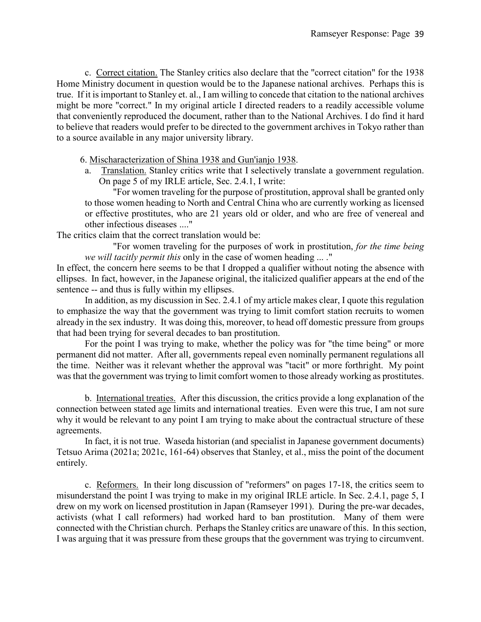c. Correct citation. The Stanley critics also declare that the "correct citation" for the 1938 Home Ministry document in question would be to the Japanese national archives. Perhaps this is true. If it is important to Stanley et. al., I am willing to concede that citation to the national archives might be more "correct." In my original article I directed readers to a readily accessible volume that conveniently reproduced the document, rather than to the National Archives. I do find it hard to believe that readers would prefer to be directed to the government archives in Tokyo rather than to a source available in any major university library.

6. Mischaracterization of Shina 1938 and Gun'ianjo 1938.

a. Translation. Stanley critics write that I selectively translate a government regulation. On page 5 of my IRLE article, Sec. 2.4.1, I write:

"For women traveling for the purpose of prostitution, approval shall be granted only to those women heading to North and Central China who are currently working as licensed or effective prostitutes, who are 21 years old or older, and who are free of venereal and other infectious diseases ...."

The critics claim that the correct translation would be:

"For women traveling for the purposes of work in prostitution, *for the time being we will tacitly permit this* only in the case of women heading ... ."

In effect, the concern here seems to be that I dropped a qualifier without noting the absence with ellipses. In fact, however, in the Japanese original, the italicized qualifier appears at the end of the sentence -- and thus is fully within my ellipses.

In addition, as my discussion in Sec. 2.4.1 of my article makes clear, I quote this regulation to emphasize the way that the government was trying to limit comfort station recruits to women already in the sex industry. It was doing this, moreover, to head off domestic pressure from groups that had been trying for several decades to ban prostitution.

For the point I was trying to make, whether the policy was for "the time being" or more permanent did not matter. After all, governments repeal even nominally permanent regulations all the time. Neither was it relevant whether the approval was "tacit" or more forthright. My point was that the government was trying to limit comfort women to those already working as prostitutes.

b. International treaties. After this discussion, the critics provide a long explanation of the connection between stated age limits and international treaties. Even were this true, I am not sure why it would be relevant to any point I am trying to make about the contractual structure of these agreements.

In fact, it is not true. Waseda historian (and specialist in Japanese government documents) Tetsuo Arima (2021a; 2021c, 161-64) observes that Stanley, et al., miss the point of the document entirely.

c. Reformers. In their long discussion of "reformers" on pages 17-18, the critics seem to misunderstand the point I was trying to make in my original IRLE article. In Sec. 2.4.1, page 5, I drew on my work on licensed prostitution in Japan (Ramseyer 1991). During the pre-war decades, activists (what I call reformers) had worked hard to ban prostitution. Many of them were connected with the Christian church. Perhaps the Stanley critics are unaware of this. In this section, I was arguing that it was pressure from these groups that the government was trying to circumvent.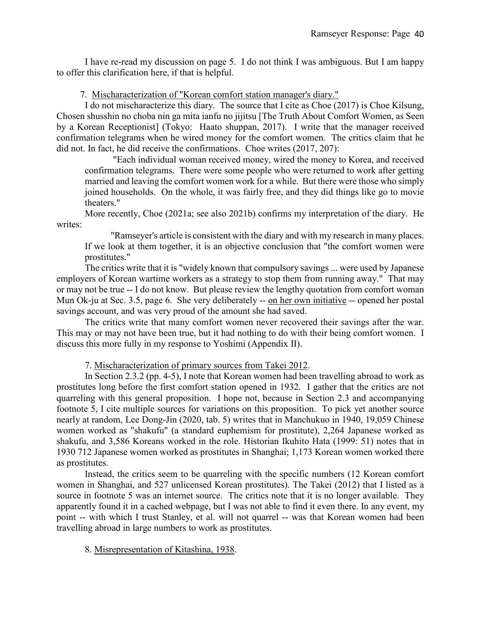I have re-read my discussion on page 5. I do not think I was ambiguous. But I am happy to offer this clarification here, if that is helpful.

7. Mischaracterization of "Korean comfort station manager's diary."

I do not mischaracterize this diary. The source that I cite as Choe (2017) is Choe Kilsung, Chosen shusshin no choba nin ga mita ianfu no jijitsu [The Truth About Comfort Women, as Seen by a Korean Receptionist] (Tokyo: Haato shuppan, 2017). I write that the manager received confirmation telegrams when he wired money for the comfort women. The critics claim that he did not. In fact, he did receive the confirmations. Choe writes (2017, 207):

"Each individual woman received money, wired the money to Korea, and received confirmation telegrams. There were some people who were returned to work after getting married and leaving the comfort women work for a while. But there were those who simply joined households. On the whole, it was fairly free, and they did things like go to movie theaters."

More recently, Choe (2021a; see also 2021b) confirms my interpretation of the diary. He writes:

"Ramseyer's article is consistent with the diary and with my research in many places. If we look at them together, it is an objective conclusion that "the comfort women were prostitutes."

The critics write that it is "widely known that compulsory savings ... were used by Japanese employers of Korean wartime workers as a strategy to stop them from running away." That may or may not be true -- I do not know. But please review the lengthy quotation from comfort woman Mun Ok-ju at Sec. 3.5, page 6. She very deliberately -- on her own initiative -- opened her postal savings account, and was very proud of the amount she had saved.

The critics write that many comfort women never recovered their savings after the war. This may or may not have been true, but it had nothing to do with their being comfort women. I discuss this more fully in my response to Yoshimi (Appendix II).

7. Mischaracterization of primary sources from Takei 2012.

In Section 2.3.2 (pp. 4-5), I note that Korean women had been travelling abroad to work as prostitutes long before the first comfort station opened in 1932. I gather that the critics are not quarreling with this general proposition. I hope not, because in Section 2.3 and accompanying footnote 5, I cite multiple sources for variations on this proposition. To pick yet another source nearly at random, Lee Dong-Jin (2020, tab. 5) writes that in Manchukuo in 1940, 19,059 Chinese women worked as "shakufu" (a standard euphemism for prostitute), 2,264 Japanese worked as shakufu, and 3,586 Koreans worked in the role. Historian Ikuhito Hata (1999: 51) notes that in 1930 712 Japanese women worked as prostitutes in Shanghai; 1,173 Korean women worked there as prostitutes.

Instead, the critics seem to be quarreling with the specific numbers (12 Korean comfort women in Shanghai, and 527 unlicensed Korean prostitutes). The Takei (2012) that I listed as a source in footnote 5 was an internet source. The critics note that it is no longer available. They apparently found it in a cached webpage, but I was not able to find it even there. In any event, my point -- with which I trust Stanley, et al. will not quarrel -- was that Korean women had been travelling abroad in large numbers to work as prostitutes.

8. Misrepresentation of Kitashina, 1938.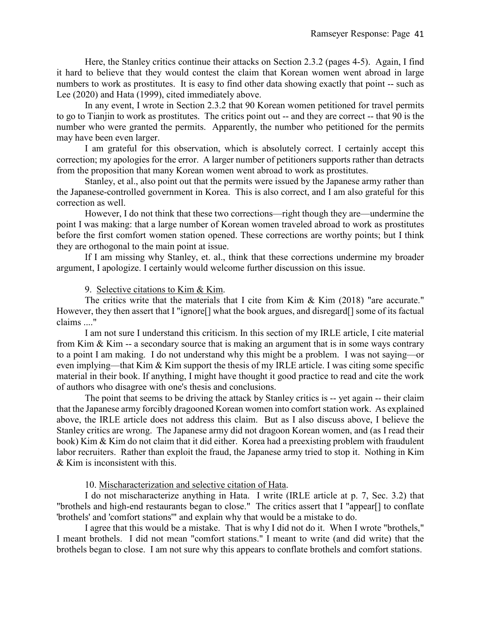Here, the Stanley critics continue their attacks on Section 2.3.2 (pages 4-5). Again, I find it hard to believe that they would contest the claim that Korean women went abroad in large numbers to work as prostitutes. It is easy to find other data showing exactly that point -- such as Lee (2020) and Hata (1999), cited immediately above.

In any event, I wrote in Section 2.3.2 that 90 Korean women petitioned for travel permits to go to Tianjin to work as prostitutes. The critics point out -- and they are correct -- that 90 is the number who were granted the permits. Apparently, the number who petitioned for the permits may have been even larger.

I am grateful for this observation, which is absolutely correct. I certainly accept this correction; my apologies for the error. A larger number of petitioners supports rather than detracts from the proposition that many Korean women went abroad to work as prostitutes.

Stanley, et al., also point out that the permits were issued by the Japanese army rather than the Japanese-controlled government in Korea. This is also correct, and I am also grateful for this correction as well.

However, I do not think that these two corrections—right though they are—undermine the point I was making: that a large number of Korean women traveled abroad to work as prostitutes before the first comfort women station opened. These corrections are worthy points; but I think they are orthogonal to the main point at issue.

If I am missing why Stanley, et. al., think that these corrections undermine my broader argument, I apologize. I certainly would welcome further discussion on this issue.

### 9. Selective citations to Kim & Kim.

The critics write that the materials that I cite from Kim & Kim (2018) "are accurate." However, they then assert that I "ignore[] what the book argues, and disregard[] some of its factual claims ...."

I am not sure I understand this criticism. In this section of my IRLE article, I cite material from Kim & Kim -- a secondary source that is making an argument that is in some ways contrary to a point I am making. I do not understand why this might be a problem. I was not saying—or even implying—that Kim & Kim support the thesis of my IRLE article. I was citing some specific material in their book. If anything, I might have thought it good practice to read and cite the work of authors who disagree with one's thesis and conclusions.

The point that seems to be driving the attack by Stanley critics is -- yet again -- their claim that the Japanese army forcibly dragooned Korean women into comfort station work. As explained above, the IRLE article does not address this claim. But as I also discuss above, I believe the Stanley critics are wrong. The Japanese army did not dragoon Korean women, and (as I read their book) Kim & Kim do not claim that it did either. Korea had a preexisting problem with fraudulent labor recruiters. Rather than exploit the fraud, the Japanese army tried to stop it. Nothing in Kim & Kim is inconsistent with this.

10. Mischaracterization and selective citation of Hata.

I do not mischaracterize anything in Hata. I write (IRLE article at p. 7, Sec. 3.2) that "brothels and high-end restaurants began to close." The critics assert that I "appear[] to conflate 'brothels' and 'comfort stations'" and explain why that would be a mistake to do.

I agree that this would be a mistake. That is why I did not do it. When I wrote "brothels," I meant brothels. I did not mean "comfort stations." I meant to write (and did write) that the brothels began to close. I am not sure why this appears to conflate brothels and comfort stations.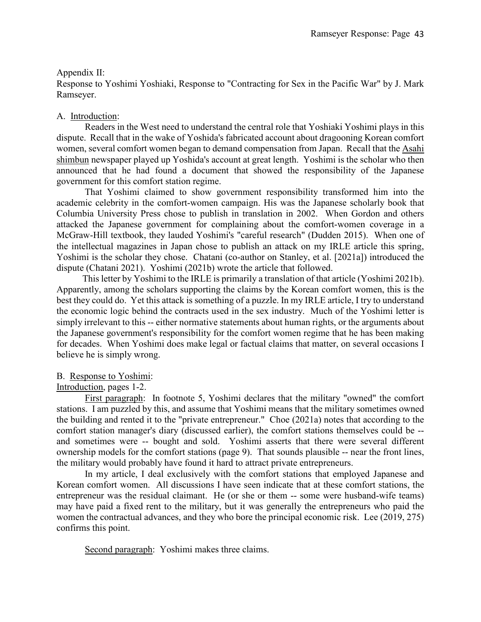# Appendix II:

Response to Yoshimi Yoshiaki, Response to "Contracting for Sex in the Pacific War" by J. Mark Ramseyer.

# A. Introduction:

Readers in the West need to understand the central role that Yoshiaki Yoshimi plays in this dispute. Recall that in the wake of Yoshida's fabricated account about dragooning Korean comfort women, several comfort women began to demand compensation from Japan. Recall that the Asahi shimbun newspaper played up Yoshida's account at great length. Yoshimi is the scholar who then announced that he had found a document that showed the responsibility of the Japanese government for this comfort station regime.

That Yoshimi claimed to show government responsibility transformed him into the academic celebrity in the comfort-women campaign. His was the Japanese scholarly book that Columbia University Press chose to publish in translation in 2002. When Gordon and others attacked the Japanese government for complaining about the comfort-women coverage in a McGraw-Hill textbook, they lauded Yoshimi's "careful research" (Dudden 2015). When one of the intellectual magazines in Japan chose to publish an attack on my IRLE article this spring, Yoshimi is the scholar they chose. Chatani (co-author on Stanley, et al. [2021a]) introduced the dispute (Chatani 2021). Yoshimi (2021b) wrote the article that followed.

This letter by Yoshimi to the IRLE is primarily a translation of that article (Yoshimi 2021b). Apparently, among the scholars supporting the claims by the Korean comfort women, this is the best they could do. Yet this attack is something of a puzzle. In my IRLE article, I try to understand the economic logic behind the contracts used in the sex industry. Much of the Yoshimi letter is simply irrelevant to this -- either normative statements about human rights, or the arguments about the Japanese government's responsibility for the comfort women regime that he has been making for decades. When Yoshimi does make legal or factual claims that matter, on several occasions I believe he is simply wrong.

# B. Response to Yoshimi:

# Introduction, pages 1-2.

First paragraph: In footnote 5, Yoshimi declares that the military "owned" the comfort stations. I am puzzled by this, and assume that Yoshimi means that the military sometimes owned the building and rented it to the "private entrepreneur." Choe (2021a) notes that according to the comfort station manager's diary (discussed earlier), the comfort stations themselves could be - and sometimes were -- bought and sold. Yoshimi asserts that there were several different ownership models for the comfort stations (page 9). That sounds plausible -- near the front lines, the military would probably have found it hard to attract private entrepreneurs.

In my article, I deal exclusively with the comfort stations that employed Japanese and Korean comfort women. All discussions I have seen indicate that at these comfort stations, the entrepreneur was the residual claimant. He (or she or them -- some were husband-wife teams) may have paid a fixed rent to the military, but it was generally the entrepreneurs who paid the women the contractual advances, and they who bore the principal economic risk. Lee (2019, 275) confirms this point.

Second paragraph: Yoshimi makes three claims.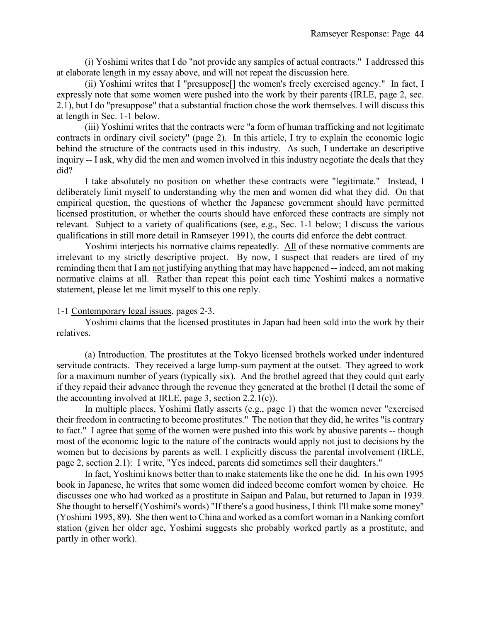(i) Yoshimi writes that I do "not provide any samples of actual contracts." I addressed this at elaborate length in my essay above, and will not repeat the discussion here.

(ii) Yoshimi writes that I "presuppose[] the women's freely exercised agency." In fact, I expressly note that some women were pushed into the work by their parents (IRLE, page 2, sec. 2.1), but I do "presuppose" that a substantial fraction chose the work themselves. I will discuss this at length in Sec. 1-1 below.

(iii) Yoshimi writes that the contracts were "a form of human trafficking and not legitimate contracts in ordinary civil society" (page 2). In this article, I try to explain the economic logic behind the structure of the contracts used in this industry. As such, I undertake an descriptive inquiry -- I ask, why did the men and women involved in this industry negotiate the deals that they did?

I take absolutely no position on whether these contracts were "legitimate." Instead, I deliberately limit myself to understanding why the men and women did what they did. On that empirical question, the questions of whether the Japanese government should have permitted licensed prostitution, or whether the courts should have enforced these contracts are simply not relevant. Subject to a variety of qualifications (see, e.g., Sec. 1-1 below; I discuss the various qualifications in still more detail in Ramseyer 1991), the courts did enforce the debt contract.

Yoshimi interjects his normative claims repeatedly. All of these normative comments are irrelevant to my strictly descriptive project. By now, I suspect that readers are tired of my reminding them that I am not justifying anything that may have happened -- indeed, am not making normative claims at all. Rather than repeat this point each time Yoshimi makes a normative statement, please let me limit myself to this one reply.

1-1 Contemporary legal issues, pages 2-3.

Yoshimi claims that the licensed prostitutes in Japan had been sold into the work by their relatives.

(a) Introduction. The prostitutes at the Tokyo licensed brothels worked under indentured servitude contracts. They received a large lump-sum payment at the outset. They agreed to work for a maximum number of years (typically six). And the brothel agreed that they could quit early if they repaid their advance through the revenue they generated at the brothel (I detail the some of the accounting involved at IRLE, page 3, section 2.2.1(c)).

In multiple places, Yoshimi flatly asserts (e.g., page 1) that the women never "exercised their freedom in contracting to become prostitutes." The notion that they did, he writes "is contrary to fact." I agree that some of the women were pushed into this work by abusive parents -- though most of the economic logic to the nature of the contracts would apply not just to decisions by the women but to decisions by parents as well. I explicitly discuss the parental involvement (IRLE, page 2, section 2.1): I write, "Yes indeed, parents did sometimes sell their daughters."

In fact, Yoshimi knows better than to make statements like the one he did. In his own 1995 book in Japanese, he writes that some women did indeed become comfort women by choice. He discusses one who had worked as a prostitute in Saipan and Palau, but returned to Japan in 1939. She thought to herself (Yoshimi's words) "If there's a good business, I think I'll make some money" (Yoshimi 1995, 89). She then went to China and worked as a comfort woman in a Nanking comfort station (given her older age, Yoshimi suggests she probably worked partly as a prostitute, and partly in other work).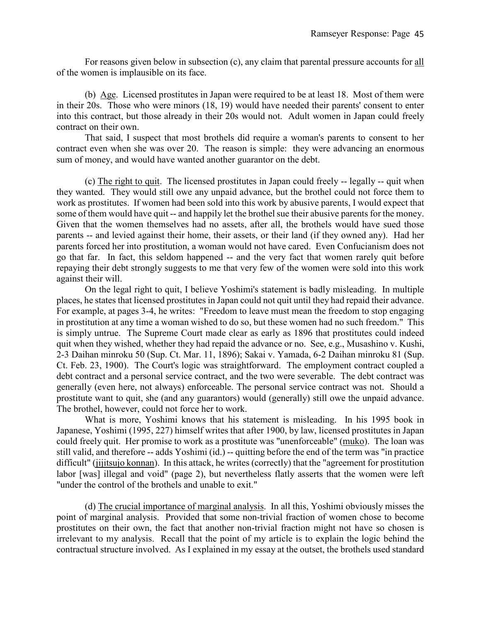For reasons given below in subsection (c), any claim that parental pressure accounts for all of the women is implausible on its face.

(b) Age. Licensed prostitutes in Japan were required to be at least 18. Most of them were in their 20s. Those who were minors (18, 19) would have needed their parents' consent to enter into this contract, but those already in their 20s would not. Adult women in Japan could freely contract on their own.

That said, I suspect that most brothels did require a woman's parents to consent to her contract even when she was over 20. The reason is simple: they were advancing an enormous sum of money, and would have wanted another guarantor on the debt.

(c) The right to quit. The licensed prostitutes in Japan could freely -- legally -- quit when they wanted. They would still owe any unpaid advance, but the brothel could not force them to work as prostitutes. If women had been sold into this work by abusive parents, I would expect that some of them would have quit -- and happily let the brothel sue their abusive parents for the money. Given that the women themselves had no assets, after all, the brothels would have sued those parents -- and levied against their home, their assets, or their land (if they owned any). Had her parents forced her into prostitution, a woman would not have cared. Even Confucianism does not go that far. In fact, this seldom happened -- and the very fact that women rarely quit before repaying their debt strongly suggests to me that very few of the women were sold into this work against their will.

On the legal right to quit, I believe Yoshimi's statement is badly misleading. In multiple places, he states that licensed prostitutes in Japan could not quit until they had repaid their advance. For example, at pages 3-4, he writes: "Freedom to leave must mean the freedom to stop engaging in prostitution at any time a woman wished to do so, but these women had no such freedom." This is simply untrue. The Supreme Court made clear as early as 1896 that prostitutes could indeed quit when they wished, whether they had repaid the advance or no. See, e.g., Musashino v. Kushi, 2-3 Daihan minroku 50 (Sup. Ct. Mar. 11, 1896); Sakai v. Yamada, 6-2 Daihan minroku 81 (Sup. Ct. Feb. 23, 1900). The Court's logic was straightforward. The employment contract coupled a debt contract and a personal service contract, and the two were severable. The debt contract was generally (even here, not always) enforceable. The personal service contract was not. Should a prostitute want to quit, she (and any guarantors) would (generally) still owe the unpaid advance. The brothel, however, could not force her to work.

What is more, Yoshimi knows that his statement is misleading. In his 1995 book in Japanese, Yoshimi (1995, 227) himself writes that after 1900, by law, licensed prostitutes in Japan could freely quit. Her promise to work as a prostitute was "unenforceable" (muko). The loan was still valid, and therefore -- adds Yoshimi (id.) -- quitting before the end of the term was "in practice difficult" (jijitsujo konnan). In this attack, he writes (correctly) that the "agreement for prostitution labor [was] illegal and void" (page 2), but nevertheless flatly asserts that the women were left "under the control of the brothels and unable to exit."

(d) The crucial importance of marginal analysis. In all this, Yoshimi obviously misses the point of marginal analysis. Provided that some non-trivial fraction of women chose to become prostitutes on their own, the fact that another non-trivial fraction might not have so chosen is irrelevant to my analysis. Recall that the point of my article is to explain the logic behind the contractual structure involved. As I explained in my essay at the outset, the brothels used standard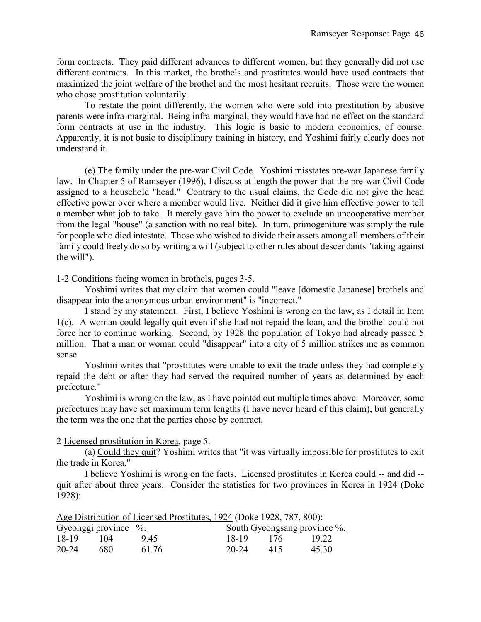form contracts. They paid different advances to different women, but they generally did not use different contracts. In this market, the brothels and prostitutes would have used contracts that maximized the joint welfare of the brothel and the most hesitant recruits. Those were the women who chose prostitution voluntarily.

To restate the point differently, the women who were sold into prostitution by abusive parents were infra-marginal. Being infra-marginal, they would have had no effect on the standard form contracts at use in the industry. This logic is basic to modern economics, of course. Apparently, it is not basic to disciplinary training in history, and Yoshimi fairly clearly does not understand it.

(e) The family under the pre-war Civil Code. Yoshimi misstates pre-war Japanese family law. In Chapter 5 of Ramseyer (1996), I discuss at length the power that the pre-war Civil Code assigned to a household "head." Contrary to the usual claims, the Code did not give the head effective power over where a member would live. Neither did it give him effective power to tell a member what job to take. It merely gave him the power to exclude an uncooperative member from the legal "house" (a sanction with no real bite). In turn, primogeniture was simply the rule for people who died intestate. Those who wished to divide their assets among all members of their family could freely do so by writing a will (subject to other rules about descendants "taking against the will").

1-2 Conditions facing women in brothels, pages 3-5.

Yoshimi writes that my claim that women could "leave [domestic Japanese] brothels and disappear into the anonymous urban environment" is "incorrect."

I stand by my statement. First, I believe Yoshimi is wrong on the law, as I detail in Item 1(c). A woman could legally quit even if she had not repaid the loan, and the brothel could not force her to continue working. Second, by 1928 the population of Tokyo had already passed 5 million. That a man or woman could "disappear" into a city of 5 million strikes me as common sense.

Yoshimi writes that "prostitutes were unable to exit the trade unless they had completely repaid the debt or after they had served the required number of years as determined by each prefecture."

Yoshimi is wrong on the law, as I have pointed out multiple times above. Moreover, some prefectures may have set maximum term lengths (I have never heard of this claim), but generally the term was the one that the parties chose by contract.

2 Licensed prostitution in Korea, page 5.

(a) Could they quit? Yoshimi writes that "it was virtually impossible for prostitutes to exit the trade in Korea."

I believe Yoshimi is wrong on the facts. Licensed prostitutes in Korea could -- and did - quit after about three years. Consider the statistics for two provinces in Korea in 1924 (Doke 1928):

Age Distribution of Licensed Prostitutes, 1924 (Doke 1928, 787, 800):

| Gyeonggi province $\frac{6}{6}$ . |       |       |           | South Gyeongsang province %. |       |
|-----------------------------------|-------|-------|-----------|------------------------------|-------|
| 18-19                             | 1(1)4 | 9.45  | 18-19     | 176                          | 19.22 |
| 20-24                             | -680  | 61.76 | 20-24 415 |                              | 45.30 |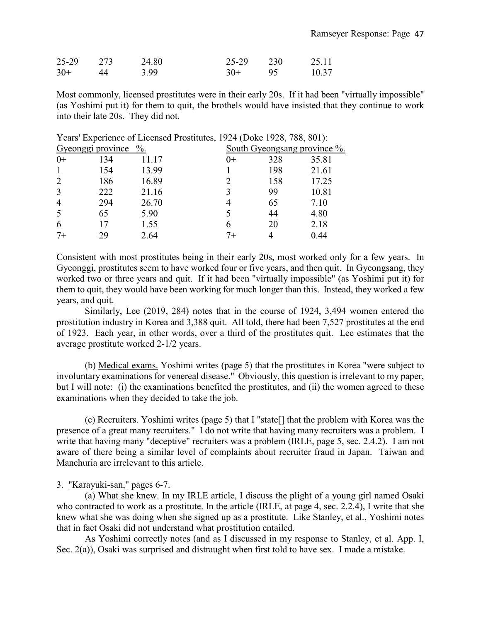| 25-29 273 |    | 24.80 | 25-29 230 |      | 25.11 |
|-----------|----|-------|-----------|------|-------|
| $30+$     | 44 | 3.99  | $30+$     | - 95 | 10.37 |

Years' Experience of Licensed Prostitutes, 1924 (Doke 1928, 788, 801):

Most commonly, licensed prostitutes were in their early 20s. If it had been "virtually impossible" (as Yoshimi put it) for them to quit, the brothels would have insisted that they continue to work into their late 20s. They did not.

|                | veonggi province | $\%$ . | South Gyeongsang province %. |     |       |  |
|----------------|------------------|--------|------------------------------|-----|-------|--|
| $0+$           | 134              | 11.17  | $()+$                        | 328 | 35.81 |  |
|                | 154              | 13.99  |                              | 198 | 21.61 |  |
| $\overline{2}$ | 186              | 16.89  |                              | 158 | 17.25 |  |
| 3              | 222              | 21.16  | 3                            | 99  | 10.81 |  |
| $\overline{4}$ | 294              | 26.70  | 4                            | 65  | 7.10  |  |
| 5              | 65               | 5.90   |                              | 44  | 4.80  |  |
| 6              |                  | 1.55   | 6                            | 20  | 2.18  |  |
| 7+             | 29               | 2.64   | 7+                           |     | 0.44  |  |
|                |                  |        |                              |     |       |  |

Consistent with most prostitutes being in their early 20s, most worked only for a few years. In Gyeonggi, prostitutes seem to have worked four or five years, and then quit. In Gyeongsang, they worked two or three years and quit. If it had been "virtually impossible" (as Yoshimi put it) for them to quit, they would have been working for much longer than this. Instead, they worked a few years, and quit.

Similarly, Lee (2019, 284) notes that in the course of 1924, 3,494 women entered the prostitution industry in Korea and 3,388 quit. All told, there had been 7,527 prostitutes at the end of 1923. Each year, in other words, over a third of the prostitutes quit. Lee estimates that the average prostitute worked 2-1/2 years.

(b) Medical exams. Yoshimi writes (page 5) that the prostitutes in Korea "were subject to involuntary examinations for venereal disease." Obviously, this question is irrelevant to my paper, but I will note: (i) the examinations benefited the prostitutes, and (ii) the women agreed to these examinations when they decided to take the job.

(c) Recruiters. Yoshimi writes (page 5) that I "state[] that the problem with Korea was the presence of a great many recruiters." I do not write that having many recruiters was a problem. I write that having many "deceptive" recruiters was a problem (IRLE, page 5, sec. 2.4.2). I am not aware of there being a similar level of complaints about recruiter fraud in Japan. Taiwan and Manchuria are irrelevant to this article.

### 3. "Karayuki-san," pages 6-7.

(a) What she knew. In my IRLE article, I discuss the plight of a young girl named Osaki who contracted to work as a prostitute. In the article (IRLE, at page 4, sec. 2.2.4), I write that she knew what she was doing when she signed up as a prostitute. Like Stanley, et al., Yoshimi notes that in fact Osaki did not understand what prostitution entailed.

As Yoshimi correctly notes (and as I discussed in my response to Stanley, et al. App. I, Sec. 2(a)), Osaki was surprised and distraught when first told to have sex. I made a mistake.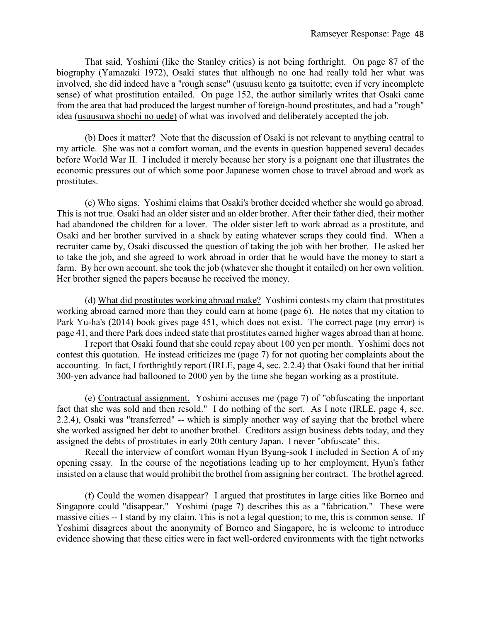That said, Yoshimi (like the Stanley critics) is not being forthright. On page 87 of the biography (Yamazaki 1972), Osaki states that although no one had really told her what was involved, she did indeed have a "rough sense" (usuusu kento ga tsuitotte; even if very incomplete sense) of what prostitution entailed. On page 152, the author similarly writes that Osaki came from the area that had produced the largest number of foreign-bound prostitutes, and had a "rough" idea (usuusuwa shochi no uede) of what was involved and deliberately accepted the job.

(b) Does it matter? Note that the discussion of Osaki is not relevant to anything central to my article. She was not a comfort woman, and the events in question happened several decades before World War II. I included it merely because her story is a poignant one that illustrates the economic pressures out of which some poor Japanese women chose to travel abroad and work as prostitutes.

(c) Who signs. Yoshimi claims that Osaki's brother decided whether she would go abroad. This is not true. Osaki had an older sister and an older brother. After their father died, their mother had abandoned the children for a lover. The older sister left to work abroad as a prostitute, and Osaki and her brother survived in a shack by eating whatever scraps they could find. When a recruiter came by, Osaki discussed the question of taking the job with her brother. He asked her to take the job, and she agreed to work abroad in order that he would have the money to start a farm. By her own account, she took the job (whatever she thought it entailed) on her own volition. Her brother signed the papers because he received the money.

(d) What did prostitutes working abroad make? Yoshimi contests my claim that prostitutes working abroad earned more than they could earn at home (page 6). He notes that my citation to Park Yu-ha's (2014) book gives page 451, which does not exist. The correct page (my error) is page 41, and there Park does indeed state that prostitutes earned higher wages abroad than at home.

I report that Osaki found that she could repay about 100 yen per month. Yoshimi does not contest this quotation. He instead criticizes me (page 7) for not quoting her complaints about the accounting. In fact, I forthrightly report (IRLE, page 4, sec. 2.2.4) that Osaki found that her initial 300-yen advance had ballooned to 2000 yen by the time she began working as a prostitute.

(e) Contractual assignment. Yoshimi accuses me (page 7) of "obfuscating the important fact that she was sold and then resold." I do nothing of the sort. As I note (IRLE, page 4, sec. 2.2.4), Osaki was "transferred" -- which is simply another way of saying that the brothel where she worked assigned her debt to another brothel. Creditors assign business debts today, and they assigned the debts of prostitutes in early 20th century Japan. I never "obfuscate" this.

Recall the interview of comfort woman Hyun Byung-sook I included in Section A of my opening essay. In the course of the negotiations leading up to her employment, Hyun's father insisted on a clause that would prohibit the brothel from assigning her contract. The brothel agreed.

(f) Could the women disappear? I argued that prostitutes in large cities like Borneo and Singapore could "disappear." Yoshimi (page 7) describes this as a "fabrication." These were massive cities -- I stand by my claim. This is not a legal question; to me, this is common sense. If Yoshimi disagrees about the anonymity of Borneo and Singapore, he is welcome to introduce evidence showing that these cities were in fact well-ordered environments with the tight networks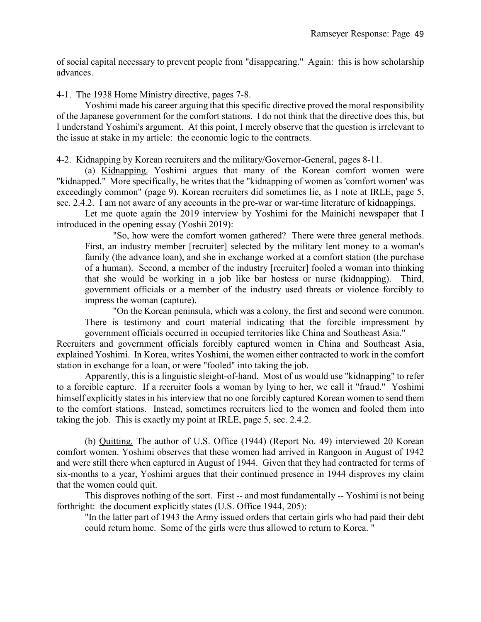of social capital necessary to prevent people from "disappearing." Again: this is how scholarship advances.

### 4-1. The 1938 Home Ministry directive, pages 7-8.

Yoshimi made his career arguing that this specific directive proved the moral responsibility of the Japanese government for the comfort stations. I do not think that the directive does this, but I understand Yoshimi's argument. At this point, I merely observe that the question is irrelevant to the issue at stake in my article: the economic logic to the contracts.

4-2. Kidnapping by Korean recruiters and the military/Governor-General, pages 8-11.

(a) Kidnapping. Yoshimi argues that many of the Korean comfort women were "kidnapped." More specifically, he writes that the "kidnapping of women as 'comfort women' was exceedingly common" (page 9). Korean recruiters did sometimes lie, as I note at IRLE, page 5, sec. 2.4.2. I am not aware of any accounts in the pre-war or war-time literature of kidnappings.

Let me quote again the 2019 interview by Yoshimi for the Mainichi newspaper that I introduced in the opening essay (Yoshii 2019):

"So, how were the comfort women gathered? There were three general methods. First, an industry member [recruiter] selected by the military lent money to a woman's family (the advance loan), and she in exchange worked at a comfort station (the purchase of a human). Second, a member of the industry [recruiter] fooled a woman into thinking that she would be working in a job like bar hostess or nurse (kidnapping). Third, government officials or a member of the industry used threats or violence forcibly to impress the woman (capture).

"On the Korean peninsula, which was a colony, the first and second were common. There is testimony and court material indicating that the forcible impressment by government officials occurred in occupied territories like China and Southeast Asia."

Recruiters and government officials forcibly captured women in China and Southeast Asia, explained Yoshimi. In Korea, writes Yoshimi, the women either contracted to work in the comfort station in exchange for a loan, or were "fooled" into taking the job.

Apparently, this is a linguistic sleight-of-hand. Most of us would use "kidnapping" to refer to a forcible capture. If a recruiter fools a woman by lying to her, we call it "fraud." Yoshimi himself explicitly states in his interview that no one forcibly captured Korean women to send them to the comfort stations. Instead, sometimes recruiters lied to the women and fooled them into taking the job. This is exactly my point at IRLE, page 5, sec. 2.4.2.

(b) Quitting. The author of U.S. Office (1944) (Report No. 49) interviewed 20 Korean comfort women. Yoshimi observes that these women had arrived in Rangoon in August of 1942 and were still there when captured in August of 1944. Given that they had contracted for terms of six-months to a year, Yoshimi argues that their continued presence in 1944 disproves my claim that the women could quit.

This disproves nothing of the sort. First -- and most fundamentally -- Yoshimi is not being forthright: the document explicitly states (U.S. Office 1944, 205):

"In the latter part of 1943 the Army issued orders that certain girls who had paid their debt could return home. Some of the girls were thus allowed to return to Korea. "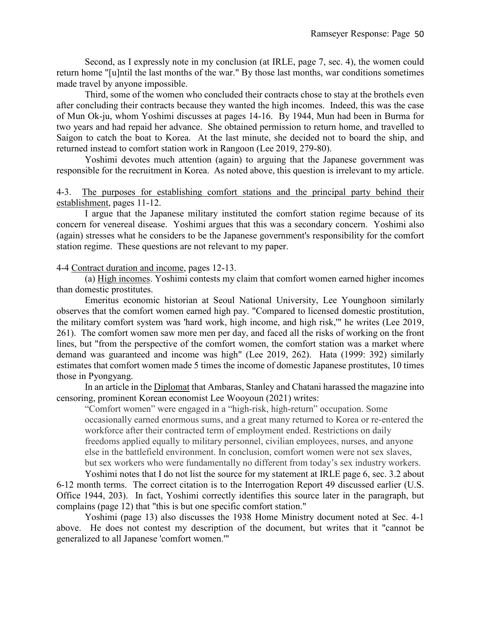Second, as I expressly note in my conclusion (at IRLE, page 7, sec. 4), the women could return home "[u]ntil the last months of the war." By those last months, war conditions sometimes made travel by anyone impossible.

Third, some of the women who concluded their contracts chose to stay at the brothels even after concluding their contracts because they wanted the high incomes. Indeed, this was the case of Mun Ok-ju, whom Yoshimi discusses at pages 14-16. By 1944, Mun had been in Burma for two years and had repaid her advance. She obtained permission to return home, and travelled to Saigon to catch the boat to Korea. At the last minute, she decided not to board the ship, and returned instead to comfort station work in Rangoon (Lee 2019, 279-80).

Yoshimi devotes much attention (again) to arguing that the Japanese government was responsible for the recruitment in Korea. As noted above, this question is irrelevant to my article.

#### 4-3. The purposes for establishing comfort stations and the principal party behind their establishment, pages 11-12.

I argue that the Japanese military instituted the comfort station regime because of its concern for venereal disease. Yoshimi argues that this was a secondary concern. Yoshimi also (again) stresses what he considers to be the Japanese government's responsibility for the comfort station regime. These questions are not relevant to my paper.

4-4 Contract duration and income, pages 12-13.

(a) High incomes. Yoshimi contests my claim that comfort women earned higher incomes than domestic prostitutes.

Emeritus economic historian at Seoul National University, Lee Younghoon similarly observes that the comfort women earned high pay. "Compared to licensed domestic prostitution, the military comfort system was 'hard work, high income, and high risk,'" he writes (Lee 2019, 261). The comfort women saw more men per day, and faced all the risks of working on the front lines, but "from the perspective of the comfort women, the comfort station was a market where demand was guaranteed and income was high" (Lee 2019, 262). Hata (1999: 392) similarly estimates that comfort women made 5 times the income of domestic Japanese prostitutes, 10 times those in Pyongyang.

In an article in the Diplomat that Ambaras, Stanley and Chatani harassed the magazine into censoring, prominent Korean economist Lee Wooyoun (2021) writes:

"Comfort women" were engaged in a "high-risk, high-return" occupation. Some occasionally earned enormous sums, and a great many returned to Korea or re-entered the workforce after their contracted term of employment ended. Restrictions on daily freedoms applied equally to military personnel, civilian employees, nurses, and anyone else in the battlefield environment. In conclusion, comfort women were not sex slaves, but sex workers who were fundamentally no different from today's sex industry workers.

Yoshimi notes that I do not list the source for my statement at IRLE page 6, sec. 3.2 about 6-12 month terms. The correct citation is to the Interrogation Report 49 discussed earlier (U.S. Office 1944, 203). In fact, Yoshimi correctly identifies this source later in the paragraph, but complains (page 12) that "this is but one specific comfort station."

Yoshimi (page 13) also discusses the 1938 Home Ministry document noted at Sec. 4-1 above. He does not contest my description of the document, but writes that it "cannot be generalized to all Japanese 'comfort women.'"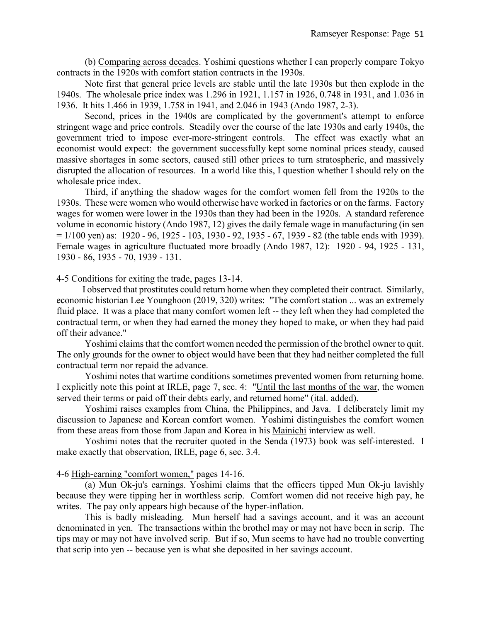(b) Comparing across decades. Yoshimi questions whether I can properly compare Tokyo contracts in the 1920s with comfort station contracts in the 1930s.

Note first that general price levels are stable until the late 1930s but then explode in the 1940s. The wholesale price index was 1.296 in 1921, 1.157 in 1926, 0.748 in 1931, and 1.036 in 1936. It hits 1.466 in 1939, 1.758 in 1941, and 2.046 in 1943 (Ando 1987, 2-3).

Second, prices in the 1940s are complicated by the government's attempt to enforce stringent wage and price controls. Steadily over the course of the late 1930s and early 1940s, the government tried to impose ever-more-stringent controls. The effect was exactly what an economist would expect: the government successfully kept some nominal prices steady, caused massive shortages in some sectors, caused still other prices to turn stratospheric, and massively disrupted the allocation of resources. In a world like this, I question whether I should rely on the wholesale price index.

Third, if anything the shadow wages for the comfort women fell from the 1920s to the 1930s. These were women who would otherwise have worked in factories or on the farms. Factory wages for women were lower in the 1930s than they had been in the 1920s. A standard reference volume in economic history (Ando 1987, 12) gives the daily female wage in manufacturing (in sen  $= 1/100$  yen) as: 1920 - 96, 1925 - 103, 1930 - 92, 1935 - 67, 1939 - 82 (the table ends with 1939). Female wages in agriculture fluctuated more broadly (Ando 1987, 12): 1920 - 94, 1925 - 131, 1930 - 86, 1935 - 70, 1939 - 131.

#### 4-5 Conditions for exiting the trade, pages 13-14.

I observed that prostitutes could return home when they completed their contract. Similarly, economic historian Lee Younghoon (2019, 320) writes: "The comfort station ... was an extremely fluid place. It was a place that many comfort women left -- they left when they had completed the contractual term, or when they had earned the money they hoped to make, or when they had paid off their advance."

Yoshimi claims that the comfort women needed the permission of the brothel owner to quit. The only grounds for the owner to object would have been that they had neither completed the full contractual term nor repaid the advance.

Yoshimi notes that wartime conditions sometimes prevented women from returning home. I explicitly note this point at IRLE, page 7, sec. 4: "Until the last months of the war, the women served their terms or paid off their debts early, and returned home" (ital. added).

Yoshimi raises examples from China, the Philippines, and Java. I deliberately limit my discussion to Japanese and Korean comfort women. Yoshimi distinguishes the comfort women from these areas from those from Japan and Korea in his Mainichi interview as well.

Yoshimi notes that the recruiter quoted in the Senda (1973) book was self-interested. I make exactly that observation, IRLE, page 6, sec. 3.4.

#### 4-6 High-earning "comfort women," pages 14-16.

(a) Mun Ok-ju's earnings. Yoshimi claims that the officers tipped Mun Ok-ju lavishly because they were tipping her in worthless scrip. Comfort women did not receive high pay, he writes. The pay only appears high because of the hyper-inflation.

This is badly misleading. Mun herself had a savings account, and it was an account denominated in yen. The transactions within the brothel may or may not have been in scrip. The tips may or may not have involved scrip. But if so, Mun seems to have had no trouble converting that scrip into yen -- because yen is what she deposited in her savings account.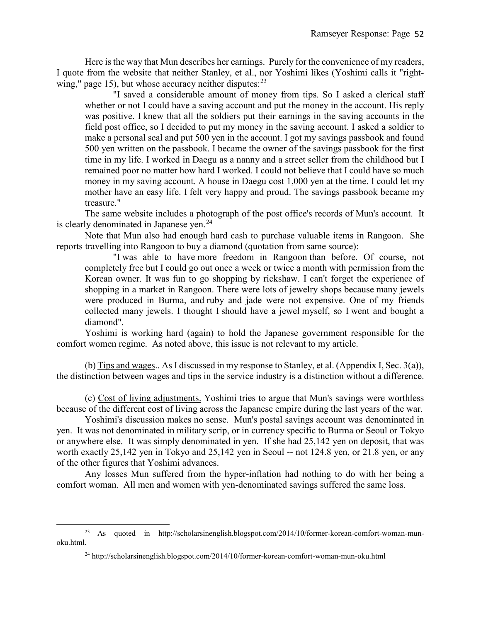Here is the way that Mun describes her earnings. Purely for the convenience of my readers, I quote from the website that neither Stanley, et al., nor Yoshimi likes (Yoshimi calls it "rightwing," page 15), but whose accuracy neither disputes: $^{23}$  $^{23}$  $^{23}$ 

"I saved a considerable amount of money from tips. So I asked a clerical staff whether or not I could have a saving account and put the money in the account. His reply was positive. I knew that all the soldiers put their earnings in the saving accounts in the field post office, so I decided to put my money in the saving account. I asked a soldier to make a personal seal and put 500 yen in the account. I got my savings passbook and found 500 yen written on the passbook. I became the owner of the savings passbook for the first time in my life. I worked in Daegu as a nanny and a street seller from the childhood but I remained poor no matter how hard I worked. I could not believe that I could have so much money in my saving account. A house in Daegu cost 1,000 yen at the time. I could let my mother have an easy life. I felt very happy and proud. The savings passbook became my treasure."

The same website includes a photograph of the post office's records of Mun's account. It is clearly denominated in Japanese yen.<sup>[24](#page-52-1)</sup>

Note that Mun also had enough hard cash to purchase valuable items in Rangoon. She reports travelling into Rangoon to buy a diamond (quotation from same source):

"I was able to have more freedom in Rangoon than before. Of course, not completely free but I could go out once a week or twice a month with permission from the Korean owner. It was fun to go shopping by rickshaw. I can't forget the experience of shopping in a market in Rangoon. There were lots of jewelry shops because many jewels were produced in Burma, and ruby and jade were not expensive. One of my friends collected many jewels. I thought I should have a jewel myself, so I went and bought a diamond".

Yoshimi is working hard (again) to hold the Japanese government responsible for the comfort women regime. As noted above, this issue is not relevant to my article.

(b) Tips and wages.. As I discussed in my response to Stanley, et al. (Appendix I, Sec. 3(a)), the distinction between wages and tips in the service industry is a distinction without a difference.

(c) Cost of living adjustments. Yoshimi tries to argue that Mun's savings were worthless because of the different cost of living across the Japanese empire during the last years of the war.

Yoshimi's discussion makes no sense. Mun's postal savings account was denominated in yen. It was not denominated in military scrip, or in currency specific to Burma or Seoul or Tokyo or anywhere else. It was simply denominated in yen. If she had 25,142 yen on deposit, that was worth exactly 25,142 yen in Tokyo and 25,142 yen in Seoul -- not 124.8 yen, or 21.8 yen, or any of the other figures that Yoshimi advances.

Any losses Mun suffered from the hyper-inflation had nothing to do with her being a comfort woman. All men and women with yen-denominated savings suffered the same loss.

 $\overline{a}$ 

<span id="page-52-1"></span><span id="page-52-0"></span><sup>23</sup> As quoted in http://scholarsinenglish.blogspot.com/2014/10/former-korean-comfort-woman-munoku.html.

<sup>24</sup> http://scholarsinenglish.blogspot.com/2014/10/former-korean-comfort-woman-mun-oku.html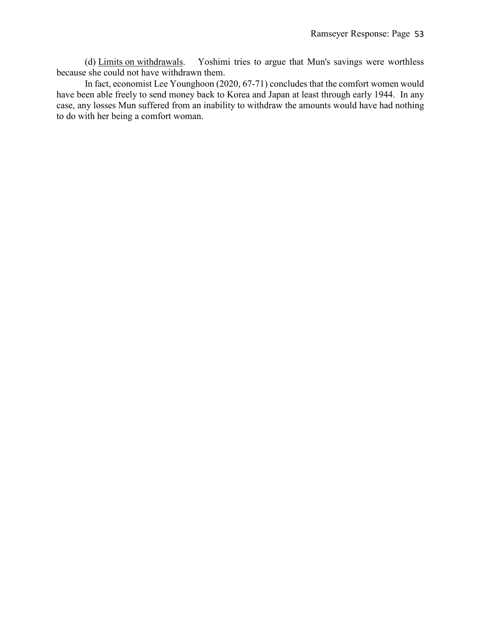(d) Limits on withdrawals. Yoshimi tries to argue that Mun's savings were worthless because she could not have withdrawn them.

In fact, economist Lee Younghoon (2020, 67-71) concludes that the comfort women would have been able freely to send money back to Korea and Japan at least through early 1944. In any case, any losses Mun suffered from an inability to withdraw the amounts would have had nothing to do with her being a comfort woman.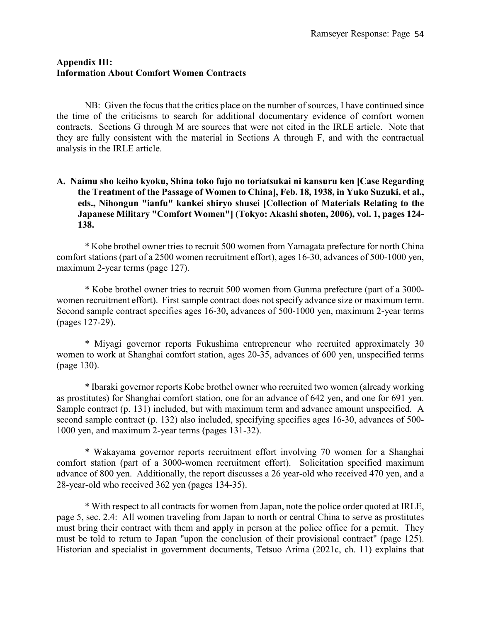#### **Appendix III: Information About Comfort Women Contracts**

NB: Given the focus that the critics place on the number of sources, I have continued since the time of the criticisms to search for additional documentary evidence of comfort women contracts. Sections G through M are sources that were not cited in the IRLE article. Note that they are fully consistent with the material in Sections A through F, and with the contractual analysis in the IRLE article.

# **A. Naimu sho keiho kyoku, Shina toko fujo no toriatsukai ni kansuru ken [Case Regarding the Treatment of the Passage of Women to China], Feb. 18, 1938, in Yuko Suzuki, et al., eds., Nihongun "ianfu" kankei shiryo shusei [Collection of Materials Relating to the Japanese Military "Comfort Women"] (Tokyo: Akashi shoten, 2006), vol. 1, pages 124- 138.**

\* Kobe brothel owner tries to recruit 500 women from Yamagata prefecture for north China comfort stations (part of a 2500 women recruitment effort), ages 16-30, advances of 500-1000 yen, maximum 2-year terms (page 127).

\* Kobe brothel owner tries to recruit 500 women from Gunma prefecture (part of a 3000 women recruitment effort). First sample contract does not specify advance size or maximum term. Second sample contract specifies ages 16-30, advances of 500-1000 yen, maximum 2-year terms (pages 127-29).

\* Miyagi governor reports Fukushima entrepreneur who recruited approximately 30 women to work at Shanghai comfort station, ages 20-35, advances of 600 yen, unspecified terms (page 130).

\* Ibaraki governor reports Kobe brothel owner who recruited two women (already working as prostitutes) for Shanghai comfort station, one for an advance of 642 yen, and one for 691 yen. Sample contract (p. 131) included, but with maximum term and advance amount unspecified. A second sample contract (p. 132) also included, specifying specifies ages 16-30, advances of 500- 1000 yen, and maximum 2-year terms (pages 131-32).

\* Wakayama governor reports recruitment effort involving 70 women for a Shanghai comfort station (part of a 3000-women recruitment effort). Solicitation specified maximum advance of 800 yen. Additionally, the report discusses a 26 year-old who received 470 yen, and a 28-year-old who received 362 yen (pages 134-35).

\* With respect to all contracts for women from Japan, note the police order quoted at IRLE, page 5, sec. 2.4: All women traveling from Japan to north or central China to serve as prostitutes must bring their contract with them and apply in person at the police office for a permit. They must be told to return to Japan "upon the conclusion of their provisional contract" (page 125). Historian and specialist in government documents, Tetsuo Arima (2021c, ch. 11) explains that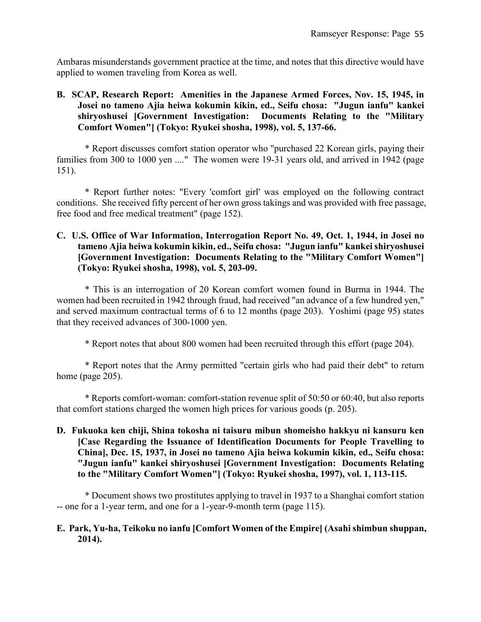Ambaras misunderstands government practice at the time, and notes that this directive would have applied to women traveling from Korea as well.

# **B. SCAP, Research Report: Amenities in the Japanese Armed Forces, Nov. 15, 1945, in Josei no tameno Ajia heiwa kokumin kikin, ed., Seifu chosa: "Jugun ianfu" kankei shiryoshusei [Government Investigation: Documents Relating to the "Military Comfort Women"] (Tokyo: Ryukei shosha, 1998), vol. 5, 137-66.**

\* Report discusses comfort station operator who "purchased 22 Korean girls, paying their families from 300 to 1000 yen ...." The women were 19-31 years old, and arrived in 1942 (page 151).

\* Report further notes: "Every 'comfort girl' was employed on the following contract conditions. She received fifty percent of her own gross takings and was provided with free passage, free food and free medical treatment" (page 152).

# **C. U.S. Office of War Information, Interrogation Report No. 49, Oct. 1, 1944, in Josei no tameno Ajia heiwa kokumin kikin, ed., Seifu chosa: "Jugun ianfu" kankei shiryoshusei [Government Investigation: Documents Relating to the "Military Comfort Women"] (Tokyo: Ryukei shosha, 1998), vol. 5, 203-09.**

\* This is an interrogation of 20 Korean comfort women found in Burma in 1944. The women had been recruited in 1942 through fraud, had received "an advance of a few hundred yen," and served maximum contractual terms of 6 to 12 months (page 203). Yoshimi (page 95) states that they received advances of 300-1000 yen.

\* Report notes that about 800 women had been recruited through this effort (page 204).

\* Report notes that the Army permitted "certain girls who had paid their debt" to return home (page 205).

\* Reports comfort-woman: comfort-station revenue split of 50:50 or 60:40, but also reports that comfort stations charged the women high prices for various goods (p. 205).

**D. Fukuoka ken chiji, Shina tokosha ni taisuru mibun shomeisho hakkyu ni kansuru ken [Case Regarding the Issuance of Identification Documents for People Travelling to China], Dec. 15, 1937, in Josei no tameno Ajia heiwa kokumin kikin, ed., Seifu chosa: "Jugun ianfu" kankei shiryoshusei [Government Investigation: Documents Relating to the "Military Comfort Women"] (Tokyo: Ryukei shosha, 1997), vol. 1, 113-115.**

\* Document shows two prostitutes applying to travel in 1937 to a Shanghai comfort station -- one for a 1-year term, and one for a 1-year-9-month term (page 115).

### **E. Park, Yu-ha, Teikoku no ianfu [Comfort Women of the Empire] (Asahi shimbun shuppan, 2014).**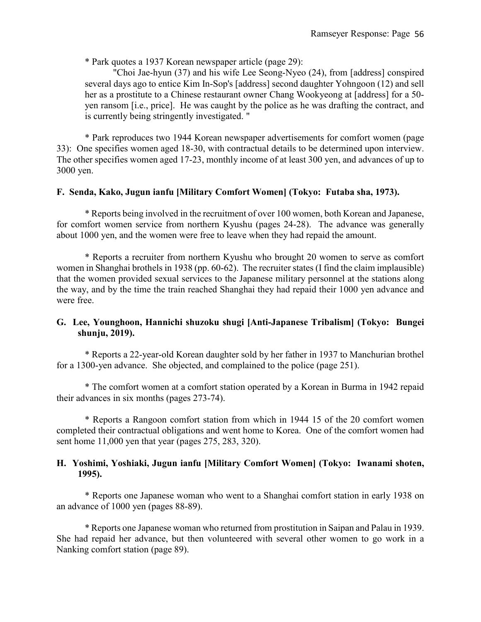\* Park quotes a 1937 Korean newspaper article (page 29):

"Choi Jae-hyun (37) and his wife Lee Seong-Nyeo (24), from [address] conspired several days ago to entice Kim In-Sop's [address] second daughter Yohngoon (12) and sell her as a prostitute to a Chinese restaurant owner Chang Wookyeong at [address] for a 50 yen ransom [i.e., price]. He was caught by the police as he was drafting the contract, and is currently being stringently investigated. "

\* Park reproduces two 1944 Korean newspaper advertisements for comfort women (page 33): One specifies women aged 18-30, with contractual details to be determined upon interview. The other specifies women aged 17-23, monthly income of at least 300 yen, and advances of up to 3000 yen.

### **F. Senda, Kako, Jugun ianfu [Military Comfort Women] (Tokyo: Futaba sha, 1973).**

\* Reports being involved in the recruitment of over 100 women, both Korean and Japanese, for comfort women service from northern Kyushu (pages 24-28). The advance was generally about 1000 yen, and the women were free to leave when they had repaid the amount.

\* Reports a recruiter from northern Kyushu who brought 20 women to serve as comfort women in Shanghai brothels in 1938 (pp. 60-62). The recruiter states (I find the claim implausible) that the women provided sexual services to the Japanese military personnel at the stations along the way, and by the time the train reached Shanghai they had repaid their 1000 yen advance and were free.

### **G. Lee, Younghoon, Hannichi shuzoku shugi [Anti-Japanese Tribalism] (Tokyo: Bungei shunju, 2019).**

\* Reports a 22-year-old Korean daughter sold by her father in 1937 to Manchurian brothel for a 1300-yen advance. She objected, and complained to the police (page 251).

\* The comfort women at a comfort station operated by a Korean in Burma in 1942 repaid their advances in six months (pages 273-74).

\* Reports a Rangoon comfort station from which in 1944 15 of the 20 comfort women completed their contractual obligations and went home to Korea. One of the comfort women had sent home 11,000 yen that year (pages 275, 283, 320).

### **H. Yoshimi, Yoshiaki, Jugun ianfu [Military Comfort Women] (Tokyo: Iwanami shoten, 1995).**

\* Reports one Japanese woman who went to a Shanghai comfort station in early 1938 on an advance of 1000 yen (pages 88-89).

\* Reports one Japanese woman who returned from prostitution in Saipan and Palau in 1939. She had repaid her advance, but then volunteered with several other women to go work in a Nanking comfort station (page 89).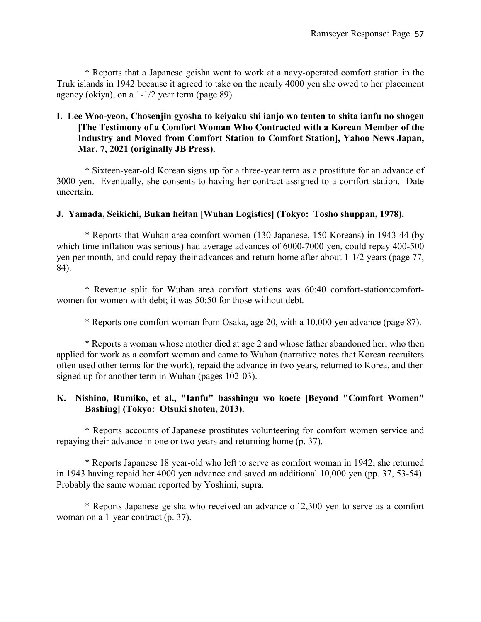\* Reports that a Japanese geisha went to work at a navy-operated comfort station in the Truk islands in 1942 because it agreed to take on the nearly 4000 yen she owed to her placement agency (okiya), on a 1-1/2 year term (page 89).

# **I. Lee Woo-yeon, Chosenjin gyosha to keiyaku shi ianjo wo tenten to shita ianfu no shogen [The Testimony of a Comfort Woman Who Contracted with a Korean Member of the Industry and Moved from Comfort Station to Comfort Station], Yahoo News Japan, Mar. 7, 2021 (originally JB Press).**

\* Sixteen-year-old Korean signs up for a three-year term as a prostitute for an advance of 3000 yen. Eventually, she consents to having her contract assigned to a comfort station. Date uncertain.

# **J. Yamada, Seikichi, Bukan heitan [Wuhan Logistics] (Tokyo: Tosho shuppan, 1978).**

\* Reports that Wuhan area comfort women (130 Japanese, 150 Koreans) in 1943-44 (by which time inflation was serious) had average advances of 6000-7000 yen, could repay 400-500 yen per month, and could repay their advances and return home after about 1-1/2 years (page 77, 84).

\* Revenue split for Wuhan area comfort stations was 60:40 comfort-station:comfortwomen for women with debt; it was 50:50 for those without debt.

\* Reports one comfort woman from Osaka, age 20, with a 10,000 yen advance (page 87).

\* Reports a woman whose mother died at age 2 and whose father abandoned her; who then applied for work as a comfort woman and came to Wuhan (narrative notes that Korean recruiters often used other terms for the work), repaid the advance in two years, returned to Korea, and then signed up for another term in Wuhan (pages 102-03).

# **K. Nishino, Rumiko, et al., "Ianfu" basshingu wo koete [Beyond "Comfort Women" Bashing] (Tokyo: Otsuki shoten, 2013).**

\* Reports accounts of Japanese prostitutes volunteering for comfort women service and repaying their advance in one or two years and returning home (p. 37).

\* Reports Japanese 18 year-old who left to serve as comfort woman in 1942; she returned in 1943 having repaid her 4000 yen advance and saved an additional 10,000 yen (pp. 37, 53-54). Probably the same woman reported by Yoshimi, supra.

\* Reports Japanese geisha who received an advance of 2,300 yen to serve as a comfort woman on a 1-year contract (p. 37).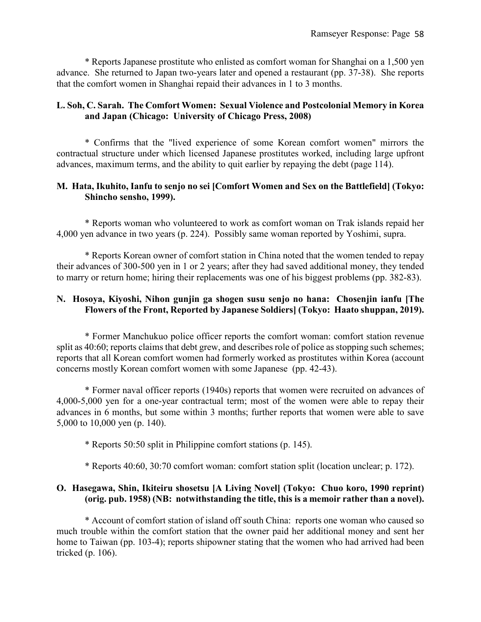\* Reports Japanese prostitute who enlisted as comfort woman for Shanghai on a 1,500 yen advance. She returned to Japan two-years later and opened a restaurant (pp. 37-38). She reports that the comfort women in Shanghai repaid their advances in 1 to 3 months.

# **L. Soh, C. Sarah. The Comfort Women: Sexual Violence and Postcolonial Memory in Korea and Japan (Chicago: University of Chicago Press, 2008)**

\* Confirms that the "lived experience of some Korean comfort women" mirrors the contractual structure under which licensed Japanese prostitutes worked, including large upfront advances, maximum terms, and the ability to quit earlier by repaying the debt (page 114).

### **M. Hata, Ikuhito, Ianfu to senjo no sei [Comfort Women and Sex on the Battlefield] (Tokyo: Shincho sensho, 1999).**

\* Reports woman who volunteered to work as comfort woman on Trak islands repaid her 4,000 yen advance in two years (p. 224). Possibly same woman reported by Yoshimi, supra.

\* Reports Korean owner of comfort station in China noted that the women tended to repay their advances of 300-500 yen in 1 or 2 years; after they had saved additional money, they tended to marry or return home; hiring their replacements was one of his biggest problems (pp. 382-83).

# **N. Hosoya, Kiyoshi, Nihon gunjin ga shogen susu senjo no hana: Chosenjin ianfu [The Flowers of the Front, Reported by Japanese Soldiers] (Tokyo: Haato shuppan, 2019).**

\* Former Manchukuo police officer reports the comfort woman: comfort station revenue split as 40:60; reports claims that debt grew, and describes role of police as stopping such schemes; reports that all Korean comfort women had formerly worked as prostitutes within Korea (account concerns mostly Korean comfort women with some Japanese (pp. 42-43).

\* Former naval officer reports (1940s) reports that women were recruited on advances of 4,000-5,000 yen for a one-year contractual term; most of the women were able to repay their advances in 6 months, but some within 3 months; further reports that women were able to save 5,000 to 10,000 yen (p. 140).

\* Reports 50:50 split in Philippine comfort stations (p. 145).

\* Reports 40:60, 30:70 comfort woman: comfort station split (location unclear; p. 172).

### **O. Hasegawa, Shin, Ikiteiru shosetsu [A Living Novel] (Tokyo: Chuo koro, 1990 reprint) (orig. pub. 1958) (NB: notwithstanding the title, this is a memoir rather than a novel).**

\* Account of comfort station of island off south China: reports one woman who caused so much trouble within the comfort station that the owner paid her additional money and sent her home to Taiwan (pp. 103-4); reports shipowner stating that the women who had arrived had been tricked (p. 106).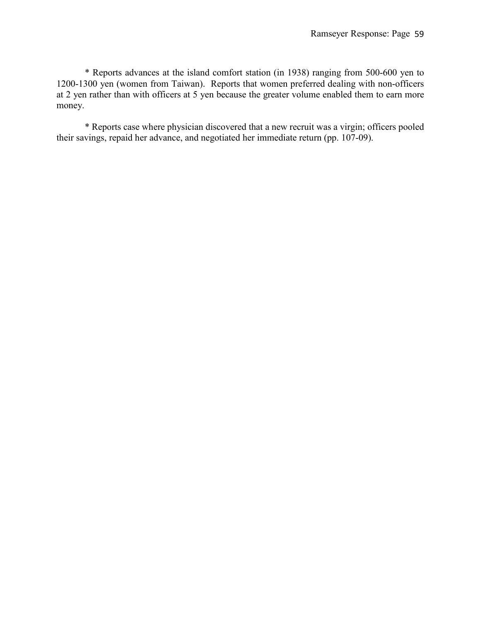\* Reports advances at the island comfort station (in 1938) ranging from 500-600 yen to 1200-1300 yen (women from Taiwan). Reports that women preferred dealing with non-officers at 2 yen rather than with officers at 5 yen because the greater volume enabled them to earn more money.

\* Reports case where physician discovered that a new recruit was a virgin; officers pooled their savings, repaid her advance, and negotiated her immediate return (pp. 107-09).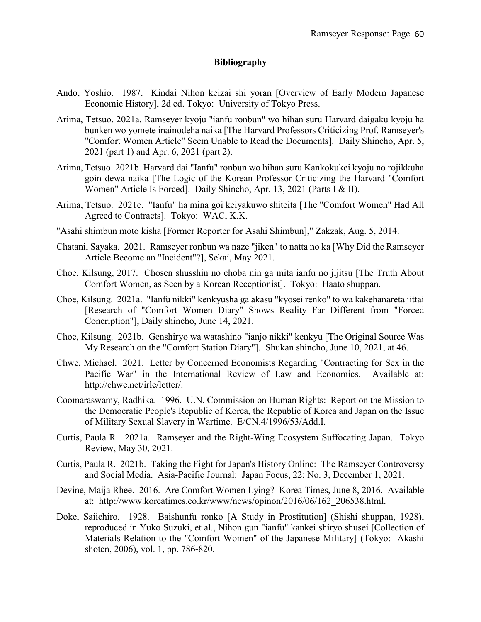### **Bibliography**

- Ando, Yoshio. 1987. Kindai Nihon keizai shi yoran [Overview of Early Modern Japanese Economic History], 2d ed. Tokyo: University of Tokyo Press.
- Arima, Tetsuo. 2021a. Ramseyer kyoju "ianfu ronbun" wo hihan suru Harvard daigaku kyoju ha bunken wo yomete inainodeha naika [The Harvard Professors Criticizing Prof. Ramseyer's "Comfort Women Article" Seem Unable to Read the Documents]. Daily Shincho, Apr. 5, 2021 (part 1) and Apr. 6, 2021 (part 2).
- Arima, Tetsuo. 2021b. Harvard dai "Ianfu" ronbun wo hihan suru Kankokukei kyoju no rojikkuha goin dewa naika [The Logic of the Korean Professor Criticizing the Harvard "Comfort Women" Article Is Forced]. Daily Shincho, Apr. 13, 2021 (Parts I & II).
- Arima, Tetsuo. 2021c. "Ianfu" ha mina goi keiyakuwo shiteita [The "Comfort Women" Had All Agreed to Contracts]. Tokyo: WAC, K.K.
- "Asahi shimbun moto kisha [Former Reporter for Asahi Shimbun]," Zakzak, Aug. 5, 2014.
- Chatani, Sayaka. 2021. Ramseyer ronbun wa naze "jiken" to natta no ka [Why Did the Ramseyer Article Become an "Incident"?], Sekai, May 2021.
- Choe, Kilsung, 2017. Chosen shusshin no choba nin ga mita ianfu no jijitsu [The Truth About Comfort Women, as Seen by a Korean Receptionist]. Tokyo: Haato shuppan.
- Choe, Kilsung. 2021a. "Ianfu nikki" kenkyusha ga akasu "kyosei renko" to wa kakehanareta jittai [Research of "Comfort Women Diary" Shows Reality Far Different from "Forced Concription"], Daily shincho, June 14, 2021.
- Choe, Kilsung. 2021b. Genshiryo wa watashino "ianjo nikki" kenkyu [The Original Source Was My Research on the "Comfort Station Diary"]. Shukan shincho, June 10, 2021, at 46.
- Chwe, Michael. 2021. Letter by Concerned Economists Regarding "Contracting for Sex in the Pacific War" in the International Review of Law and Economics. Available at: http://chwe.net/irle/letter/.
- Coomaraswamy, Radhika. 1996. U.N. Commission on Human Rights: Report on the Mission to the Democratic People's Republic of Korea, the Republic of Korea and Japan on the Issue of Military Sexual Slavery in Wartime. E/CN.4/1996/53/Add.I.
- Curtis, Paula R. 2021a. Ramseyer and the Right-Wing Ecosystem Suffocating Japan. Tokyo Review, May 30, 2021.
- Curtis, Paula R. 2021b. Taking the Fight for Japan's History Online: The Ramseyer Controversy and Social Media. Asia-Pacific Journal: Japan Focus, 22: No. 3, December 1, 2021.
- Devine, Maija Rhee. 2016. Are Comfort Women Lying? Korea Times, June 8, 2016. Available at: http://www.koreatimes.co.kr/www/news/opinon/2016/06/162\_206538.html.
- Doke, Saiichiro. 1928. Baishunfu ronko [A Study in Prostitution] (Shishi shuppan, 1928), reproduced in Yuko Suzuki, et al., Nihon gun "ianfu" kankei shiryo shusei [Collection of Materials Relation to the "Comfort Women" of the Japanese Military] (Tokyo: Akashi shoten, 2006), vol. 1, pp. 786-820.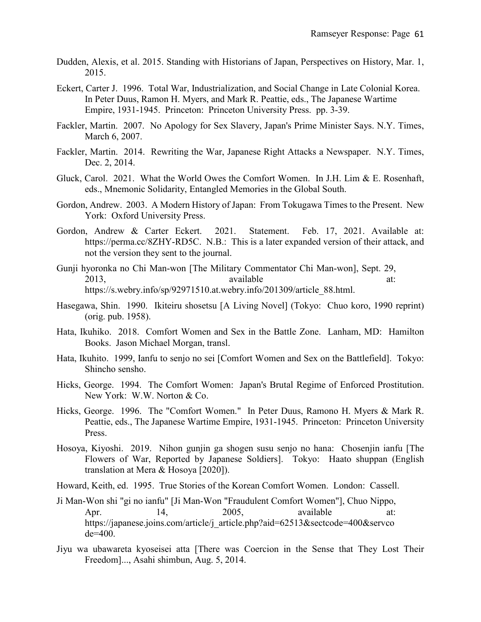- Dudden, Alexis, et al. 2015. Standing with Historians of Japan, Perspectives on History, Mar. 1, 2015.
- Eckert, Carter J. 1996. Total War, Industrialization, and Social Change in Late Colonial Korea. In Peter Duus, Ramon H. Myers, and Mark R. Peattie, eds., The Japanese Wartime Empire, 1931-1945. Princeton: Princeton University Press. pp. 3-39.
- Fackler, Martin. 2007. No Apology for Sex Slavery, Japan's Prime Minister Says. N.Y. Times, March 6, 2007.
- Fackler, Martin. 2014. Rewriting the War, Japanese Right Attacks a Newspaper. N.Y. Times, Dec. 2, 2014.
- Gluck, Carol. 2021. What the World Owes the Comfort Women. In J.H. Lim & E. Rosenhaft, eds., Mnemonic Solidarity, Entangled Memories in the Global South.
- Gordon, Andrew. 2003. A Modern History of Japan: From Tokugawa Times to the Present. New York: Oxford University Press.
- Gordon, Andrew & Carter Eckert. 2021. Statement. Feb. 17, 2021. Available at: https://perma.cc/8ZHY-RD5C. N.B.: This is a later expanded version of their attack, and not the version they sent to the journal.
- Gunji hyoronka no Chi Man-won [The Military Commentator Chi Man-won], Sept. 29, 2013, available at: https://s.webry.info/sp/92971510.at.webry.info/201309/article\_88.html.
- Hasegawa, Shin. 1990. Ikiteiru shosetsu [A Living Novel] (Tokyo: Chuo koro, 1990 reprint) (orig. pub. 1958).
- Hata, Ikuhiko. 2018. Comfort Women and Sex in the Battle Zone. Lanham, MD: Hamilton Books. Jason Michael Morgan, transl.
- Hata, Ikuhito. 1999, Ianfu to senjo no sei [Comfort Women and Sex on the Battlefield]. Tokyo: Shincho sensho.
- Hicks, George. 1994. The Comfort Women: Japan's Brutal Regime of Enforced Prostitution. New York: W.W. Norton & Co.
- Hicks, George. 1996. The "Comfort Women." In Peter Duus, Ramono H. Myers & Mark R. Peattie, eds., The Japanese Wartime Empire, 1931-1945. Princeton: Princeton University Press.
- Hosoya, Kiyoshi. 2019. Nihon gunjin ga shogen susu senjo no hana: Chosenjin ianfu [The Flowers of War, Reported by Japanese Soldiers]. Tokyo: Haato shuppan (English translation at Mera & Hosoya [2020]).
- Howard, Keith, ed. 1995. True Stories of the Korean Comfort Women. London: Cassell.
- Ji Man-Won shi "gi no ianfu" [Ji Man-Won "Fraudulent Comfort Women"], Chuo Nippo, Apr. 14, 2005, available at: https://japanese.joins.com/article/j\_article.php?aid=62513&sectcode=400&servco de=400.
- Jiyu wa ubawareta kyoseisei atta [There was Coercion in the Sense that They Lost Their Freedom]..., Asahi shimbun, Aug. 5, 2014.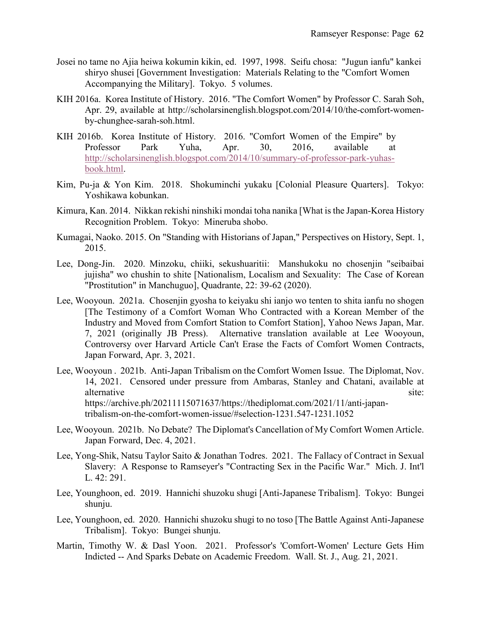- Josei no tame no Ajia heiwa kokumin kikin, ed. 1997, 1998. Seifu chosa: "Jugun ianfu" kankei shiryo shusei [Government Investigation: Materials Relating to the "Comfort Women Accompanying the Military]. Tokyo. 5 volumes.
- KIH 2016a. Korea Institute of History. 2016. "The Comfort Women" by Professor C. Sarah Soh, Apr. 29, available at http://scholarsinenglish.blogspot.com/2014/10/the-comfort-womenby-chunghee-sarah-soh.html.
- KIH 2016b. Korea Institute of History. 2016. "Comfort Women of the Empire" by Professor Park Yuha, Apr. 30, 2016, available at [http://scholarsinenglish.blogspot.com/2014/10/summary-of-professor-park-yuhas](http://scholarsinenglish.blogspot.com/2014/10/summary-of-professor-park-yuhas-book.html)[book.html.](http://scholarsinenglish.blogspot.com/2014/10/summary-of-professor-park-yuhas-book.html)
- Kim, Pu-ja & Yon Kim. 2018. Shokuminchi yukaku [Colonial Pleasure Quarters]. Tokyo: Yoshikawa kobunkan.
- Kimura, Kan. 2014. Nikkan rekishi ninshiki mondai toha nanika [What is the Japan-Korea History Recognition Problem. Tokyo: Mineruba shobo.
- Kumagai, Naoko. 2015. On "Standing with Historians of Japan," Perspectives on History, Sept. 1, 2015.
- Lee, Dong-Jin. 2020. Minzoku, chiiki, sekushuaritii: Manshukoku no chosenjin "seibaibai jujisha" wo chushin to shite [Nationalism, Localism and Sexuality: The Case of Korean "Prostitution" in Manchuguo], Quadrante, 22: 39-62 (2020).
- Lee, Wooyoun. 2021a. Chosenjin gyosha to keiyaku shi ianjo wo tenten to shita ianfu no shogen [The Testimony of a Comfort Woman Who Contracted with a Korean Member of the Industry and Moved from Comfort Station to Comfort Station], Yahoo News Japan, Mar. 7, 2021 (originally JB Press). Alternative translation available at Lee Wooyoun, Controversy over Harvard Article Can't Erase the Facts of Comfort Women Contracts, Japan Forward, Apr. 3, 2021.
- Lee, Wooyoun . 2021b. Anti-Japan Tribalism on the Comfort Women Issue. The Diplomat, Nov. 14, 2021. Censored under pressure from Ambaras, Stanley and Chatani, available at alternative site: site: https://archive.ph/20211115071637/https://thediplomat.com/2021/11/anti-japantribalism-on-the-comfort-women-issue/#selection-1231.547-1231.1052
- Lee, Wooyoun. 2021b. No Debate? The Diplomat's Cancellation of My Comfort Women Article. Japan Forward, Dec. 4, 2021.
- Lee, Yong-Shik, Natsu Taylor Saito & Jonathan Todres. 2021. The Fallacy of Contract in Sexual Slavery: A Response to Ramseyer's "Contracting Sex in the Pacific War." Mich. J. Int'l L. 42: 291.
- Lee, Younghoon, ed. 2019. Hannichi shuzoku shugi [Anti-Japanese Tribalism]. Tokyo: Bungei shunju.
- Lee, Younghoon, ed. 2020. Hannichi shuzoku shugi to no toso [The Battle Against Anti-Japanese Tribalism]. Tokyo: Bungei shunju.
- Martin, Timothy W. & Dasl Yoon. 2021. Professor's 'Comfort-Women' Lecture Gets Him Indicted -- And Sparks Debate on Academic Freedom. Wall. St. J., Aug. 21, 2021.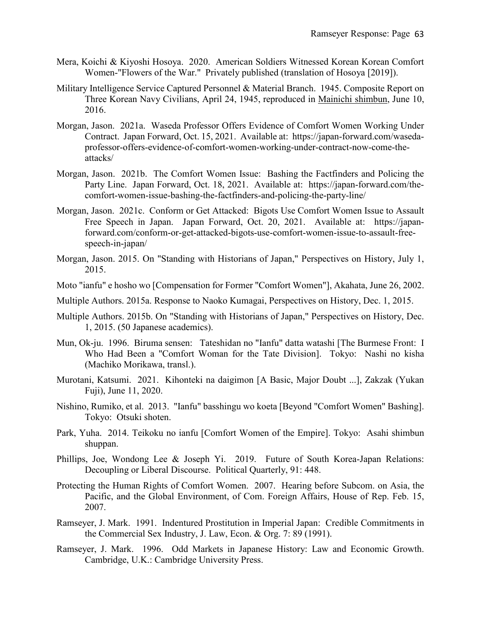- Mera, Koichi & Kiyoshi Hosoya. 2020. American Soldiers Witnessed Korean Korean Comfort Women-"Flowers of the War." Privately published (translation of Hosoya [2019]).
- Military Intelligence Service Captured Personnel & Material Branch. 1945. Composite Report on Three Korean Navy Civilians, April 24, 1945, reproduced in Mainichi shimbun, June 10, 2016.
- Morgan, Jason. 2021a. Waseda Professor Offers Evidence of Comfort Women Working Under Contract. Japan Forward, Oct. 15, 2021. Available at: https://japan-forward.com/wasedaprofessor-offers-evidence-of-comfort-women-working-under-contract-now-come-theattacks/
- Morgan, Jason. 2021b. The Comfort Women Issue: Bashing the Factfinders and Policing the Party Line. Japan Forward, Oct. 18, 2021. Available at: https://japan-forward.com/thecomfort-women-issue-bashing-the-factfinders-and-policing-the-party-line/
- Morgan, Jason. 2021c. Conform or Get Attacked: Bigots Use Comfort Women Issue to Assault Free Speech in Japan. Japan Forward, Oct. 20, 2021. Available at: https://japanforward.com/conform-or-get-attacked-bigots-use-comfort-women-issue-to-assault-freespeech-in-japan/
- Morgan, Jason. 2015. On "Standing with Historians of Japan," Perspectives on History, July 1, 2015.
- Moto "ianfu" e hosho wo [Compensation for Former "Comfort Women"], Akahata, June 26, 2002.
- Multiple Authors. 2015a. Response to Naoko Kumagai, Perspectives on History, Dec. 1, 2015.
- Multiple Authors. 2015b. On "Standing with Historians of Japan," Perspectives on History, Dec. 1, 2015. (50 Japanese academics).
- Mun, Ok-ju. 1996. Biruma sensen: Tateshidan no "Ianfu" datta watashi [The Burmese Front: I Who Had Been a "Comfort Woman for the Tate Division]. Tokyo: Nashi no kisha (Machiko Morikawa, transl.).
- Murotani, Katsumi. 2021. Kihonteki na daigimon [A Basic, Major Doubt ...], Zakzak (Yukan Fuji), June 11, 2020.
- Nishino, Rumiko, et al. 2013. "Ianfu" basshingu wo koeta [Beyond "Comfort Women" Bashing]. Tokyo: Otsuki shoten.
- Park, Yuha. 2014. Teikoku no ianfu [Comfort Women of the Empire]. Tokyo: Asahi shimbun shuppan.
- Phillips, Joe, Wondong Lee & Joseph Yi. 2019. Future of South Korea-Japan Relations: Decoupling or Liberal Discourse. Political Quarterly, 91: 448.
- Protecting the Human Rights of Comfort Women. 2007. Hearing before Subcom. on Asia, the Pacific, and the Global Environment, of Com. Foreign Affairs, House of Rep. Feb. 15, 2007.
- Ramseyer, J. Mark. 1991. Indentured Prostitution in Imperial Japan: Credible Commitments in the Commercial Sex Industry, J. Law, Econ. & Org. 7: 89 (1991).
- Ramseyer, J. Mark. 1996. Odd Markets in Japanese History: Law and Economic Growth. Cambridge, U.K.: Cambridge University Press.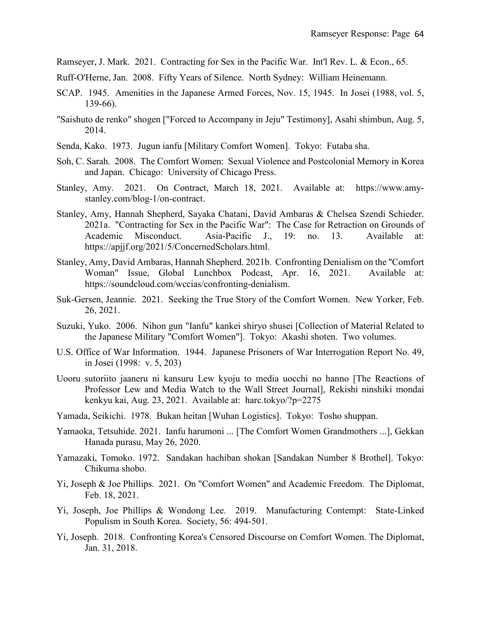Ramseyer, J. Mark. 2021. Contracting for Sex in the Pacific War. Int'l Rev. L. & Econ., 65.

Ruff-O'Herne, Jan. 2008. Fifty Years of Silence. North Sydney: William Heinemann.

- SCAP. 1945. Amenities in the Japanese Armed Forces, Nov. 15, 1945. In Josei (1988, vol. 5, 139-66).
- "Saishuto de renko" shogen ["Forced to Accompany in Jeju" Testimony], Asahi shimbun, Aug. 5, 2014.
- Senda, Kako. 1973. Jugun ianfu [Military Comfort Women]. Tokyo: Futaba sha.
- Soh, C. Sarah. 2008. The Comfort Women: Sexual Violence and Postcolonial Memory in Korea and Japan. Chicago: University of Chicago Press.
- Stanley, Amy. 2021. On Contract, March 18, 2021. Available at: https://www.amystanley.com/blog-1/on-contract.
- Stanley, Amy, Hannah Shepherd, Sayaka Chatani, David Ambaras & Chelsea Szendi Schieder. 2021a. "Contracting for Sex in the Pacific War": The Case for Retraction on Grounds of Academic Misconduct. Asia-Pacific J., 19: no. 13. Available at: https://apjjf.org/2021/5/ConcernedScholars.html.
- Stanley, Amy, David Ambaras, Hannah Shepherd. 2021b. Confronting Denialism on the "Comfort Woman" Issue, Global Lunchbox Podcast, Apr. 16, 2021. Available at: https://soundcloud.com/wccias/confronting-denialism.
- Suk-Gersen, Jeannie. 2021. Seeking the True Story of the Comfort Women. New Yorker, Feb. 26, 2021.
- Suzuki, Yuko. 2006. Nihon gun "Ianfu" kankei shiryo shusei [Collection of Material Related to the Japanese Military "Comfort Women"]. Tokyo: Akashi shoten. Two volumes.
- U.S. Office of War Information. 1944. Japanese Prisoners of War Interrogation Report No. 49, in Josei (1998: v. 5, 203)
- Uooru sutoriito jaaneru ni kansuru Lew kyoju to media uocchi no hanno [The Reactions of Professor Lew and Media Watch to the Wall Street Journal], Rekishi ninshiki mondai kenkyu kai, Aug. 23, 2021. Available at: harc.tokyo/?p=2275
- Yamada, Seikichi. 1978. Bukan heitan [Wuhan Logistics]. Tokyo: Tosho shuppan.
- Yamaoka, Tetsuhide. 2021. Ianfu harumoni ... [The Comfort Women Grandmothers ...], Gekkan Hanada purasu, May 26, 2020.
- Yamazaki, Tomoko. 1972. Sandakan hachiban shokan [Sandakan Number 8 Brothel]. Tokyo: Chikuma shobo.
- Yi, Joseph & Joe Phillips. 2021. On "Comfort Women" and Academic Freedom. The Diplomat, Feb. 18, 2021.
- Yi, Joseph, Joe Phillips & Wondong Lee. 2019. Manufacturing Contempt: State-Linked Populism in South Korea. Society, 56: 494-501.
- Yi, Joseph. 2018. Confronting Korea's Censored Discourse on Comfort Women. The Diplomat, Jan. 31, 2018.